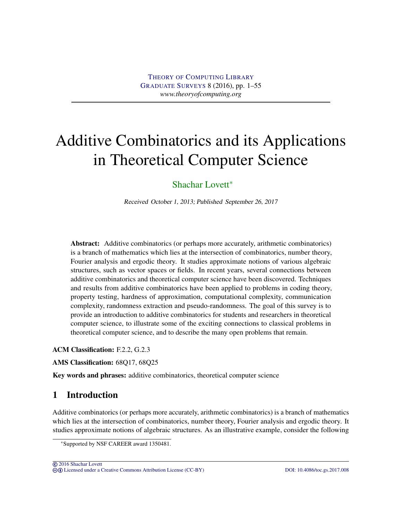# Additive Combinatorics and its Applications in Theoretical Computer Science

# [Shachar Lovett](#page-53-0)<sup>\*</sup>

Received October 1, 2013; Published September 26, 2017

Abstract: Additive combinatorics (or perhaps more accurately, arithmetic combinatorics) is a branch of mathematics which lies at the intersection of combinatorics, number theory, Fourier analysis and ergodic theory. It studies approximate notions of various algebraic structures, such as vector spaces or fields. In recent years, several connections between additive combinatorics and theoretical computer science have been discovered. Techniques and results from additive combinatorics have been applied to problems in coding theory, property testing, hardness of approximation, computational complexity, communication complexity, randomness extraction and pseudo-randomness. The goal of this survey is to provide an introduction to additive combinatorics for students and researchers in theoretical computer science, to illustrate some of the exciting connections to classical problems in theoretical computer science, and to describe the many open problems that remain.

ACM Classification: F.2.2, G.2.3

AMS Classification: 68Q17, 68Q25

Key words and phrases: additive combinatorics, theoretical computer science

# 1 Introduction

Additive combinatorics (or perhaps more accurately, arithmetic combinatorics) is a branch of mathematics which lies at the intersection of combinatorics, number theory, Fourier analysis and ergodic theory. It studies approximate notions of algebraic structures. As an illustrative example, consider the following

<sup>∗</sup>Supported by NSF CAREER award 1350481.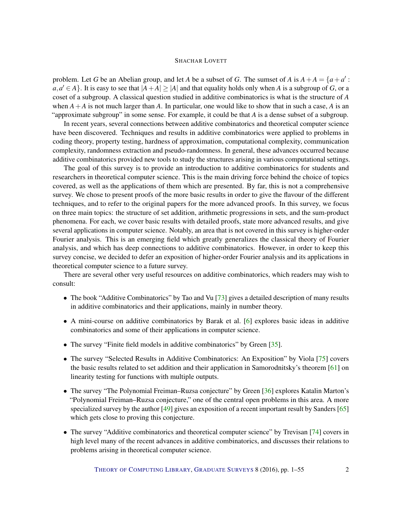<span id="page-1-0"></span>problem. Let *G* be an Abelian group, and let *A* be a subset of *G*. The sumset of *A* is  $A + A = \{a + a' :$  $a, a' \in A$ . It is easy to see that  $|A + A| \ge |A|$  and that equality holds only when *A* is a subgroup of *G*, or a coset of a subgroup. A classical question studied in additive combinatorics is what is the structure of *A* when  $A + A$  is not much larger than  $A$ . In particular, one would like to show that in such a case,  $A$  is an "approximate subgroup" in some sense. For example, it could be that *A* is a dense subset of a subgroup.

In recent years, several connections between additive combinatorics and theoretical computer science have been discovered. Techniques and results in additive combinatorics were applied to problems in coding theory, property testing, hardness of approximation, computational complexity, communication complexity, randomness extraction and pseudo-randomness. In general, these advances occurred because additive combinatorics provided new tools to study the structures arising in various computational settings.

The goal of this survey is to provide an introduction to additive combinatorics for students and researchers in theoretical computer science. This is the main driving force behind the choice of topics covered, as well as the applications of them which are presented. By far, this is not a comprehensive survey. We chose to present proofs of the more basic results in order to give the flavour of the different techniques, and to refer to the original papers for the more advanced proofs. In this survey, we focus on three main topics: the structure of set addition, arithmetic progressions in sets, and the sum-product phenomena. For each, we cover basic results with detailed proofs, state more advanced results, and give several applications in computer science. Notably, an area that is not covered in this survey is higher-order Fourier analysis. This is an emerging field which greatly generalizes the classical theory of Fourier analysis, and which has deep connections to additive combinatorics. However, in order to keep this survey concise, we decided to defer an exposition of higher-order Fourier analysis and its applications in theoretical computer science to a future survey.

There are several other very useful resources on additive combinatorics, which readers may wish to consult:

- The book "Additive Combinatorics" by Tao and Vu [\[73\]](#page-53-1) gives a detailed description of many results in additive combinatorics and their applications, mainly in number theory.
- A mini-course on additive combinatorics by Barak et al. [\[6\]](#page-48-0) explores basic ideas in additive combinatorics and some of their applications in computer science.
- The survey "Finite field models in additive combinatorics" by Green [\[35\]](#page-50-0).
- The survey "Selected Results in Additive Combinatorics: An Exposition" by Viola [\[75\]](#page-53-2) covers the basic results related to set addition and their application in Samorodnitsky's theorem [\[61\]](#page-52-0) on linearity testing for functions with multiple outputs.
- The survey "The Polynomial Freiman–Ruzsa conjecture" by Green [\[36\]](#page-50-1) explores Katalin Marton's "Polynomial Freiman–Ruzsa conjecture," one of the central open problems in this area. A more specialized survey by the author [\[49\]](#page-51-0) gives an exposition of a recent important result by Sanders [\[65\]](#page-52-1) which gets close to proving this conjecture.
- The survey "Additive combinatorics and theoretical computer science" by Trevisan [\[74\]](#page-53-3) covers in high level many of the recent advances in additive combinatorics, and discusses their relations to problems arising in theoretical computer science.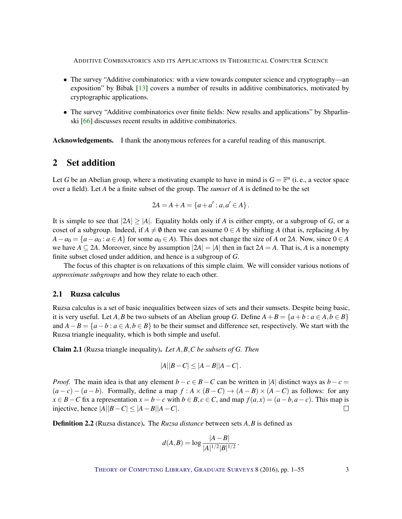- <span id="page-2-1"></span>• The survey "Additive combinatorics: with a view towards computer science and cryptography—an exposition" by Bibak [\[13\]](#page-49-0) covers a number of results in additive combinatorics, motivated by cryptographic applications.
- The survey "Additive combinatorics over finite fields: New results and applications" by Shparlinski [\[66\]](#page-53-4) discusses recent results in additive combinatorics.

Acknowledgements. I thank the anonymous referees for a careful reading of this manuscript.

# 2 Set addition

Let *G* be an Abelian group, where a motivating example to have in mind is  $G = \mathbb{F}^n$  (i.e., a vector space over a field). Let *A* be a finite subset of the group. The *sumset* of *A* is defined to be the set

$$
2A = A + A = \{a + a' : a, a' \in A\}.
$$

It is simple to see that  $|2A| > |A|$ . Equality holds only if *A* is either empty, or a subgroup of *G*, or a coset of a subgroup. Indeed, if  $A \neq \emptyset$  then we can assume  $0 \in A$  by shifting *A* (that is, replacing *A* by  $A - a_0 = \{a - a_0 : a \in A\}$  for some  $a_0 \in A$ ). This does not change the size of *A* or 2*A*. Now, since  $0 \in A$ we have  $A \subseteq 2A$ . Moreover, since by assumption  $|2A| = |A|$  then in fact  $2A = A$ . That is, *A* is a nonempty finite subset closed under addition, and hence is a subgroup of *G*.

The focus of this chapter is on relaxations of this simple claim. We will consider various notions of *approximate subgroups* and how they relate to each other.

# 2.1 Ruzsa calculus

Ruzsa calculus is a set of basic inequalities between sizes of sets and their sumsets. Despite being basic, it is very useful. Let *A*, *B* be two subsets of an Abelian group *G*. Define  $A + B = \{a + b : a \in A, b \in B\}$ and  $A - B = \{a - b : a \in A, b \in B\}$  to be their sumset and difference set, respectively. We start with the Ruzsa triangle inequality, which is both simple and useful.

<span id="page-2-0"></span>Claim 2.1 (Ruzsa triangle inequality). *Let A*,*B*,*C be subsets of G. Then*

$$
|A||B-C| \le |A-B||A-C|.
$$

*Proof.* The main idea is that any element *b*−*c* ∈ *B*−*C* can be written in |*A*| distinct ways as *b*−*c* =  $(a-c)-(a-b)$ . Formally, define a map  $f : A \times (B-C) \rightarrow (A-B) \times (A-C)$  as follows: for any *x* ∈ *B* − *C* fix a representation  $x = b - c$  with  $b \in B$ ,  $c \in C$ , and map  $f(a,x) = (a - b, a - c)$ . This map is injective, hence |*A*||*B*−*C*| ≤ |*A*−*B*||*A*−*C*|.  $\Box$ 

Definition 2.2 (Ruzsa distance). The *Ruzsa distance* between sets *A*,*B* is defined as

$$
d(A,B) = \log \frac{|A-B|}{|A|^{1/2}|B|^{1/2}}.
$$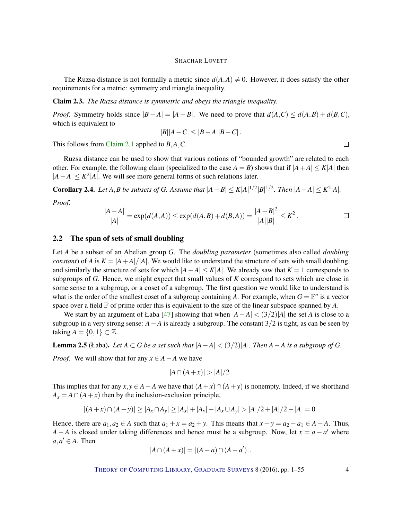<span id="page-3-1"></span>The Ruzsa distance is not formally a metric since  $d(A, A) \neq 0$ . However, it does satisfy the other requirements for a metric: symmetry and triangle inequality.

Claim 2.3. *The Ruzsa distance is symmetric and obeys the triangle inequality.*

*Proof.* Symmetry holds since  $|B - A| = |A - B|$ . We need to prove that  $d(A, C) \leq d(A, B) + d(B, C)$ , which is equivalent to

$$
|B||A-C| \le |B-A||B-C|.
$$

This follows from [Claim](#page-2-0) [2.1](#page-2-0) applied to *B*,*A*,*C*.

Ruzsa distance can be used to show that various notions of "bounded growth" are related to each other. For example, the following claim (specialized to the case  $A = B$ ) shows that if  $|A + A| \leq K|A|$  then  $|A - A| \le K^2 |A|$ . We will see more general forms of such relations later.

<span id="page-3-0"></span>**Corollary 2.4.** *Let A*,*B be subsets of G. Assume that*  $|A - B| \le K|A|^{1/2}|B|^{1/2}$ *. Then*  $|A - A| \le K^2|A|$ *.* 

*Proof.*

$$
\frac{|A-A|}{|A|} = \exp(d(A,A)) \le \exp(d(A,B) + d(B,A)) = \frac{|A-B|^2}{|A||B|} \le K^2.
$$

## 2.2 The span of sets of small doubling

Let *A* be a subset of an Abelian group *G*. The *doubling parameter* (sometimes also called *doubling constant*) of *A* is  $K = |A + A|/|A|$ . We would like to understand the structure of sets with small doubling, and similarly the structure of sets for which  $|A - A| \leq K|A|$ . We already saw that  $K = 1$  corresponds to subgroups of *G*. Hence, we might expect that small values of *K* correspond to sets which are close in some sense to a subgroup, or a coset of a subgroup. The first question we would like to understand is what is the order of the smallest coset of a subgroup containing A. For example, when  $G = \mathbb{F}^n$  is a vector space over a field  $\mathbb F$  of prime order this is equivalent to the size of the linear subspace spanned by  $A$ .

We start by an argument of Łaba [\[47\]](#page-51-1) showing that when  $|A - A| < (3/2)|A|$  the set *A* is close to a subgroup in a very strong sense:  $A - A$  is already a subgroup. The constant  $3/2$  is tight, as can be seen by taking  $A = \{0, 1\} \subset \mathbb{Z}$ .

**Lemma 2.5** (Łaba). Let  $A \subset G$  be a set such that  $|A - A| < (3/2)|A|$ . Then  $A - A$  is a subgroup of G.

*Proof.* We will show that for any  $x \in A - A$  we have

$$
|A\cap (A+x)|>|A|/2.
$$

This implies that for any  $x, y \in A - A$  we have that  $(A + x) \cap (A + y)$  is nonempty. Indeed, if we shorthand  $A_x = A \cap (A + x)$  then by the inclusion-exclusion principle,

$$
|(A+x)\cap (A+y)|\geq |A_x\cap A_y|\geq |A_x|+|A_y|-|A_x\cup A_y|>|A|/2+|A|/2-|A|=0.
$$

Hence, there are  $a_1, a_2 \in A$  such that  $a_1 + x = a_2 + y$ . This means that  $x - y = a_2 - a_1 \in A - A$ . Thus, *A* − *A* is closed under taking differences and hence must be a subgroup. Now, let  $x = a - a'$  where  $a, a' \in A$ . Then

$$
|A \cap (A + x)| = |(A - a) \cap (A - a')|.
$$

 $\Box$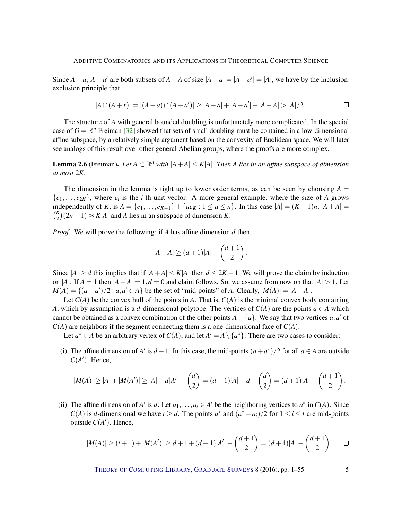<span id="page-4-0"></span>Since  $A - a$ ,  $A - a'$  are both subsets of  $A - A$  of size  $|A - a| = |A - a'| = |A|$ , we have by the inclusionexclusion principle that

$$
|A \cap (A+x)| = |(A-a) \cap (A-a')| \ge |A-a| + |A-a'| - |A-A| > |A|/2.
$$

The structure of *A* with general bounded doubling is unfortunately more complicated. In the special case of  $G = \mathbb{R}^n$  Freiman [\[32\]](#page-50-2) showed that sets of small doubling must be contained in a low-dimensional affine subspace, by a relatively simple argument based on the convexity of Euclidean space. We will later see analogs of this result over other general Abelian groups, where the proofs are more complex.

**Lemma 2.6** (Freiman). Let  $A \subset \mathbb{R}^n$  with  $|A + A| \le K|A|$ . Then A lies in an affine subspace of dimension *at most* 2*K.*

The dimension in the lemma is tight up to lower order terms, as can be seen by choosing  $A =$  ${e_1, \ldots, e_{2K}}$ , where  $e_i$  is the *i*-th unit vector. A more general example, where the size of *A* grows independently of *K*, is *A* = { $e_1$ ,..., $e_{K-1}$ } + { $ae_K$  : 1 ≤  $a$  ≤ *n*}. In this case  $|A| = (K-1)n$ ,  $|A+A| =$  $\binom{K}{2}$  $\binom{K}{2}(2n-1) \approx K|A|$  and *A* lies in an subspace of dimension *K*.

*Proof.* We will prove the following: if *A* has affine dimension *d* then

$$
|A+A| \ge (d+1)|A| - \binom{d+1}{2}.
$$

Since  $|A| \ge d$  this implies that if  $|A+A| \le K|A|$  then  $d \le 2K-1$ . We will prove the claim by induction on |*A*|. If  $A = 1$  then  $|A + A| = 1$ ,  $d = 0$  and claim follows. So, we assume from now on that  $|A| > 1$ . Let  $M(A) = \{(a + a')/2 : a, a' \in A\}$  be the set of "mid-points" of *A*. Clearly,  $|M(A)| = |A + A|$ .

Let  $C(A)$  be the convex hull of the points in A. That is,  $C(A)$  is the minimal convex body containing *A*, which by assumption is a *d*-dimensional polytope. The vertices of  $C(A)$  are the points  $a \in A$  which cannot be obtained as a convex combination of the other points  $A - \{a\}$ . We say that two vertices  $a, a'$  of  $C(A)$  are neighbors if the segment connecting them is a one-dimensional face of  $C(A)$ .

Let  $a^* \in A$  be an arbitrary vertex of  $C(A)$ , and let  $A' = A \setminus \{a^*\}$ . There are two cases to consider:

(i) The affine dimension of *A'* is *d* − 1. In this case, the mid-points  $(a + a^*)/2$  for all *a* ∈ *A* are outside  $C(A')$ . Hence,

$$
|M(A)| \geq |A| + |M(A')| \geq |A| + d|A'| - {d \choose 2} = (d+1)|A| - d - {d \choose 2} = (d+1)|A| - {d+1 \choose 2}.
$$

(ii) The affine dimension of *A'* is *d*. Let  $a_1, \ldots, a_t \in A'$  be the neighboring vertices to  $a^*$  in  $C(A)$ . Since *C*(*A*) is *d*-dimensional we have  $t \ge d$ . The points  $a^*$  and  $(a^* + a_i)/2$  for  $1 \le i \le t$  are mid-points outside  $C(A')$ . Hence,

$$
|M(A)| \ge (t+1) + |M(A')| \ge d+1 + (d+1)|A'| - {d+1 \choose 2} = (d+1)|A| - {d+1 \choose 2}.
$$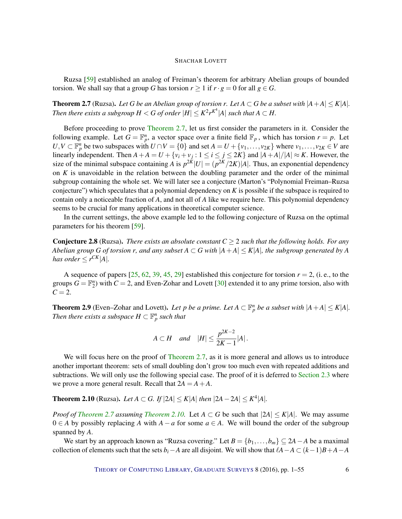<span id="page-5-2"></span>Ruzsa [\[59\]](#page-52-2) established an analog of Freiman's theorem for arbitrary Abelian groups of bounded torsion. We shall say that a group *G* has torsion  $r \geq 1$  if  $r \cdot g = 0$  for all  $g \in G$ .

<span id="page-5-0"></span>**Theorem 2.7** (Ruzsa). Let G be an Abelian group of torsion r. Let  $A \subset G$  be a subset with  $|A + A| \leq K|A|$ . *Then there exists a subgroup*  $H < G$  *of order*  $|H| \leq K^2 r^{K^4} |A|$  such that  $A \subset H$ .

Before proceeding to prove [Theorem](#page-5-0) [2.7,](#page-5-0) let us first consider the parameters in it. Consider the following example. Let  $G = \mathbb{F}_p^n$ , a vector space over a finite field  $\mathbb{F}_p$ , which has torsion  $r = p$ . Let  $U, V \subset \mathbb{F}_p^n$  be two subspaces with  $U \cap V = \{0\}$  and set  $A = U + \{v_1, \ldots, v_{2K}\}\$  where  $v_1, \ldots, v_{2K} \in V$  are linearly independent. Then  $A + A = U + \{v_i + v_j : 1 \le i \le j \le 2K\}$  and  $|A + A|/|A| \approx K$ . However, the size of the minimal subspace containing *A* is  $p^{2K}$   $|U| = (p^{2K}/2K)|A|$ . Thus, an exponential dependency on *K* is unavoidable in the relation between the doubling parameter and the order of the minimal subgroup containing the whole set. We will later see a conjecture (Marton's "Polynomial Freiman–Ruzsa conjecture") which speculates that a polynomial dependency on *K* is possible if the subspace is required to contain only a noticeable fraction of *A*, and not all of *A* like we require here. This polynomial dependency seems to be crucial for many applications in theoretical computer science.

In the current settings, the above example led to the following conjecture of Ruzsa on the optimal parameters for his theorem [\[59\]](#page-52-2).

**Conjecture 2.8** (Ruzsa). *There exists an absolute constant*  $C \geq 2$  *such that the following holds. For any Abelian group G* of torsion *r, and any subset*  $A \subset G$  *with*  $|A+A| \leq K|A|$ *, the subgroup generated by A has order*  $\leq r^{CK}|A|$ *.* 

A sequence of papers  $[25, 62, 39, 45, 29]$  $[25, 62, 39, 45, 29]$  $[25, 62, 39, 45, 29]$  $[25, 62, 39, 45, 29]$  $[25, 62, 39, 45, 29]$  $[25, 62, 39, 45, 29]$  $[25, 62, 39, 45, 29]$  $[25, 62, 39, 45, 29]$  $[25, 62, 39, 45, 29]$  established this conjecture for torsion  $r = 2$ , (i.e., to the groups  $G = \mathbb{F}_2^n$  with  $C = 2$ , and Even-Zohar and Lovett [\[30\]](#page-50-5) extended it to any prime torsion, also with  $C = 2$ .

**Theorem 2.9** (Even–Zohar and Lovett). Let p be a prime. Let  $A \subset \mathbb{F}_p^n$  be a subset with  $|A + A| \leq K|A|$ . *Then there exists a subspace*  $H \subset \mathbb{F}_p^n$  *such that* 

$$
A\subset H \quad and \quad |H|\leq \frac{p^{2K-2}}{2K-1}|A|.
$$

We will focus here on the proof of [Theorem](#page-5-0) [2.7,](#page-5-0) as it is more general and allows us to introduce another important theorem: sets of small doubling don't grow too much even with repeated additions and subtractions. We will only use the following special case. The proof of it is deferred to [Section](#page-6-0) [2.3](#page-6-0) where we prove a more general result. Recall that  $2A = A + A$ .

<span id="page-5-1"></span>**Theorem 2.10** (Ruzsa). *Let A* ⊂ *G. If*  $|2A| ≤ K|A|$  *then*  $|2A - 2A| ≤ K^4|A|$ *.* 

*Proof of [Theorem](#page-5-1)* [2.7](#page-5-0) *assuming Theorem* [2.10.](#page-5-1) Let  $A \subset G$  be such that  $|2A| \le K|A|$ . We may assume  $0 ∈ A$  by possibly replacing *A* with  $A - a$  for some  $a ∈ A$ . We will bound the order of the subgroup spanned by *A*.

We start by an approach known as "Ruzsa covering." Let  $B = \{b_1, \ldots, b_m\} \subseteq 2A - A$  be a maximal collection of elements such that the sets *b*<sup>*i*</sup>−*A* are all disjoint. We will show that  $\ell A - A \subset (k-1)B + A - A$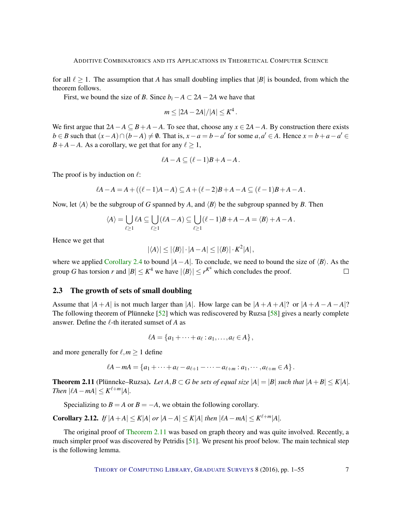<span id="page-6-2"></span>for all  $\ell \ge 1$ . The assumption that *A* has small doubling implies that |*B*| is bounded, from which the theorem follows.

First, we bound the size of *B*. Since  $b_i - A \subset 2A - 2A$  we have that

$$
m \leq |2A - 2A|/|A| \leq K^4.
$$

We first argue that  $2A - A \subseteq B + A - A$ . To see that, choose any  $x \in 2A - A$ . By construction there exists  $b \in B$  such that  $(x - A) \cap (b - A) \neq \emptyset$ . That is,  $x - a = b - a'$  for some  $a, a' \in A$ . Hence  $x = b + a - a' \in A$  $B+A-A$ . As a corollary, we get that for any  $\ell > 1$ ,

$$
\ell A - A \subseteq (\ell - 1)B + A - A.
$$

The proof is by induction on  $\ell$ :

$$
\ell A - A = A + ((\ell - 1)A - A) \subseteq A + (\ell - 2)B + A - A \subseteq (\ell - 1)B + A - A.
$$

Now, let  $\langle A \rangle$  be the subgroup of *G* spanned by *A*, and  $\langle B \rangle$  be the subgroup spanned by *B*. Then

$$
\langle A \rangle = \bigcup_{\ell \geq 1} \ell A \subseteq \bigcup_{\ell \geq 1} (\ell A - A) \subseteq \bigcup_{\ell \geq 1} (\ell - 1)B + A - A = \langle B \rangle + A - A.
$$

Hence we get that

$$
|\langle A \rangle| \le |\langle B \rangle| \cdot |A - A| \le |\langle B \rangle| \cdot K^2 |A|
$$

where we applied [Corollary](#page-3-0) [2.4](#page-3-0) to bound  $|A - A|$ . To conclude, we need to bound the size of  $\langle B \rangle$ . As the group *G* has torsion *r* and  $|B| \le K^4$  we have  $|\langle B \rangle| \le r^{K^4}$  which concludes the proof.  $\Box$ 

## <span id="page-6-0"></span>2.3 The growth of sets of small doubling

Assume that  $|A + A|$  is not much larger than  $|A|$ . How large can be  $|A + A + A|$ ? or  $|A + A - A - A|$ ? The following theorem of Plünneke [\[52\]](#page-52-4) which was rediscovered by Ruzsa [\[58\]](#page-52-5) gives a nearly complete answer. Define the  $\ell$ -th iterated sumset of *A* as

$$
\ell A = \{a_1 + \cdots + a_\ell : a_1, \ldots, a_\ell \in A\},\,
$$

and more generally for  $\ell, m \geq 1$  define

$$
\ell A - mA = \{a_1 + \cdots + a_{\ell} - a_{\ell+1} - \cdots - a_{\ell+m} : a_1, \cdots, a_{\ell+m} \in A\}.
$$

<span id="page-6-1"></span>**Theorem 2.11** (Plünneke–Ruzsa). Let  $A, B \subset G$  be sets of equal size  $|A| = |B|$  such that  $|A + B| \leq K|A|$ . *Then*  $|lA - mA| \leq K^{l+m}|A|$ *.* 

Specializing to  $B = A$  or  $B = -A$ , we obtain the following corollary.

Corollary 2.12. *If*  $|A + A| \le K|A|$  *or*  $|A - A| \le K|A|$  *then*  $|A - mA| \le K^{\ell+m}|A|$ *.* 

The original proof of [Theorem](#page-6-1) [2.11](#page-6-1) was based on graph theory and was quite involved. Recently, a much simpler proof was discovered by Petridis [\[51\]](#page-52-6). We present his proof below. The main technical step is the following lemma.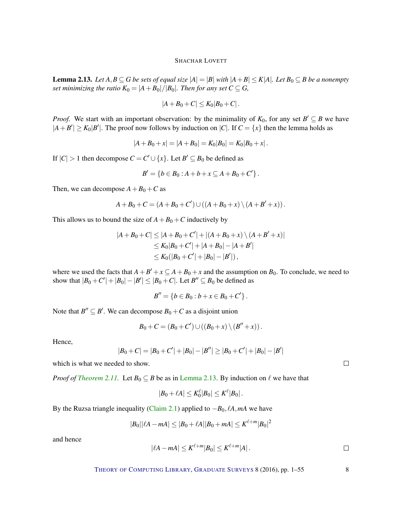<span id="page-7-0"></span>**Lemma 2.13.** *Let A,B* ⊆ *G be sets of equal size*  $|A| = |B|$  *with*  $|A + B| ≤ K|A|$ *. Let*  $B_0 ⊆ B$  *be a nonempty set minimizing the ratio*  $K_0 = |A + B_0|/|B_0|$ *. Then for any set*  $C \subseteq G$ *,* 

$$
|A + B_0 + C| \leq K_0 |B_0 + C|.
$$

*Proof.* We start with an important observation: by the minimality of  $K_0$ , for any set  $B' \subseteq B$  we have  $|A + B'| \ge K_0 |B'|$ . The proof now follows by induction on  $|C|$ . If  $C = \{x\}$  then the lemma holds as

$$
|A + B_0 + x| = |A + B_0| = K_0|B_0| = K_0|B_0 + x|.
$$

If  $|C| > 1$  then decompose  $C = C' \cup \{x\}$ . Let  $B' \subseteq B_0$  be defined as

$$
B' = \{b \in B_0 : A + b + x \subseteq A + B_0 + C'\}.
$$

Then, we can decompose  $A + B_0 + C$  as

$$
A + B_0 + C = (A + B_0 + C') \cup ((A + B_0 + x) \setminus (A + B' + x)).
$$

This allows us to bound the size of  $A + B_0 + C$  inductively by

$$
|A + B_0 + C| \le |A + B_0 + C'| + |(A + B_0 + x) \setminus (A + B' + x)|
$$
  
\n
$$
\le K_0|B_0 + C'| + |A + B_0| - |A + B'|
$$
  
\n
$$
\le K_0(|B_0 + C'| + |B_0| - |B'|),
$$

where we used the facts that  $A + B' + x \subseteq A + B_0 + x$  and the assumption on  $B_0$ . To conclude, we need to show that  $|B_0 + C'| + |B_0| - |B'| \le |B_0 + C|$ . Let  $B'' \subseteq B_0$  be defined as

$$
B'' = \{b \in B_0 : b + x \in B_0 + C'\}.
$$

Note that  $B'' \subseteq B'$ . We can decompose  $B_0 + C$  as a disjoint union

$$
B_0 + C = (B_0 + C') \cup ((B_0 + x) \setminus (B'' + x)).
$$

Hence,

$$
|B_0+C|=|B_0+C'|+|B_0|-|B''|\geq |B_0+C'|+|B_0|-|B'|
$$

which is what we needed to show.

*Proof of [Theorem](#page-6-1) [2.11.](#page-6-1)* Let  $B_0 \subseteq B$  be as in [Lemma](#page-7-0) [2.13.](#page-7-0) By induction on  $\ell$  we have that

$$
|B_0+\ell A|\leq K_0^\ell |B_0|\leq K^\ell |B_0|\,.
$$

By the Ruzsa triangle inequality [\(Claim](#page-2-0) [2.1\)](#page-2-0) applied to  $-B_0$ ,  $\ell A$ ,  $mA$  we have

$$
|B_0||\ell A - mA| \le |B_0 + \ell A||B_0 + mA| \le K^{\ell+m}|B_0|^2
$$

and hence

$$
|\ell A - m A| \leq K^{\ell+m} |B_0| \leq K^{\ell+m} |A| \, . \qquad \qquad \Box
$$

THEORY OF C[OMPUTING](http://dx.doi.org/10.4086/toc) LIBRARY, G[RADUATE](http://dx.doi.org/10.4086/toc.gs) SURVEYS 8 (2016), pp. 1–55 8

 $\Box$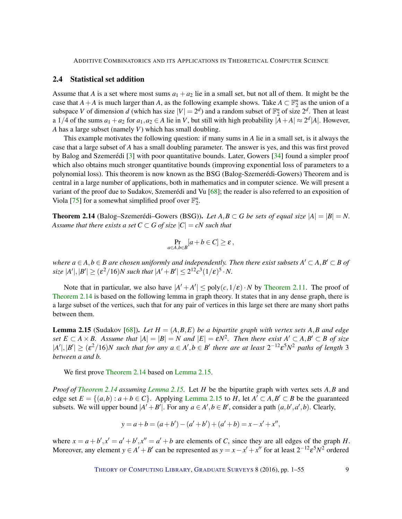# <span id="page-8-2"></span>2.4 Statistical set addition

Assume that *A* is a set where most sums  $a_1 + a_2$  lie in a small set, but not all of them. It might be the case that *A* + *A* is much larger than *A*, as the following example shows. Take  $A \subset \mathbb{F}_2^n$  as the union of a subspace *V* of dimension *d* (which has size  $|V| = 2^d$ ) and a random subset of  $\mathbb{F}_2^n$  of size  $2^d$ . Then at least a 1/4 of the sums  $a_1 + a_2$  for  $a_1, a_2 \in A$  lie in *V*, but still with high probability  $|A + A| \approx 2^d |A|$ . However, *A* has a large subset (namely *V*) which has small doubling.

This example motivates the following question: if many sums in *A* lie in a small set, is it always the case that a large subset of *A* has a small doubling parameter. The answer is yes, and this was first proved by Balog and Szemerédi [\[3\]](#page-48-1) with poor quantitative bounds. Later, Gowers [\[34\]](#page-50-6) found a simpler proof which also obtains much stronger quantitative bounds (improving exponential loss of parameters to a polynomial loss). This theorem is now known as the BSG (Balog-Szemerédi-Gowers) Theorem and is central in a large number of applications, both in mathematics and in computer science. We will present a variant of the proof due to Sudakov, Szemerédi and Vu [\[68\]](#page-53-5); the reader is also referred to an exposition of Viola [\[75\]](#page-53-2) for a somewhat simplified proof over  $\mathbb{F}_2^n$ .

<span id="page-8-0"></span>**Theorem 2.14** (Balog–Szemerédi–Gowers (BSG)). Let  $A, B \subset G$  be sets of equal size  $|A| = |B| = N$ . *Assume that there exists a set*  $C \subset G$  *of size*  $|C| = cN$  *such that* 

$$
\Pr_{a\in A,b\in B}[a+b\in C]\geq \varepsilon\,,
$$

*where*  $a \in A, b \in B$  are chosen uniformly and independently. Then there exist subsets  $A' \subset A, B' \subset B$  of  $\text{size } |A'|,|B'| \geq (\varepsilon^2/16)N \text{ such that } |A'+B'| \leq 2^{12}c^3(1/\varepsilon)^5 \cdot N.$ 

Note that in particular, we also have  $|A' + A'| \leq poly(c, 1/\varepsilon) \cdot N$  by [Theorem](#page-6-1) [2.11.](#page-6-1) The proof of [Theorem](#page-8-0) [2.14](#page-8-0) is based on the following lemma in graph theory. It states that in any dense graph, there is a large subset of the vertices, such that for any pair of vertices in this large set there are many short paths between them.

<span id="page-8-1"></span>**Lemma 2.15** (Sudakov [\[68\]](#page-53-5)). Let  $H = (A, B, E)$  be a bipartite graph with vertex sets A, B and edge  $A \subset B$  *A*  $\times$  *B.* Assume that  $|A| = |B| = N$  and  $|E| = \varepsilon N^2$ . Then there exist  $A' \subset A$ ,  $B' \subset B$  of size  $|A'|,|B'| \geq (\varepsilon^2/16)N$  *such that for any*  $a \in A', b \in B'$  *there are at least*  $2^{-12}\varepsilon^5N^2$  *paths of length* 3 *between a and b.*

We first prove [Theorem](#page-8-0) [2.14](#page-8-0) based on [Lemma](#page-8-1) [2.15.](#page-8-1)

*Proof of [Theorem](#page-8-0) [2.14](#page-8-0) assuming [Lemma](#page-8-1) [2.15.](#page-8-1)* Let *H* be the bipartite graph with vertex sets *A*,*B* and edge set  $E = \{(a,b) : a+b \in C\}$ . Applying [Lemma](#page-8-1) [2.15](#page-8-1) to *H*, let  $A' \subset A, B' \subset B$  be the guaranteed subsets. We will upper bound  $|A' + B'|$ . For any  $a \in A', b \in B'$ , consider a path  $(a, b', a', b)$ . Clearly,

$$
y = a + b = (a + b') - (a' + b') + (a' + b) = x - x' + x'',
$$

where  $x = a + b'$ ,  $x' = a' + b'$ ,  $x'' = a' + b$  are elements of *C*, since they are all edges of the graph *H*. Moreover, any element  $y \in A' + B'$  can be represented as  $y = x - x' + x''$  for at least  $2^{-12} \varepsilon^5 N^2$  ordered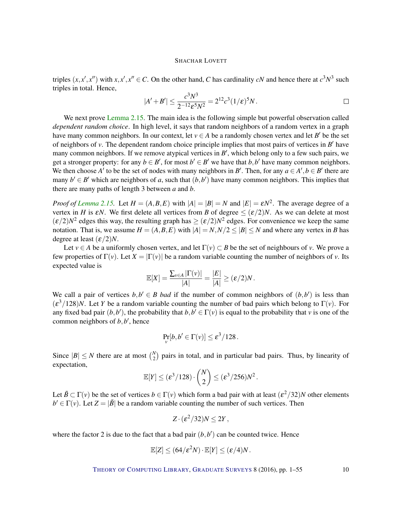triples  $(x, x', x'')$  with  $x, x', x'' \in C$ . On the other hand, *C* has cardinality *cN* and hence there at  $c^3 N^3$  such triples in total. Hence,

$$
|A' + B'| \le \frac{c^3 N^3}{2^{-12} \varepsilon^5 N^2} = 2^{12} c^3 (1/\varepsilon)^5 N.
$$

We next prove [Lemma](#page-8-1) [2.15.](#page-8-1) The main idea is the following simple but powerful observation called *dependent random choice*. In high level, it says that random neighbors of a random vertex in a graph have many common neighbors. In our context, let  $v \in A$  be a randomly chosen vertex and let *B*<sup>'</sup> be the set of neighbors of  $v$ . The dependent random choice principle implies that most pairs of vertices in  $B'$  have many common neighbors. If we remove atypical vertices in  $B'$ , which belong only to a few such pairs, we get a stronger property: for any  $b \in B'$ , for most  $b' \in B'$  we have that  $b, b'$  have many common neighbors. We then choose *A'* to be the set of nodes with many neighbors in *B'*. Then, for any  $a \in A', b \in B'$  there are many  $b' \in B'$  which are neighbors of *a*, such that  $(b, b')$  have many common neighbors. This implies that there are many paths of length 3 between *a* and *b*.

*Proof of [Lemma](#page-8-1)* [2.15.](#page-8-1) Let  $H = (A, B, E)$  with  $|A| = |B| = N$  and  $|E| = \varepsilon N^2$ . The average degree of a vertex in *H* is  $\epsilon N$ . We first delete all vertices from *B* of degree  $\leq (\epsilon/2)N$ . As we can delete at most  $(\varepsilon/2)N^2$  edges this way, the resulting graph has  $\geq (\varepsilon/2)N^2$  edges. For convenience we keep the same notation. That is, we assume  $H = (A, B, E)$  with  $|A| = N, N/2 \leq |B| \leq N$  and where any vertex in *B* has degree at least  $(\varepsilon/2)N$ .

Let  $v \in A$  be a uniformly chosen vertex, and let  $\Gamma(v) \subset B$  be the set of neighbours of *v*. We prove a few properties of  $\Gamma(v)$ . Let  $X = |\Gamma(v)|$  be a random variable counting the number of neighbors of *v*. Its expected value is

$$
\mathbb{E}[X] = \frac{\sum_{v \in A} |\Gamma(v)|}{|A|} = \frac{|E|}{|A|} \ge (\varepsilon/2)N.
$$

We call a pair of vertices  $b, b' \in B$  *bad* if the number of common neighbors of  $(b, b')$  is less than  $(\varepsilon^3/128)N$ . Let *Y* be a random variable counting the number of bad pairs which belong to Γ(*v*). For any fixed bad pair  $(b, b')$ , the probability that  $b, b' \in \Gamma(v)$  is equal to the probability that *v* is one of the common neighbors of  $b$ ,  $b'$ , hence

$$
\Pr_{v}[b,b'\in\Gamma(v)]\leq \varepsilon^3/128.
$$

Since  $|B| \leq N$  there are at most  $\binom{N}{2}$  $_{2}^{N}$ ) pairs in total, and in particular bad pairs. Thus, by linearity of expectation,

$$
\mathbb{E}[Y] \leq (\varepsilon^3/128) \cdot {N \choose 2} \leq (\varepsilon^3/256)N^2.
$$

Let  $\tilde{B} \subset \Gamma(v)$  be the set of vertices  $b \in \Gamma(v)$  which form a bad pair with at least  $(\varepsilon^2/32)N$  other elements  $b' \in \Gamma(v)$ . Let  $Z = |\tilde{B}|$  be a random variable counting the number of such vertices. Then

$$
Z\cdot(\varepsilon^2/32)N\leq 2Y\,,
$$

where the factor 2 is due to the fact that a bad pair  $(b, b')$  can be counted twice. Hence

$$
\mathbb{E}[Z] \le (64/\varepsilon^2 N) \cdot \mathbb{E}[Y] \le (\varepsilon/4)N.
$$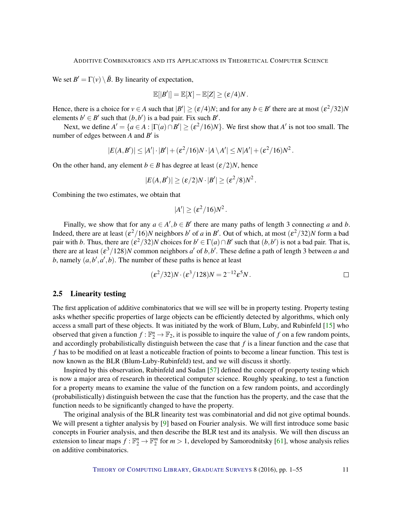<span id="page-10-0"></span>We set  $B' = \Gamma(\nu) \setminus \tilde{B}$ . By linearity of expectation,

$$
\mathbb{E}[|B'|] = \mathbb{E}[X] - \mathbb{E}[Z] \ge (\varepsilon/4)N.
$$

Hence, there is a choice for  $v \in A$  such that  $|B'| \ge (\varepsilon/4)N$ ; and for any  $b \in B'$  there are at most  $(\varepsilon^2/32)N$ elements  $b' \in B'$  such that  $(b, b')$  is a bad pair. Fix such B'.

Next, we define  $A' = \{a \in A : |\Gamma(a) \cap B'| \geq (\varepsilon^2/16)N\}$ . We first show that  $A'$  is not too small. The number of edges between  $A$  and  $B'$  is

$$
|E(A,B')| \leq |A'| \cdot |B'| + (\varepsilon^2/16)N \cdot |A \setminus A'| \leq N|A'| + (\varepsilon^2/16)N^2.
$$

On the other hand, any element *b*  $\in$  *B* has degree at least  $(\varepsilon/2)N$ , hence

$$
|E(A,B')| \geq (\varepsilon/2)N \cdot |B'| \geq (\varepsilon^2/8)N^2.
$$

Combining the two estimates, we obtain that

$$
|A'| \geq (\varepsilon^2/16)N^2.
$$

Finally, we show that for any  $a \in A', b \in B'$  there are many paths of length 3 connecting *a* and *b*. Indeed, there are at least  $(\varepsilon^2/16)N$  neighbors *b*' of *a* in *B*'. Out of which, at most  $(\varepsilon^2/32)N$  form a bad pair with *b*. Thus, there are  $(\varepsilon^2/32)N$  choices for  $b' \in \Gamma(a) \cap B'$  such that  $(b, b')$  is not a bad pair. That is, there are at least  $(\varepsilon^3/128)N$  common neighbors *a'* of *b*,*b'*. These define a path of length 3 between *a* and b, namely  $(a, b', a', b)$ . The number of these paths is hence at least

$$
(\varepsilon^2/32)N \cdot (\varepsilon^3/128)N = 2^{-12}\varepsilon^5 N.
$$

#### 2.5 Linearity testing

The first application of additive combinatorics that we will see will be in property testing. Property testing asks whether specific properties of large objects can be efficiently detected by algorithms, which only access a small part of these objects. It was initiated by the work of Blum, Luby, and Rubinfeld [\[15\]](#page-49-1) who observed that given a function  $f : \mathbb{F}_2^n \to \mathbb{F}_2$ , it is possible to inquire the value of *f* on a few random points, and accordingly probabilistically distinguish between the case that *f* is a linear function and the case that *f* has to be modified on at least a noticeable fraction of points to become a linear function. This test is now known as the BLR (Blum-Luby-Rubinfeld) test, and we will discuss it shortly.

Inspired by this observation, Rubinfeld and Sudan [\[57\]](#page-52-7) defined the concept of property testing which is now a major area of research in theoretical computer science. Roughly speaking, to test a function for a property means to examine the value of the function on a few random points, and accordingly (probabilistically) distinguish between the case that the function has the property, and the case that the function needs to be significantly changed to have the property.

The original analysis of the BLR linearity test was combinatorial and did not give optimal bounds. We will present a tighter analysis by [\[9\]](#page-49-2) based on Fourier analysis. We will first introduce some basic concepts in Fourier analysis, and then describe the BLR test and its analysis. We will then discuss an extension to linear maps  $f : \mathbb{F}_2^n \to \mathbb{F}_2^m$  for  $m > 1$ , developed by Samorodnitsky [\[61\]](#page-52-0), whose analysis relies on additive combinatorics.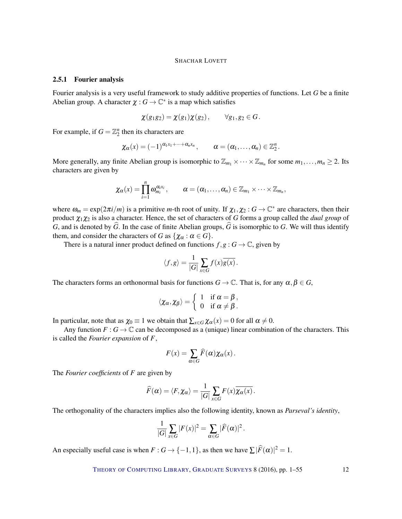#### 2.5.1 Fourier analysis

Fourier analysis is a very useful framework to study additive properties of functions. Let *G* be a finite Abelian group. A character  $\chi : G \to \mathbb{C}^*$  is a map which satisfies

$$
\chi(g_1g_2)=\chi(g_1)\chi(g_2), \qquad \forall g_1,g_2\in G.
$$

For example, if  $G = \mathbb{Z}_2^n$  then its characters are

$$
\chi_{\alpha}(x)=(-1)^{\alpha_1x_1+\cdots+\alpha_nx_n}, \qquad \alpha=(\alpha_1,\ldots,\alpha_n)\in\mathbb{Z}_2^n
$$

.

More generally, any finite Abelian group is isomorphic to  $\mathbb{Z}_{m_1} \times \cdots \times \mathbb{Z}_{m_n}$  for some  $m_1, \ldots, m_n \geq 2$ . Its characters are given by

$$
\chi_{\alpha}(x)=\prod_{i=1}^n\omega_{m_i}^{\alpha_ix_i},\qquad \alpha=(\alpha_1,\ldots,\alpha_n)\in\mathbb{Z}_{m_1}\times\cdots\times\mathbb{Z}_{m_n},
$$

where  $\omega_m = \exp(2\pi i/m)$  is a primitive *m*-th root of unity. If  $\chi_1, \chi_2 : G \to \mathbb{C}^*$  are characters, then their product χ1χ<sup>2</sup> is also a character. Hence, the set of characters of *G* forms a group called the *dual group* of *G*, and is denoted by  $\widehat{G}$ . In the case of finite Abelian groups,  $\widehat{G}$  is isomorphic to *G*. We will thus identify them, and consider the characters of *G* as  $\{\chi_{\alpha} : \alpha \in G\}.$ 

There is a natural inner product defined on functions  $f, g : G \to \mathbb{C}$ , given by

$$
\langle f, g \rangle = \frac{1}{|G|} \sum_{x \in G} f(x) \overline{g(x)}.
$$

The characters forms an orthonormal basis for functions  $G \to \mathbb{C}$ . That is, for any  $\alpha, \beta \in G$ ,

$$
\langle \chi_{\alpha}, \chi_{\beta} \rangle = \begin{cases} 1 & \text{if } \alpha = \beta, \\ 0 & \text{if } \alpha \neq \beta. \end{cases}
$$

In particular, note that as  $\chi_0 \equiv 1$  we obtain that  $\sum_{x \in G} \chi_\alpha(x) = 0$  for all  $\alpha \neq 0$ .

Any function  $F : G \to \mathbb{C}$  can be decomposed as a (unique) linear combination of the characters. This is called the *Fourier expansion* of *F*,

$$
F(x) = \sum_{\alpha \in G} \widehat{F}(\alpha) \chi_{\alpha}(x).
$$

The *Fourier coefficients* of *F* are given by

$$
\widehat{F}(\alpha) = \langle F, \chi_{\alpha} \rangle = \frac{1}{|G|} \sum_{x \in G} F(x) \overline{\chi_{\alpha}(x)}.
$$

The orthogonality of the characters implies also the following identity, known as *Parseval's identity*,

$$
\frac{1}{|G|}\sum_{x\in G}|F(x)|^2=\sum_{\alpha\in G}|\widehat{F}(\alpha)|^2.
$$

An especially useful case is when  $F: G \to \{-1,1\}$ , as then we have  $\sum |\widehat{F}(\alpha)|^2 = 1$ .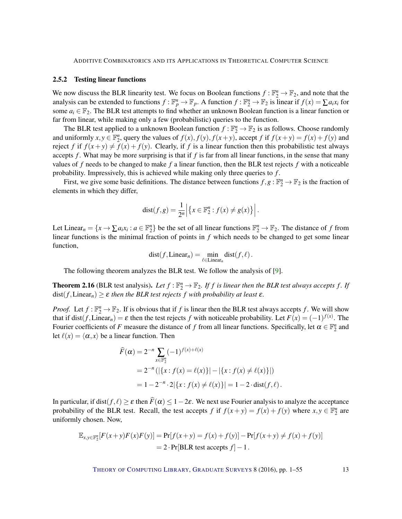#### <span id="page-12-1"></span><span id="page-12-0"></span>2.5.2 Testing linear functions

We now discuss the BLR linearity test. We focus on Boolean functions  $f : \mathbb{F}_2^n \to \mathbb{F}_2$ , and note that the analysis can be extended to functions  $f : \mathbb{F}_p^n \to \mathbb{F}_p$ . A function  $f : \mathbb{F}_2^n \to \mathbb{F}_2$  is linear if  $f(x) = \sum a_i x_i$  for some  $a_i \in \mathbb{F}_2$ . The BLR test attempts to find whether an unknown Boolean function is a linear function or far from linear, while making only a few (probabilistic) queries to the function.

The BLR test applied to a unknown Boolean function  $f : \mathbb{F}_2^n \to \mathbb{F}_2$  is as follows. Choose randomly and uniformly  $x, y \in \mathbb{F}_2^n$ , query the values of  $f(x), f(y), f(x+y)$ , accept f if  $f(x+y) = f(x) + f(y)$  and reject *f* if  $f(x+y) \neq f(x) + f(y)$ . Clearly, if *f* is a linear function then this probabilistic test always accepts *f* . What may be more surprising is that if *f* is far from all linear functions, in the sense that many values of *f* needs to be changed to make *f* a linear function, then the BLR test rejects *f* with a noticeable probability. Impressively, this is achieved while making only three queries to *f* .

First, we give some basic definitions. The distance between functions  $f, g : \mathbb{F}_2^n \to \mathbb{F}_2$  is the fraction of elements in which they differ,

$$
dist(f,g) = \frac{1}{2^n} \left| \left\{ x \in \mathbb{F}_2^n : f(x) \neq g(x) \right\} \right|.
$$

Let Linear<sub>n</sub> =  $\{x \to \sum a_i x_i : a \in \mathbb{F}_2^n\}$  be the set of all linear functions  $\mathbb{F}_2^n \to \mathbb{F}_2$ . The distance of *f* from linear functions is the minimal fraction of points in *f* which needs to be changed to get some linear function,

$$
dist(f, Linear_n) = \min_{\ell \in Linear_n} dist(f, \ell).
$$

The following theorem analyzes the BLR test. We follow the analysis of [\[9\]](#page-49-2).

**Theorem 2.16** (BLR test analysis). Let  $f : \mathbb{F}_2^n \to \mathbb{F}_2$ . If  $f$  is linear then the BLR test always accepts  $f$ . If  $dist(f, Linear<sub>n</sub>) \geq \varepsilon$  *then the BLR test rejects f with probability at least*  $\varepsilon$ *.* 

*Proof.* Let  $f : \mathbb{F}_2^n \to \mathbb{F}_2$ . If is obvious that if *f* is linear then the BLR test always accepts *f*. We will show that if  $dist(f, Linear_n) = \varepsilon$  then the test rejects *f* with noticeable probability. Let  $F(x) = (-1)^{f(x)}$ . The Fourier coefficients of *F* measure the distance of *f* from all linear functions. Specifically, let  $\alpha \in \mathbb{F}_2^n$  and let  $\ell(x) = \langle \alpha, x \rangle$  be a linear function. Then

$$
\widehat{F}(\alpha) = 2^{-n} \sum_{x \in \mathbb{F}_2^n} (-1)^{f(x) + \ell(x)}
$$
  
=  $2^{-n} (|\{x : f(x) = \ell(x)\}| - |\{x : f(x) \neq \ell(x)\}|)$   
=  $1 - 2^{-n} \cdot 2 |\{x : f(x) \neq \ell(x)\}| = 1 - 2 \cdot dist(f, \ell).$ 

In particular, if dist( $f, \ell$ )  $\geq \varepsilon$  then  $\widehat{F}(\alpha) \leq 1-2\varepsilon$ . We next use Fourier analysis to analyze the acceptance probability of the BLR test. Recall, the test accepts *f* if  $f(x+y) = f(x) + f(y)$  where  $x, y \in \mathbb{F}_2^n$  are uniformly chosen. Now,

$$
\mathbb{E}_{x,y \in \mathbb{F}_2^n}[F(x+y)F(x)F(y)] = \Pr[f(x+y) = f(x) + f(y)] - \Pr[f(x+y) \neq f(x) + f(y)]
$$
  
= 2 \cdot \Pr[BLR test accepts f] - 1.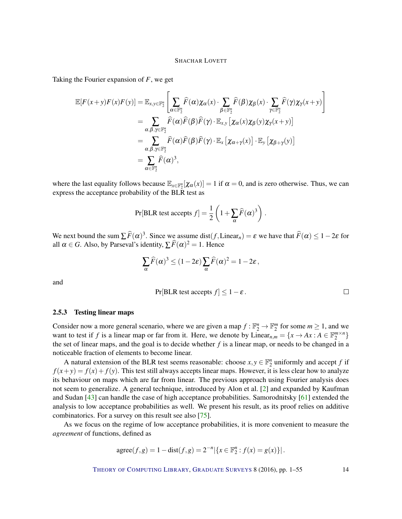<span id="page-13-0"></span>Taking the Fourier expansion of *F*, we get

$$
\mathbb{E}[F(x+y)F(x)F(y)] = \mathbb{E}_{x,y \in \mathbb{F}_2^n} \left[ \sum_{\alpha \in \mathbb{F}_2^n} \widehat{F}(\alpha) \chi_{\alpha}(x) \cdot \sum_{\beta \in \mathbb{F}_2^n} \widehat{F}(\beta) \chi_{\beta}(x) \cdot \sum_{\gamma \in \mathbb{F}_2^n} \widehat{F}(\gamma) \chi_{\gamma}(x+y) \right]
$$
  
\n
$$
= \sum_{\alpha,\beta,\gamma \in \mathbb{F}_2^n} \widehat{F}(\alpha) \widehat{F}(\beta) \widehat{F}(\gamma) \cdot \mathbb{E}_{x,y} \left[ \chi_{\alpha}(x) \chi_{\beta}(y) \chi_{\gamma}(x+y) \right]
$$
  
\n
$$
= \sum_{\alpha,\beta,\gamma \in \mathbb{F}_2^n} \widehat{F}(\alpha) \widehat{F}(\beta) \widehat{F}(\gamma) \cdot \mathbb{E}_x \left[ \chi_{\alpha+\gamma}(x) \right] \cdot \mathbb{E}_y \left[ \chi_{\beta+\gamma}(y) \right]
$$
  
\n
$$
= \sum_{\alpha \in \mathbb{F}_2^n} \widehat{F}(\alpha)^3,
$$

where the last equality follows because  $\mathbb{E}_{x \in \mathbb{F}_2^n}[\chi_\alpha(x)] = 1$  if  $\alpha = 0$ , and is zero otherwise. Thus, we can express the acceptance probability of the BLR test as

$$
Pr[BLR \text{ test accepts } f] = \frac{1}{2} \left( 1 + \sum_{\alpha} \widehat{F}(\alpha)^3 \right).
$$

We next bound the sum  $\sum \widehat{F}(\alpha)^3$ . Since we assume dist(*f*, Linear<sub>n</sub>) =  $\varepsilon$  we have that  $\widehat{F}(\alpha) \le 1-2\varepsilon$  for all  $\alpha \in G$ . Also, by Parseval's identity,  $\sum \widehat{F}(\alpha)^2 = 1$ . Hence

$$
\sum_{\alpha} \widehat{F}(\alpha)^3 \le (1 - 2\varepsilon) \sum_{\alpha} \widehat{F}(\alpha)^2 = 1 - 2\varepsilon,
$$

and

$$
Pr[BLR \text{ test accepts } f] \leq 1 - \varepsilon.
$$

#### 2.5.3 Testing linear maps

Consider now a more general scenario, where we are given a map  $f : \mathbb{F}_2^n \to \mathbb{F}_2^m$  for some  $m \ge 1$ , and we want to test if *f* is a linear map or far from it. Here, we denote by Linear<sub>n,*m*</sub> = { $x \rightarrow Ax : A \in \mathbb{F}_2^{m \times n}$ } the set of linear maps, and the goal is to decide whether *f* is a linear map, or needs to be changed in a noticeable fraction of elements to become linear.

A natural extension of the BLR test seems reasonable: choose  $x, y \in \mathbb{F}_2^n$  uniformly and accept *f* if  $f(x+y) = f(x) + f(y)$ . This test still always accepts linear maps. However, it is less clear how to analyze its behaviour on maps which are far from linear. The previous approach using Fourier analysis does not seem to generalize. A general technique, introduced by Alon et al. [\[2\]](#page-48-2) and expanded by Kaufman and Sudan [\[43\]](#page-51-4) can handle the case of high acceptance probabilities. Samorodnitsky [\[61\]](#page-52-0) extended the analysis to low acceptance probabilities as well. We present his result, as its proof relies on additive combinatorics. For a survey on this result see also [\[75\]](#page-53-2).

As we focus on the regime of low acceptance probabilities, it is more convenient to measure the *agreement* of functions, defined as

$$
agree(f, g) = 1 - dist(f, g) = 2^{-n} |\{x \in \mathbb{F}_2^n : f(x) = g(x)\}|.
$$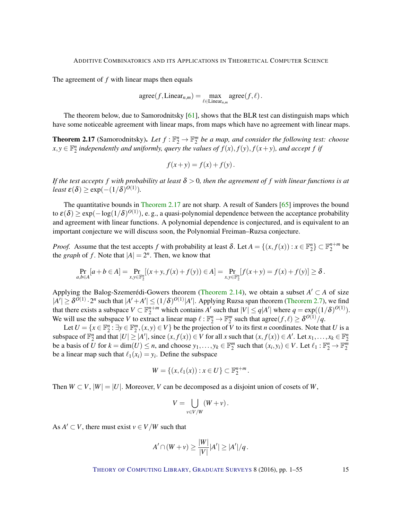<span id="page-14-1"></span>The agreement of *f* with linear maps then equals

$$
agree(f, Linear_{n,m}) = \max_{\ell \in Linear_{n,m}} agree(f, \ell).
$$

The theorem below, due to Samorodnitsky [\[61\]](#page-52-0), shows that the BLR test can distinguish maps which have some noticeable agreement with linear maps, from maps which have no agreement with linear maps.

<span id="page-14-0"></span>**Theorem 2.17** (Samorodnitsky). Let  $f : \mathbb{F}_2^n \to \mathbb{F}_2^m$  be a map, and consider the following test: choose  $f(x,y) \in \mathbb{F}_2^n$  independently and uniformly, query the values of  $f(x)$ ,  $f(y)$ ,  $f(x+y)$ , and accept f if

$$
f(x+y) = f(x) + f(y).
$$

*If the test accepts f* with probability at least  $\delta > 0$ , then the agreement of *f* with linear functions is at  $least \ \varepsilon(\delta) \geq \exp(-(1/\delta)^{O(1)})$ .

The quantitative bounds in [Theorem](#page-14-0) [2.17](#page-14-0) are not sharp. A result of Sanders [\[65\]](#page-52-1) improves the bound to  $\varepsilon(\delta) \geq \exp(-\log(1/\delta)^{O(1)}),$  e.g., a quasi-polynomial dependence between the acceptance probability and agreement with linear functions. A polynomial dependence is conjectured, and is equivalent to an important conjecture we will discuss soon, the Polynomial Freiman–Ruzsa conjecture.

*Proof.* Assume that the test accepts *f* with probability at least  $\delta$ . Let  $A = \{(x, f(x)) : x \in \mathbb{F}_2^n\} \subset \mathbb{F}_2^{n+m}$  be the *graph* of *f*. Note that  $|A| = 2^n$ . Then, we know that

$$
\Pr_{a,b\in A}[a+b\in A] = \Pr_{x,y\in \mathbb{F}_2^n}[(x+y, f(x)+f(y))\in A] = \Pr_{x,y\in \mathbb{F}_2^n}[f(x+y) = f(x)+f(y)] \ge \delta.
$$

Applying the Balog-Szemerédi-Gowers theorem [\(Theorem](#page-8-0) [2.14\)](#page-8-0), we obtain a subset  $A' \subset A$  of size  $|A'| \geq \delta^{O(1)} \cdot 2^n$  such that  $|A' + A'| \leq (1/\delta)^{O(1)} |A'|$ . Applying Ruzsa span theorem [\(Theorem](#page-5-0) [2.7\)](#page-5-0), we find that there exists a subspace  $V \subset \mathbb{F}_2^{n+m}$  which contains *A'* such that  $|V| \le q|A'|$  where  $q = \exp((1/\delta)^{O(1)})$ . We will use the subspace *V* to extract a linear map  $\ell : \mathbb{F}_2^n \to \mathbb{F}_2^m$  such that agree $(f, \ell) \geq \delta^{O(1)}/q$ .

Let  $U = \{x \in \mathbb{F}_2^n : \exists y \in \mathbb{F}_2^m, (x, y) \in V\}$  be the projection of *V* to its first *n* coordinates. Note that *U* is a subspace of  $\mathbb{F}_2^n$  and that  $|U| \geq |A'|$ , since  $(x, f(x)) \in V$  for all x such that  $(x, f(x)) \in A'$ . Let  $x_1, \ldots, x_k \in \mathbb{F}_2^n$ be a basis of  $\overline{U}$  for  $k = \dim(U) \le n$ , and choose  $y_1, \ldots, y_k \in \mathbb{F}_2^m$  such that  $(x_i, y_i) \in V$ . Let  $\ell_1 : \mathbb{F}_2^n \to \mathbb{F}_2^m$ be a linear map such that  $\ell_1(x_i) = y_i$ . Define the subspace

$$
W = \{(x,\ell_1(x)) : x \in U\} \subset \mathbb{F}_2^{n+m}.
$$

Then  $W \subset V$ ,  $|W| = |U|$ . Moreover, *V* can be decomposed as a disjoint union of cosets of *W*,

$$
V = \bigcup_{v \in V/W} (W + v).
$$

As  $A' \subset V$ , there must exist  $v \in V/W$  such that

$$
A'\cap (W+v)\geq \frac{|W|}{|V|}|A'|\geq |A'|/q\,.
$$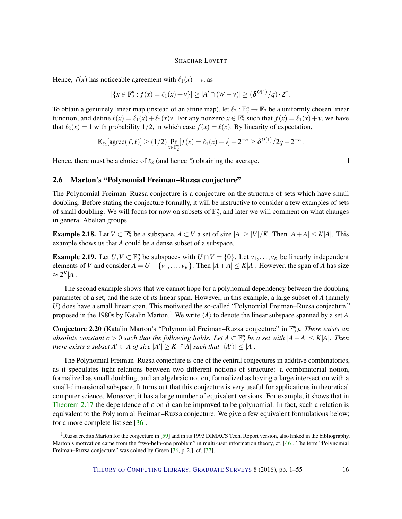<span id="page-15-1"></span>Hence,  $f(x)$  has noticeable agreement with  $\ell_1(x) + v$ , as

$$
|\{x \in \mathbb{F}_2^n : f(x) = \ell_1(x) + v\}| \ge |A' \cap (W + v)| \ge (\delta^{O(1)}/q) \cdot 2^n
$$
.

To obtain a genuinely linear map (instead of an affine map), let  $\ell_2 : \mathbb{F}_2^n \to \mathbb{F}_2$  be a uniformly chosen linear function, and define  $\ell(x) = \ell_1(x) + \ell_2(x)v$ . For any nonzero  $x \in \mathbb{F}_2^n$  such that  $f(x) = \ell_1(x) + v$ , we have that  $\ell_2(x) = 1$  with probability  $1/2$ , in which case  $f(x) = \ell(x)$ . By linearity of expectation,

$$
\mathbb{E}_{\ell_2}[\text{agree}(f,\ell)] \ge (1/2) \Pr_{x \in \mathbb{F}_2^n} [f(x) = \ell_1(x) + \nu] - 2^{-n} \ge \delta^{O(1)}/2q - 2^{-n}.
$$

Hence, there must be a choice of  $\ell_2$  (and hence  $\ell$ ) obtaining the average.

 $\Box$ 

# 2.6 Marton's "Polynomial Freiman–Ruzsa conjecture"

The Polynomial Freiman–Ruzsa conjecture is a conjecture on the structure of sets which have small doubling. Before stating the conjecture formally, it will be instructive to consider a few examples of sets of small doubling. We will focus for now on subsets of  $\mathbb{F}_2^n$ , and later we will comment on what changes in general Abelian groups.

**Example 2.18.** Let  $V \subset \mathbb{F}_2^n$  be a subspace,  $A \subset V$  a set of size  $|A| \geq |V|/K$ . Then  $|A + A| \leq K|A|$ . This example shows us that *A* could be a dense subset of a subspace.

**Example 2.19.** Let  $U, V \subset \mathbb{F}_2^n$  be subspaces with  $U \cap V = \{0\}$ . Let  $v_1, \ldots, v_K$  be linearly independent elements of *V* and consider  $A = U + \{v_1, \ldots, v_K\}$ . Then  $|A + A| \le K|A|$ . However, the span of *A* has size  $\approx 2^K|A|.$ 

The second example shows that we cannot hope for a polynomial dependency between the doubling parameter of a set, and the size of its linear span. However, in this example, a large subset of *A* (namely *U*) does have a small linear span. This motivated the so-called "Polynomial Freiman–Ruzsa conjecture," proposed in the 1980s by Katalin Marton.<sup>1</sup> We write  $\langle A \rangle$  to denote the linear subspace spanned by a set *A*.

<span id="page-15-0"></span>Conjecture 2.20 (Katalin Marton's "Polynomial Freiman–Ruzsa conjecture" in  $\mathbb{F}_2^n$ ). *There exists an absolute constant*  $c > 0$  *such that the following holds. Let*  $A \subset \mathbb{F}_2^n$  *be a set with*  $|A+A| \leq K|A|$ *. Then there exists a subset*  $A' \subset A$  *of size*  $|A'| \geq K^{-c}|A|$  *such that*  $|\langle A' \rangle| \leq |A|$ *.* 

The Polynomial Freiman–Ruzsa conjecture is one of the central conjectures in additive combinatorics, as it speculates tight relations between two different notions of structure: a combinatorial notion, formalized as small doubling, and an algebraic notion, formalized as having a large intersection with a small-dimensional subspace. It turns out that this conjecture is very useful for applications in theoretical computer science. Moreover, it has a large number of equivalent versions. For example, it shows that in [Theorem](#page-14-0) [2.17](#page-14-0) the dependence of  $\varepsilon$  on  $\delta$  can be improved to be polynomial. In fact, such a relation is equivalent to the Polynomial Freiman–Ruzsa conjecture. We give a few equivalent formulations below; for a more complete list see [\[36\]](#page-50-1).

<sup>&</sup>lt;sup>1</sup>Ruzsa credits Marton for the conjecture in [\[59\]](#page-52-2) and in its 1993 DIMACS Tech. Report version, also linked in the bibliography. Marton's motivation came from the "two-help-one problem" in multi-user information theory, cf. [\[46\]](#page-51-5). The term "Polynomial Freiman–Ruzsa conjecture" was coined by Green [\[36,](#page-50-1) p. 2.], cf. [\[37\]](#page-51-6).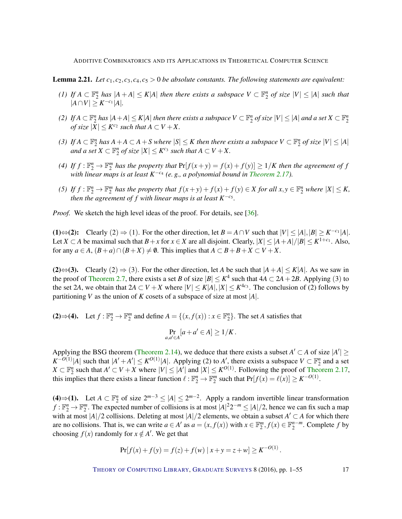<span id="page-16-0"></span>**Lemma 2.21.** *Let*  $c_1, c_2, c_3, c_4, c_5 > 0$  *be absolute constants. The following statements are equivalent:* 

- *(1) If*  $A \subset \mathbb{F}_2^n$  *has*  $|A + A| \le K|A|$  *then there exists a subspace*  $V \subset \mathbb{F}_2^n$  *of size*  $|V| \le |A|$  *such that* | $A ∩ V$ | ≥  $K^{-c_1}$ | $A$ |*.*
- (2) If  $A\subset\mathbb{F}_2^n$  has  $|A+A|\leq K|A|$  then there exists a subspace  $V\subset\mathbb{F}_2^n$  of size  $|V|\leq |A|$  and a set  $X\subset\mathbb{F}_2^n$ *of size*  $|X| \leq K^{c_2}$  *such that*  $A \subset V + X$ .
- (3) If  $A \subset \mathbb{F}_2^n$  has  $A + A \subset A + S$  where  $|S| \leq K$  then there exists a subspace  $V \subset \mathbb{F}_2^n$  of size  $|V| \leq |A|$ *and a set*  $X \subset \mathbb{F}_2^n$  *of size*  $|X| \leq K^{c_3}$  *such that*  $A \subset V + X$ .
- (4) If  $f: \mathbb{F}_2^n \to \mathbb{F}_2^m$  has the property that  $Pr[f(x+y) = f(x) + f(y)] \ge 1/K$  then the agreement of  $f$ *with linear maps is at least K*−*c*<sup>4</sup> *(e. g., a polynomial bound in [Theorem](#page-14-0) [2.17\)](#page-14-0).*
- (5) If  $f: \mathbb{F}_2^n \to \mathbb{F}_2^m$  has the property that  $f(x+y) + f(x) + f(y) \in X$  for all  $x, y \in \mathbb{F}_2^n$  where  $|X| \leq K$ , *then the agreement of f with linear maps is at least*  $K^{-c}$ <sup>5</sup>.

*Proof.* We sketch the high level ideas of the proof. For details, see [\[36\]](#page-50-1).

(1)⇔(2): Clearly (2) ⇒ (1). For the other direction, let  $B = A \cap V$  such that  $|V| \le |A|, |B| \ge K^{-c_1} |A|$ . Let *X*  $\subset$  *A* be maximal such that *B* + *x* for *x*  $\in$  *X* are all disjoint. Clearly,  $|X| \le |A + A|/|B| \le K^{1+c_1}$ . Also, for any  $a \in A$ ,  $(B+a) \cap (B+X) \neq \emptyset$ . This implies that  $A \subset B+B+X \subset V+X$ .

(2)⇔(3). Clearly (2) ⇒ (3). For the other direction, let *A* be such that  $|A + A| \le K|A|$ . As we saw in the proof of [Theorem](#page-5-0) [2.7,](#page-5-0) there exists a set *B* of size  $|B| \le K^4$  such that  $4A \subset 2A + 2B$ . Applying (3) to the set 2*A*, we obtain that  $2A \subset V + X$  where  $|V| \le K|A|, |X| \le K^{4c_3}$ . The conclusion of (2) follows by partitioning *V* as the union of *K* cosets of a subspace of size at most |*A*|.

(2)  $\Rightarrow$  (4). Let *f* :  $\mathbb{F}_2^n$  →  $\mathbb{F}_2^m$  and define *A* = {(*x*, *f*(*x*)) : *x* ∈  $\mathbb{F}_2^n$ }. The set *A* satisfies that

$$
\Pr_{a,a'\in A}[a+a'\in A]\geq 1/K.
$$

Applying the BSG theorem [\(Theorem](#page-8-0) [2.14\)](#page-8-0), we deduce that there exists a subset  $A' \subset A$  of size  $|A'| \ge$  $K^{-O(1)}|A|$  such that  $|A' + A'| \leq K^{O(1)}|A|$ . Applying (2) to *A*', there exists a subspace  $V \subset \mathbb{F}_2^n$  and a set  $X \subset \mathbb{F}_2^n$  such that  $A' \subset V + X$  where  $|V| \leq |A'|$  and  $|X| \leq K^{O(1)}$ . Following the proof of [Theorem](#page-14-0) [2.17,](#page-14-0) this implies that there exists a linear function  $\ell : \mathbb{F}_2^n \to \mathbb{F}_2^m$  such that  $Pr[f(x) = \ell(x)] \ge K^{-O(1)}$ .

(4)  $\Rightarrow$  (1). Let *A* ⊂  $\mathbb{F}_2^n$  of size  $2^{m-3} \leq |A| \leq 2^{m-2}$ . Apply a random invertible linear transformation  $f: \mathbb{F}_2^n \to \mathbb{F}_2^m$ . The expected number of collisions is at most  $|A|^2 2^{-m} \leq |A|/2$ , hence we can fix such a map with at most  $|A|/2$  collisions. Deleting at most  $|A|/2$  elements, we obtain a subset  $A' \subset A$  for which there are no collisions. That is, we can write  $a \in A'$  as  $a = (x, f(x))$  with  $x \in \mathbb{F}_2^m$ ,  $f(x) \in \mathbb{F}_2^{n-m}$ . Complete f by choosing  $f(x)$  randomly for  $x \notin A'$ . We get that

$$
Pr[f(x) + f(y) = f(z) + f(w) | x + y = z + w] \ge K^{-O(1)}.
$$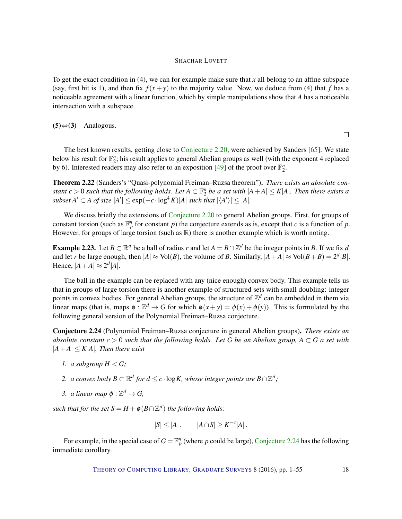<span id="page-17-1"></span>To get the exact condition in (4), we can for example make sure that *x* all belong to an affine subspace (say, first bit is 1), and then fix  $f(x + y)$  to the majority value. Now, we deduce from (4) that *f* has a noticeable agreement with a linear function, which by simple manipulations show that *A* has a noticeable intersection with a subspace.

 $(5)$ ⇔ $(3)$  Analogous.

 $\Box$ 

The best known results, getting close to [Conjecture](#page-15-0) [2.20,](#page-15-0) were achieved by Sanders [\[65\]](#page-52-1). We state below his result for  $\mathbb{F}_2^n$ ; his result applies to general Abelian groups as well (with the exponent 4 replaced by 6). Interested readers may also refer to an exposition [\[49\]](#page-51-0) of the proof over  $\mathbb{F}_2^n$ .

Theorem 2.22 (Sanders's "Quasi-polynomial Freiman–Ruzsa theorem"). *There exists an absolute constant*  $c > 0$  such that the following holds. Let  $A \subset \mathbb{F}_2^n$  be a set with  $|A + A| \leq K|A|$ *. Then there exists a*  $subset A' \subset A$  of  $size |A'| \leq exp(-c \cdot log^4 K)|A|$  *such that*  $|\langle A' \rangle| \leq |A|$ *.* 

We discuss briefly the extensions of [Conjecture](#page-15-0) [2.20](#page-15-0) to general Abelian groups. First, for groups of constant torsion (such as  $\mathbb{F}_p^n$  for constant *p*) the conjecture extends as is, except that *c* is a function of *p*. However, for groups of large torsion (such as  $\mathbb R$ ) there is another example which is worth noting.

**Example 2.23.** Let  $B \subset \mathbb{R}^d$  be a ball of radius *r* and let  $A = B \cap \mathbb{Z}^d$  be the integer points in *B*. If we fix *d* and let *r* be large enough, then  $|A| \approx \text{Vol}(B)$ , the volume of *B*. Similarly,  $|A + A| \approx \text{Vol}(B + B) = 2^d |B|$ . Hence,  $|A+A| \approx 2^d |A|$ .

The ball in the example can be replaced with any (nice enough) convex body. This example tells us that in groups of large torsion there is another example of structured sets with small doubling: integer points in convex bodies. For general Abelian groups, the structure of  $\mathbb{Z}^d$  can be embedded in them via linear maps (that is, maps  $\phi : \mathbb{Z}^d \to G$  for which  $\phi(x+y) = \phi(x) + \phi(y)$ ). This is formulated by the following general version of the Polynomial Freiman–Ruzsa conjecture.

<span id="page-17-0"></span>Conjecture 2.24 (Polynomial Freiman–Ruzsa conjecture in general Abelian groups). *There exists an absolute constant*  $c > 0$  *such that the following holds. Let G be an Abelian group,*  $A \subset G$  *a set with*  $|A+A| \leq K|A|$ *. Then there exist* 

- *1. a subgroup*  $H < G$ ;
- 2. *a convex body*  $B \subset \mathbb{R}^d$  for  $d \leq c \cdot \log K$ , whose integer points are  $B \cap \mathbb{Z}^d$ ;
- 3. *a linear map*  $\phi : \mathbb{Z}^d \to G$ ,

*such that for the set*  $S = H + \phi(B \cap \mathbb{Z}^d)$  *the following holds:* 

$$
|S| \le |A|, \qquad |A \cap S| \ge K^{-c}|A|.
$$

For example, in the special case of  $G = \mathbb{F}_p^n$  (where *p* could be large), [Conjecture](#page-17-0) [2.24](#page-17-0) has the following immediate corollary.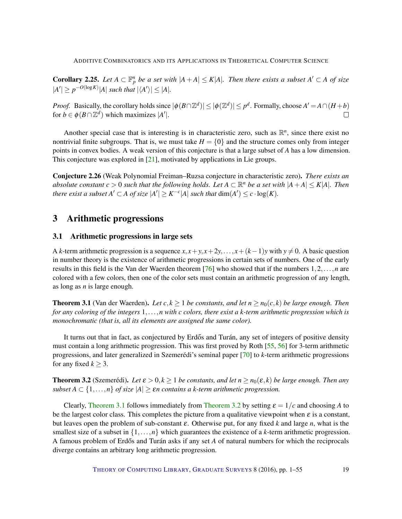<span id="page-18-3"></span>**Corollary 2.25.** Let  $A \subset \mathbb{F}_p^n$  be a set with  $|A + A| \le K|A|$ . Then there exists a subset  $A' \subset A$  of size  $|A'| \geq p^{-O(\log K)}|A|$  *such that*  $|\langle A' \rangle| \leq |A|$ *.* 

*Proof.* Basically, the corollary holds since  $|\phi(B \cap \mathbb{Z}^d)| \leq |\phi(\mathbb{Z}^d)| \leq p^d$ . Formally, choose  $A' = A \cap (H + b)$ for  $b \in \phi(B \cap \mathbb{Z}^d)$  which maximizes  $|A'|$ .  $\Box$ 

Another special case that is interesting is in characteristic zero, such as  $\mathbb{R}^n$ , since there exist no nontrivial finite subgroups. That is, we must take  $H = \{0\}$  and the structure comes only from integer points in convex bodies. A weak version of this conjecture is that a large subset of *A* has a low dimension. This conjecture was explored in  $[21]$ , motivated by applications in Lie groups.

Conjecture 2.26 (Weak Polynomial Freiman–Ruzsa conjecture in characteristic zero). *There exists an absolute constant*  $c > 0$  such that the following holds. Let  $A \subset \mathbb{R}^n$  be a set with  $|A + A| \leq K|A|$ . Then *there exist a subset*  $A' \subset A$  *of size*  $|A'| \geq K^{-c} |A|$  *such that*  $\dim(A') \leq c \cdot \log(K)$ *.* 

# 3 Arithmetic progressions

# <span id="page-18-2"></span>3.1 Arithmetic progressions in large sets

A *k*-term arithmetic progression is a sequence  $x$ ,  $x + y$ ,  $x + 2y$ ,...,  $x + (k-1)y$  with  $y \ne 0$ . A basic question in number theory is the existence of arithmetic progressions in certain sets of numbers. One of the early results in this field is the Van der Waerden theorem [\[76\]](#page-53-6) who showed that if the numbers 1,2,...,*n* are colored with a few colors, then one of the color sets must contain an arithmetic progression of any length, as long as *n* is large enough.

<span id="page-18-0"></span>**Theorem 3.1** (Van der Waerden). *Let*  $c, k \geq 1$  *be constants, and let*  $n \geq n_0(c, k)$  *be large enough. Then for any coloring of the integers* 1,...,*n with c colors, there exist a k-term arithmetic progression which is monochromatic (that is, all its elements are assigned the same color).*

It turns out that in fact, as conjectured by Erdős and Turán, any set of integers of positive density must contain a long arithmetic progression. This was first proved by Roth [\[55,](#page-52-8) [56\]](#page-52-9) for 3-term arithmetic progressions, and later generalized in Szemerédi's seminal paper [\[70\]](#page-53-7) to *k*-term arithmetic progressions for any fixed  $k \geq 3$ .

<span id="page-18-1"></span>**Theorem 3.2** (Szemerédi). Let  $\varepsilon > 0, k \ge 1$  be constants, and let  $n \ge n_0(\varepsilon, k)$  be large enough. Then any *subset*  $A \subset \{1, \ldots, n\}$  *of size*  $|A| \geq \varepsilon n$  *contains a k-term arithmetic progression.* 

Clearly, [Theorem](#page-18-1) [3.1](#page-18-0) follows immediately from Theorem [3.2](#page-18-1) by setting  $\varepsilon = 1/c$  and choosing *A* to be the largest color class. This completes the picture from a qualitative viewpoint when  $\varepsilon$  is a constant, but leaves open the problem of sub-constant  $\varepsilon$ . Otherwise put, for any fixed k and large n, what is the smallest size of a subset in  $\{1, \ldots, n\}$  which guarantees the existence of a *k*-term arithmetic progression. A famous problem of Erdős and Turán asks if any set A of natural numbers for which the reciprocals diverge contains an arbitrary long arithmetic progression.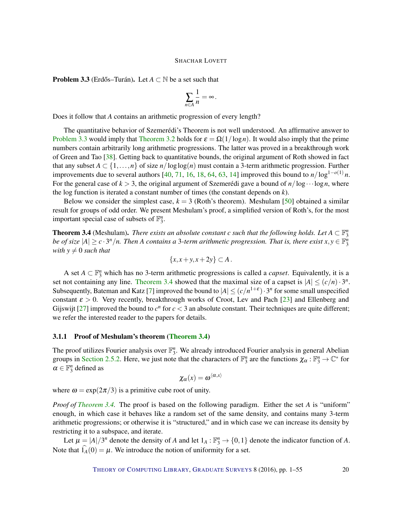<span id="page-19-2"></span><span id="page-19-0"></span>**Problem 3.3** (Erdős–Turán). Let  $A \subset \mathbb{N}$  be a set such that

$$
\sum_{n\in A}\frac{1}{n}=\infty.
$$

Does it follow that *A* contains an arithmetic progression of every length?

The quantitative behavior of Szemerédi's Theorem is not well understood. An affirmative answer to [Problem](#page-19-0) [3.3](#page-19-0) would imply that [Theorem](#page-18-1) [3.2](#page-18-1) holds for  $\varepsilon = \Omega(1/\log n)$ . It would also imply that the prime numbers contain arbitrarily long arithmetic progressions. The latter was proved in a breakthrough work of Green and Tao  $[38]$ . Getting back to quantitative bounds, the original argument of Roth showed in fact that any subset  $A \subset \{1, \ldots, n\}$  of size  $n/\log \log(n)$  must contain a 3-term arithmetic progression. Further improvements due to several authors [\[40,](#page-51-8) [71,](#page-53-8) [16,](#page-49-3) [18,](#page-49-4) [64,](#page-52-10) [63,](#page-52-11) [14\]](#page-49-5) improved this bound to  $n/\log^{1-o(1)} n$ . For the general case of  $k > 3$ , the original argument of Szemerédi gave a bound of  $n/\log \cdots \log n$ , where the log function is iterated a constant number of times (the constant depends on *k*).

Below we consider the simplest case,  $k = 3$  (Roth's theorem). Meshulam [\[50\]](#page-51-9) obtained a similar result for groups of odd order. We present Meshulam's proof, a simplified version of Roth's, for the most important special case of subsets of  $\mathbb{F}_3^n$ .

<span id="page-19-1"></span>**Theorem 3.4** (Meshulam). *There exists an absolute constant c such that the following holds. Let*  $A \subset \mathbb{F}_3^n$ *be of size*  $|A| \ge c \cdot 3^n/n$ . Then A contains a 3-term arithmetic progression. That is, there exist  $x, y \in \mathbb{F}_3^n$ *with*  $y \neq 0$  *such that* 

$$
\{x, x+y, x+2y\} \subset A.
$$

A set  $A \subset \mathbb{F}_3^n$  which has no 3-term arithmetic progressions is called a *capset*. Equivalently, it is a set not containing any line. [Theorem](#page-19-1) [3.4](#page-19-1) showed that the maximal size of a capset is  $|A| \le (c/n) \cdot 3^n$ . Subsequently, Bateman and Katz [\[7\]](#page-48-3) improved the bound to  $|A| \le (c/n^{1+\epsilon}) \cdot 3^n$  for some small unspecified constant  $\varepsilon > 0$ . Very recently, breakthrough works of Croot, Lev and Pach [\[23\]](#page-50-8) and Ellenberg and Gijswijt [\[27\]](#page-50-9) improved the bound to  $c^n$  for  $c < 3$  an absolute constant. Their techniques are quite different; we refer the interested reader to the papers for details.

#### 3.1.1 Proof of Meshulam's theorem [\(Theorem](#page-19-1) [3.4\)](#page-19-1)

The proof utilizes Fourier analysis over  $\mathbb{F}_3^n$ . We already introduced Fourier analysis in general Abelian groups in [Section](#page-12-0) [2.5.2.](#page-12-0) Here, we just note that the characters of  $\mathbb{F}_3^n$  are the functions  $\chi_\alpha : \mathbb{F}_3^n \to \mathbb{C}^*$  for  $\alpha \in \mathbb{F}_3^n$  defined as

$$
\chi_{\alpha}(x)=\boldsymbol{\omega}^{\langle\alpha,x\rangle}
$$

where  $\omega = \exp(2\pi/3)$  is a primitive cube root of unity.

*Proof of [Theorem](#page-19-1) [3.4.](#page-19-1)* The proof is based on the following paradigm. Either the set *A* is "uniform" enough, in which case it behaves like a random set of the same density, and contains many 3-term arithmetic progressions; or otherwise it is "structured," and in which case we can increase its density by restricting it to a subspace, and iterate.

Let  $\mu = |A|/3^n$  denote the density of *A* and let  $1_A : \mathbb{F}_3^n \to \{0,1\}$  denote the indicator function of *A*. Note that  $\widehat{I}_A(0) = \mu$ . We introduce the notion of uniformity for a set.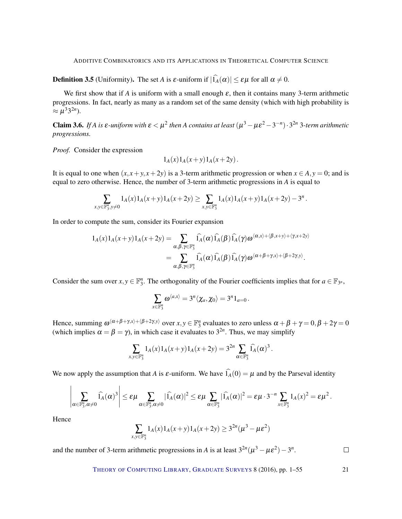**Definition 3.5** (Uniformity). The set *A* is  $\varepsilon$ -uniform if  $|\hat{I}_A(\alpha)| \leq \varepsilon \mu$  for all  $\alpha \neq 0$ .

We first show that if  $A$  is uniform with a small enough  $\varepsilon$ , then it contains many 3-term arithmetic progressions. In fact, nearly as many as a random set of the same density (which with high probability is  $\approx \mu^{3}3^{2n}$ ).

<span id="page-20-0"></span>Claim 3.6. *If A* is  $\varepsilon$ -uniform with  $\varepsilon < \mu^2$  then *A* contains at least  $(\mu^3 - \mu \varepsilon^2 - 3^{-n}) \cdot 3^{2n}$  3-term arithmetic *progressions.*

*Proof.* Consider the expression

$$
1_A(x)1_A(x+y)1_A(x+2y)
$$
.

It is equal to one when  $(x, x + y, x + 2y)$  is a 3-term arithmetic progression or when  $x \in A$ ,  $y = 0$ ; and is equal to zero otherwise. Hence, the number of 3-term arithmetic progressions in *A* is equal to

$$
\sum_{x,y\in\mathbb{F}_3^n, y\neq 0} 1_A(x) 1_A(x+y) 1_A(x+2y) \ge \sum_{x,y\in\mathbb{F}_3^n} 1_A(x) 1_A(x+y) 1_A(x+2y) - 3^n.
$$

In order to compute the sum, consider its Fourier expansion

$$
1_A(x)1_A(x+y)1_A(x+2y) = \sum_{\alpha,\beta,\gamma \in \mathbb{F}_3^n} \widehat{1_A}(\alpha)1_A(\beta)1_A(\gamma)\omega^{\langle \alpha,x \rangle + \langle \beta,x+y \rangle + \langle \gamma,x+2y \rangle}
$$
  
= 
$$
\sum_{\alpha,\beta,\gamma \in \mathbb{F}_3^n} \widehat{1_A}(\alpha)1_A(\beta)1_A(\gamma)\omega^{\langle \alpha+\beta+\gamma,x \rangle + \langle \beta+2\gamma,y \rangle}.
$$

Consider the sum over  $x, y \in \mathbb{F}_3^n$ . The orthogonality of the Fourier coefficients implies that for  $a \in \mathbb{F}_{3^n}$ ,

$$
\sum_{x\in\mathbb{F}_3^n}\omega^{\langle a,x\rangle}=3^n\langle \chi_a,\chi_0\rangle=3^n1_{a=0}\,.
$$

Hence, summing  $\omega^{(\alpha+\beta+\gamma,x)+(\beta+2\gamma,y)}$  over  $x, y \in \mathbb{F}_3^n$  evaluates to zero unless  $\alpha + \beta + \gamma = 0, \beta + 2\gamma = 0$ (which implies  $\alpha = \beta = \gamma$ ), in which case it evaluates to  $3^{2n}$ . Thus, we may simplify

$$
\sum_{x,y \in \mathbb{F}_3^n} 1_A(x) 1_A(x+y) 1_A(x+2y) = 3^{2n} \sum_{\alpha \in \mathbb{F}_3^n} \widehat{1_A}(\alpha)^3.
$$

We now apply the assumption that *A* is  $\varepsilon$ -uniform. We have  $\hat{I}_A(0) = \mu$  and by the Parseval identity

$$
\left|\sum_{\alpha\in\mathbb{F}_3^n,\alpha\neq 0} \widehat{1_A}(\alpha)^3\right|\leq \varepsilon\mu \sum_{\alpha\in\mathbb{F}_3^n,\alpha\neq 0} |\widehat{1_A}(\alpha)|^2\leq \varepsilon\mu \sum_{\alpha\in\mathbb{F}_3^n} |\widehat{1_A}(\alpha)|^2= \varepsilon\mu\cdot 3^{-n}\sum_{x\in\mathbb{F}_3^n} 1_A(x)^2= \varepsilon\mu^2\,.
$$

Hence

$$
\sum_{x,y \in \mathbb{F}_3^n} 1_A(x) 1_A(x+y) 1_A(x+2y) \ge 3^{2n} (\mu^3 - \mu \varepsilon^2)
$$

and the number of 3-term arithmetic progressions in *A* is at least  $3^{2n}(\mu^3 - \mu\epsilon^2) - 3^n$ .

 $\Box$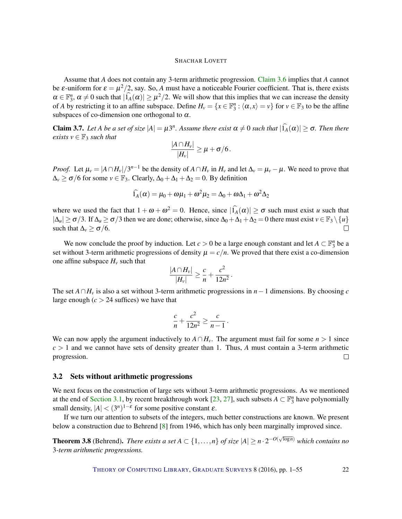<span id="page-21-1"></span>Assume that *A* does not contain any 3-term arithmetic progression. [Claim](#page-20-0) [3.6](#page-20-0) implies that *A* cannot be  $\varepsilon$ -uniform for  $\varepsilon = \mu^2/2$ , say. So, A must have a noticeable Fourier coefficient. That is, there exists  $\alpha \in \mathbb{F}_3^n$ ,  $\alpha \neq 0$  such that  $|\widehat{1}_A(\alpha)| \geq \mu^2/2$ . We will show that this implies that we can increase the density of *A* by restricting it to an affine subspace. Define  $H_v = \{x \in \mathbb{F}_3^n : \langle \alpha, x \rangle = v\}$  for  $v \in \mathbb{F}_3$  to be the affine subspaces of co-dimension one orthogonal to  $\alpha$ .

**Claim 3.7.** Let A be a set of size  $|A| = \mu 3^n$ . Assume there exist  $\alpha \neq 0$  such that  $|\widehat{I}_A(\alpha)| \geq \sigma$ . Then there *exists*  $v \in \mathbb{F}_3$  *such that* 

$$
\frac{|A\cap H_v|}{|H_v|}\geq \mu+\sigma/6.
$$

*Proof.* Let  $\mu_v = |A \cap H_v|/3^{n-1}$  be the density of  $A \cap H_v$  in  $H_v$  and let  $\Delta_v = \mu_v - \mu$ . We need to prove that  $\Delta$ <sup>*v*</sup>  $\geq \sigma/6$  for some *v*  $\in \mathbb{F}_3$ . Clearly,  $\Delta$ <sub>0</sub> +  $\Delta$ <sub>1</sub> +  $\Delta$ <sub>2</sub> = 0. By definition

$$
\widehat{I}_A(\alpha) = \mu_0 + \omega \mu_1 + \omega^2 \mu_2 = \Delta_0 + \omega \Delta_1 + \omega^2 \Delta_2
$$

where we used the fact that  $1 + \omega + \omega^2 = 0$ . Hence, since  $|\widehat{I}_A(\alpha)| \ge \sigma$  such must exist *u* such that  $|\Delta u| \ge \sigma/3$ . If  $\Delta u \ge \sigma/3$  then we are done; otherwise, since  $\Delta_0 + \Delta_1 + \Delta_2 = 0$  there must exist  $v \in \mathbb{F}_3 \setminus \{u\}$ such that  $\Delta$ <sup>*v*</sup>  $\geq \sigma/6$ .  $\Box$ 

We now conclude the proof by induction. Let  $c > 0$  be a large enough constant and let  $A \subset \mathbb{F}_3^n$  be a set without 3-term arithmetic progressions of density  $\mu = c/n$ . We proved that there exist a co-dimension one affine subspace  $H_v$  such that

$$
\frac{|A\cap H_v|}{|H_v|}\geq \frac{c}{n}+\frac{c^2}{12n^2}.
$$

The set  $A \cap H$ <sup>*v*</sup> is also a set without 3-term arithmetic progressions in *n*−1 dimensions. By choosing *c* large enough  $(c > 24$  suffices) we have that

$$
\frac{c}{n} + \frac{c^2}{12n^2} \ge \frac{c}{n-1}.
$$

We can now apply the argument inductively to  $A \cap H_v$ . The argument must fail for some  $n > 1$  since  $c > 1$  and we cannot have sets of density greater than 1. Thus, A must contain a 3-term arithmetic progression.  $\Box$ 

### 3.2 Sets without arithmetic progressions

We next focus on the construction of large sets without 3-term arithmetic progressions. As we mentioned at the end of [Section](#page-18-2) [3.1,](#page-18-2) by recent breakthrough work [\[23,](#page-50-8) [27\]](#page-50-9), such subsets  $A \subset \mathbb{F}_3^n$  have polynomially small density,  $|A| < (3^n)^{1-\epsilon}$  for some positive constant  $\varepsilon$ .

If we turn our attention to subsets of the integers, much better constructions are known. We present below a construction due to Behrend [\[8\]](#page-49-6) from 1946, which has only been marginally improved since.

<span id="page-21-0"></span>**Theorem 3.8** (Behrend). *There exists a set*  $A \subset \{1,\ldots,n\}$  *of size*  $|A| \ge n \cdot 2^{-O(\sqrt{\log n})}$  *which contains no* 3*-term arithmetic progressions.*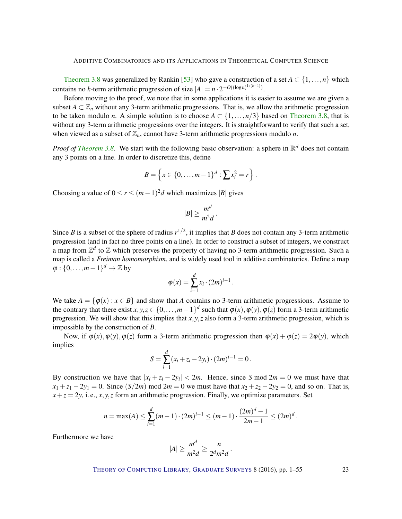<span id="page-22-0"></span>[Theorem](#page-21-0) [3.8](#page-21-0) was generalized by Rankin [\[53\]](#page-52-12) who gave a construction of a set  $A \subset \{1, \ldots, n\}$  which contains no *k*-term arithmetic progression of size  $|A| = n \cdot 2^{-O((\log n)^{1/(k-1)})}$ .

Before moving to the proof, we note that in some applications it is easier to assume we are given a subset  $A \subset \mathbb{Z}_n$  without any 3-term arithmetic progressions. That is, we allow the arithmetic progression to be taken modulo *n*. A simple solution is to choose  $A \subset \{1, \ldots, n/3\}$  based on [Theorem](#page-21-0) [3.8,](#page-21-0) that is without any 3-term arithmetic progressions over the integers. It is straightforward to verify that such a set, when viewed as a subset of  $\mathbb{Z}_n$ , cannot have 3-term arithmetic progressions modulo *n*.

*Proof of [Theorem](#page-21-0)* [3.8.](#page-21-0) We start with the following basic observation: a sphere in  $\mathbb{R}^d$  does not contain any 3 points on a line. In order to discretize this, define

$$
B = \left\{ x \in \{0, \ldots, m-1\}^d : \sum x_i^2 = r \right\}.
$$

Choosing a value of  $0 \le r \le (m-1)^2d$  which maximizes |B| gives

$$
|B| \geq \frac{m^d}{m^2d}.
$$

Since *B* is a subset of the sphere of radius  $r^{1/2}$ , it implies that *B* does not contain any 3-term arithmetic progression (and in fact no three points on a line). In order to construct a subset of integers, we construct a map from  $\mathbb{Z}^d$  to  $\mathbb Z$  which preserves the property of having no 3-term arithmetic progression. Such a map is called a *Freiman homomorphism*, and is widely used tool in additive combinatorics. Define a map  $\varphi: \{0, \ldots, m-1\}^d \to \mathbb{Z}$  by

$$
\varphi(x)=\sum_{i=1}^d x_i\cdot (2m)^{i-1}.
$$

We take  $A = \{\varphi(x) : x \in B\}$  and show that *A* contains no 3-term arithmetic progressions. Assume to the contrary that there exist  $x, y, z \in \{0, ..., m-1\}^d$  such that  $\varphi(x), \varphi(y), \varphi(z)$  form a 3-term arithmetic progression. We will show that this implies that *x*, *y*,*z* also form a 3-term arithmetic progression, which is impossible by the construction of *B*.

Now, if  $\varphi(x), \varphi(y), \varphi(z)$  form a 3-term arithmetic progression then  $\varphi(x) + \varphi(z) = 2\varphi(y)$ , which implies

$$
S = \sum_{i=1}^{d} (x_i + z_i - 2y_i) \cdot (2m)^{i-1} = 0.
$$

By construction we have that  $|x_i + z_i - 2y_i| < 2m$ . Hence, since *S* mod  $2m = 0$  we must have that  $x_1 + z_1 - 2y_1 = 0$ . Since  $(S/2m)$  mod  $2m = 0$  we must have that  $x_2 + z_2 - 2y_2 = 0$ , and so on. That is,  $x + z = 2y$ , i. e., *x*, *y*, *z* form an arithmetic progression. Finally, we optimize parameters. Set

$$
n = \max(A) \le \sum_{i=1}^{d} (m-1) \cdot (2m)^{i-1} \le (m-1) \cdot \frac{(2m)^{d}-1}{2m-1} \le (2m)^{d}.
$$

Furthermore we have

$$
|A| \ge \frac{m^d}{m^2 d} \ge \frac{n}{2^d m^2 d}.
$$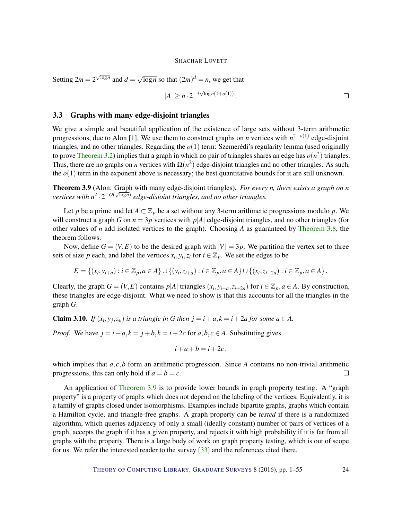<span id="page-23-1"></span>Setting  $2m = 2^{\sqrt{\log n}}$  and  $d =$ √  $\overline{\log n}$  so that  $(2m)^d = n$ , we get that

$$
|A| \ge n \cdot 2^{-3\sqrt{\log n}(1+o(1))} \, .
$$

# 3.3 Graphs with many edge-disjoint triangles

We give a simple and beautiful application of the existence of large sets without 3-term arithmetic progressions, due to Alon [\[1\]](#page-48-4). We use them to construct graphs on *n* vertices with *n* 2−*o*(1) edge-disjoint triangles, and no other triangles. Regarding the *o*(1) term: Szemerédi's regularity lemma (used originally to prove [Theorem](#page-18-1) [3.2\)](#page-18-1) implies that a graph in which no pair of triangles shares an edge has  $o(n^2)$  triangles. Thus, there are no graphs on *n* vertices with  $\Omega(n^2)$  edge-disjoint triangles and no other triangles. As such, the  $o(1)$  term in the exponent above is necessary; the best quantitative bounds for it are still unknown.

<span id="page-23-0"></span>Theorem 3.9 (Alon: Graph with many edge-disjoint triangles). *For every n, there exists a graph on n* √  $\mathit{vertices}$  with  $n^2 \cdot 2^{-O(\sqrt{\log n})}$  edge-disjoint triangles, and no other triangles.

Let *p* be a prime and let  $A \subset \mathbb{Z}_p$  be a set without any 3-term arithmetic progressions modulo *p*. We will construct a graph *G* on  $n = 3p$  vertices with  $p|A|$  edge-disjoint triangles, and no other triangles (for other values of *n* add isolated vertices to the graph). Choosing *A* as guaranteed by [Theorem](#page-21-0) [3.8,](#page-21-0) the theorem follows.

Now, define  $G = (V, E)$  to be the desired graph with  $|V| = 3p$ . We partition the vertex set to three sets of size *p* each, and label the vertices  $x_i, y_i, z_i$  for  $i \in \mathbb{Z}_p$ . We set the edges to be

$$
E = \{(x_i, y_{i+a}) : i \in \mathbb{Z}_p, a \in A\} \cup \{(y_i, z_{i+a}) : i \in \mathbb{Z}_p, a \in A\} \cup \{(x_i, z_{i+2a}) : i \in \mathbb{Z}_p, a \in A\}.
$$

Clearly, the graph  $G = (V, E)$  contains  $p|A|$  triangles  $(x_i, y_{i+a}, z_{i+2a})$  for  $i \in \mathbb{Z}_p, a \in A$ . By construction, these triangles are edge-disjoint. What we need to show is that this accounts for all the triangles in the graph *G*.

**Claim 3.10.** *If*  $(x_i, y_j, z_k)$  *is a triangle in G then*  $j = i + a, k = i + 2a$  *for some*  $a \in A$ *.* 

*Proof.* We have  $j = i + a$ ,  $k = j + b$ ,  $k = i + 2c$  for  $a, b, c \in A$ . Substituting gives

$$
i+a+b=i+2c,
$$

which implies that *a*, *c*,*b* form an arithmetic progression. Since *A* contains no non-trivial arithmetic progressions, this can only hold if  $a = b = c$ .  $\Box$ 

An application of [Theorem](#page-23-0) [3.9](#page-23-0) is to provide lower bounds in graph property testing. A "graph property" is a property of graphs which does not depend on the labeling of the vertices. Equivalently, it is a family of graphs closed under isomorphisms. Examples include bipartite graphs, graphs which contain a Hamilton cycle, and triangle-free graphs. A graph property can be *tested* if there is a randomized algorithm, which queries adjacency of only a small (ideally constant) number of pairs of vertices of a graph, accepts the graph if it has a given property, and rejects it with high probability if it is far from all graphs with the property. There is a large body of work on graph property testing, which is out of scope for us. We refer the interested reader to the survey [\[33\]](#page-50-10) and the references cited there.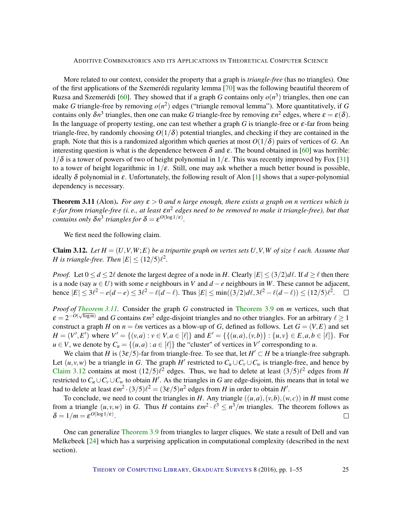<span id="page-24-2"></span>More related to our context, consider the property that a graph is *triangle-free* (has no triangles). One of the first applications of the Szemerédi regularity lemma [\[70\]](#page-53-7) was the following beautiful theorem of Ruzsa and Szemerédi [\[60\]](#page-52-13). They showed that if a graph *G* contains only  $o(n^3)$  triangles, then one can make *G* triangle-free by removing  $o(n^2)$  edges ("triangle removal lemma"). More quantitatively, if *G* contains only  $\delta n^3$  triangles, then one can make *G* triangle-free by removing  $\epsilon n^2$  edges, where  $\epsilon = \epsilon(\delta)$ . In the language of property testing, one can test whether a graph *G* is triangle-free or ε-far from being triangle-free, by randomly choosing  $O(1/\delta)$  potential triangles, and checking if they are contained in the graph. Note that this is a randomized algorithm which queries at most  $O(1/\delta)$  pairs of vertices of *G*. An interesting question is what is the dependence between  $\delta$  and  $\varepsilon$ . The bound obtained in [\[60\]](#page-52-13) was horrible:  $1/\delta$  is a tower of powers of two of height polynomial in  $1/\epsilon$ . This was recently improved by Fox [\[31\]](#page-50-11) to a tower of height logarithmic in  $1/\varepsilon$ . Still, one may ask whether a much better bound is possible, ideally  $\delta$  polynomial in  $\varepsilon$ . Unfortunately, the following result of Alon [\[1\]](#page-48-4) shows that a super-polynomial dependency is necessary.

<span id="page-24-0"></span>**Theorem 3.11** (Alon). *For any*  $\varepsilon > 0$  *and n large enough, there exists a graph on n vertices which is*  $\varepsilon$ -far from triangle-free (i. e., at least  $\varepsilon n^2$  edges need to be removed to make it triangle-free), but that *contains only*  $\delta n^3$  *triangles for*  $\delta = \varepsilon^{O(\log 1/\varepsilon)}$ *.* 

We first need the following claim.

<span id="page-24-1"></span>**Claim 3.12.** Let  $H = (U, V, W; E)$  be a tripartite graph on vertex sets U, V, W of size  $\ell$  each. Assume that *H* is triangle-free. Then  $|E| \leq (12/5)\ell^2$ .

*Proof.* Let  $0 \le d \le 2\ell$  denote the largest degree of a node in *H*. Clearly  $|E| \le (3/2)d\ell$ . If  $d > \ell$  then there is a node (say *u* ∈ *U*) with some *e* neighbours in *V* and *d* −*e* neighbours in *W*. These cannot be adjacent, hence  $|E|$  ≤ 3 $\ell^2 - e(d-e)$  ≤ 3 $\ell^2 - \ell(d-\ell)$ . Thus  $|E|$  ≤ min((3/2) $d\ell$ ,3 $\ell^2 - \ell(d-\ell)$ ) ≤ (12/5) $\ell^2$ .

*Proof of [Theorem](#page-23-0) [3.11.](#page-24-0)* Consider the graph *G* constructed in Theorem [3.9](#page-23-0) on *m* vertices, such that  $\varepsilon = 2^{-O(\sqrt{\log m})}$  and *G* contains  $\varepsilon m^2$  edge-disjoint triangles and no other triangles. For an arbitrary  $\ell \ge 1$ construct a graph *H* on  $n = \ell m$  vertices as a blow-up of *G*, defined as follows. Let  $G = (V, E)$  and set  $H = (V', E')$  where  $V' = \{(v, a) : v \in V, a \in [\ell]\}$  and  $E' = \{\{(u, a), (v, b)\} : \{u, v\} \in E, a, b \in [\ell]\}.$  For  $u \in V$ , we denote by  $C_u = \{(u, a) : a \in [\ell]\}$  the "cluster" of vertices in  $V'$  corresponding to *u*.

We claim that *H* is  $(3\varepsilon/5)$ -far from triangle-free. To see that, let  $H' \subset H$  be a triangle-free subgraph. Let  $(u, v, w)$  be a triangle in *G*. The graph *H*<sup> $\prime$ </sup> restricted to  $C_u \cup C_v \cup C_w$  is triangle-free, and hence by [Claim](#page-24-1) [3.12](#page-24-1) contains at most  $(12/5)$  $\ell^2$  edges. Thus, we had to delete at least  $(3/5)$  $\ell^2$  edges from *H* restricted to  $C_u \cup C_v \cup C_w$  to obtain *H'*. As the triangles in *G* are edge-disjoint, this means that in total we had to delete at least  $\epsilon m^2 \cdot (3/5)\ell^2 = (3\epsilon/5)n^2$  edges from *H* in order to obtain *H'*.

To conclude, we need to count the triangles in *H*. Any triangle  $((u,a),(v,b),(w,c))$  in *H* must come from a triangle  $(u, v, w)$  in *G*. Thus *H* contains  $\epsilon m^2 \cdot \ell^3 \leq n^3/m$  triangles. The theorem follows as  $\delta = 1/m = \varepsilon^{O(\log 1/\varepsilon)}.$  $\Box$ 

One can generalize [Theorem](#page-23-0) [3.9](#page-23-0) from triangles to larger cliques. We state a result of Dell and van Melkebeek [\[24\]](#page-50-12) which has a surprising application in computational complexity (described in the next section).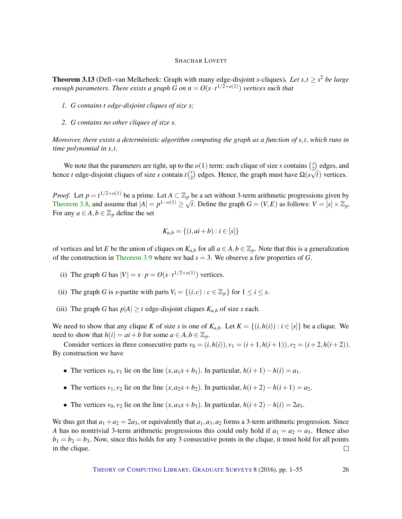<span id="page-25-0"></span>**Theorem 3.13** (Dell–van Melkebeek: Graph with many edge-disjoint *s*-cliques). Let  $s, t \geq s^2$  be large *enough parameters. There exists a graph G on*  $n = O(s \cdot t^{1/2+o(1)})$  *vertices such that* 

- *1. G contains t edge-disjoint cliques of size s;*
- *2. G contains no other cliques of size s.*

*Moreover, there exists a deterministic algorithm computing the graph as a function of s*,*t, which runs in time polynomial in s*,*t.*

We note that the parameters are tight, up to the  $o(1)$  term: each clique of size *s* contains  $\binom{s}{2}$  $\binom{s}{2}$  edges, and hence *t* edge-disjoint cliques of size *s* contain  $t \binom{s}{2}$  $\Omega(s\sqrt{t})$  edges. Hence, the graph must have  $\Omega(s\sqrt{t})$  vertices.

*Proof.* Let  $p = t^{1/2 + o(1)}$  be a prime. Let  $A \subset \mathbb{Z}_p$  be a set without 3-term arithmetic progressions given by [Theorem](#page-21-0) [3.8,](#page-21-0) and assume that  $|A| = p^{1-o(1)} \ge \sqrt{t}$ . Define the graph  $G = (V, E)$  as follows:  $V = [s] \times \mathbb{Z}_p$ . For any  $a \in A$ ,  $b \in \mathbb{Z}_p$  define the set

$$
K_{a,b} = \{(i, ai+b) : i \in [s]\}
$$

of vertices and let *E* be the union of cliques on  $K_{a,b}$  for all  $a \in A, b \in \mathbb{Z}_p$ . Note that this is a generalization of the construction in [Theorem](#page-23-0) [3.9](#page-23-0) where we had *s* = 3. We observe a few properties of *G*.

- (i) The graph *G* has  $|V| = s \cdot p = O(s \cdot t^{1/2 + o(1)})$  vertices.
- (ii) The graph *G* is *s*-partite with parts  $V_i = \{(i, c) : c \in \mathbb{Z}_p\}$  for  $1 \le i \le s$ .
- (iii) The graph *G* has  $p|A| \ge t$  edge-disjoint cliques  $K_{a,b}$  of size *s* each.

We need to show that any clique *K* of size *s* is one of  $K_{a,b}$ . Let  $K = \{(i, h(i)) : i \in [s]\}$  be a clique. We need to show that  $h(i) = ai + b$  for some  $a \in A, b \in \mathbb{Z}_p$ .

Consider vertices in three consecutive parts  $v_0 = (i, h(i)), v_1 = (i+1, h(i+1)), v_2 = (i+2, h(i+2)).$ By construction we have

- The vertices  $v_0$ ,  $v_1$  lie on the line  $(x, a_1x + b_1)$ . In particular,  $h(i+1) h(i) = a_1$ .
- The vertices  $v_1, v_2$  lie on the line  $(x, a_2x + b_2)$ . In particular,  $h(i+2) h(i+1) = a_2$ .
- The vertices  $v_0$ ,  $v_2$  lie on the line  $(x, a_3x + b_3)$ . In particular,  $h(i+2) h(i) = 2a_3$ .

We thus get that  $a_1 + a_2 = 2a_3$ , or equivalently that  $a_1, a_3, a_2$  forms a 3-term arithmetic progression. Since *A* has no nontrivial 3-term arithmetic progressions this could only hold if  $a_1 = a_2 = a_3$ . Hence also  $b_1 = b_2 = b_3$ . Now, since this holds for any 3 consecutive points in the clique, it must hold for all points in the clique.  $\Box$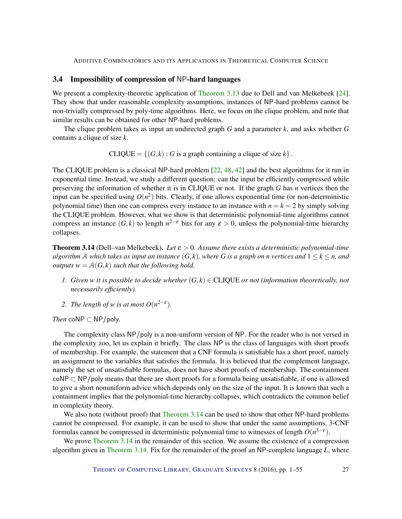# <span id="page-26-1"></span>3.4 Impossibility of compression of NP-hard languages

We present a complexity-theoretic application of [Theorem](#page-25-0) [3.13](#page-25-0) due to Dell and van Melkebeek [\[24\]](#page-50-12). They show that under reasonable complexity assumptions, instances of NP-hard problems cannot be non-trivially compressed by poly-time algorithms. Here, we focus on the clique problem, and note that similar results can be obtained for other NP-hard problems.

The clique problem takes as input an undirected graph *G* and a parameter *k*, and asks whether *G* contains a clique of size *k*.

 $CLIQUE = \{(G, k) : G$  is a graph containing a clique of size  $k\}$ .

The CLIQUE problem is a classical NP-hard problem [\[22,](#page-50-13) [48,](#page-51-10) [42\]](#page-51-11) and the best algorithms for it run in exponential time. Instead, we study a different question: can the input be efficiently compressed while preserving the information of whether it is in CLIQUE or not. If the graph *G* has *n* vertices then the input can be specified using  $O(n^2)$  bits. Clearly, if one allows exponential time (or non-deterministic polynomial time) then one can compress every instance to an instance with  $n = k = 2$  by simply solving the CLIQUE problem. However, what we show is that deterministic polynomial-time algorithms cannot compress an instance  $(G, k)$  to length  $n^{2-\epsilon}$  bits for any  $\varepsilon > 0$ , unless the polynomial-time hierarchy collapses.

<span id="page-26-0"></span>Theorem 3.14 (Dell–van Melkebeek). *Let* ε > 0*. Assume there exists a deterministic polynomial-time algorithm* A *which takes as input an instance*  $(G, k)$ *, where* G *is a graph on n vertices and*  $1 \leq k \leq n$ *, and outputs*  $w = A(G, k)$  *such that the following hold.* 

- *1. Given w it is possible to decide whether*  $(G, k) \in \text{CLIQUE}$  *or not (information theoretically, not necessarily efficiently).*
- 2. *The length of w is at most*  $O(n^{2-\epsilon})$ *.*

*Then* coNP  $\subset$  NP/poly.

The complexity class NP/poly is a non-uniform version of NP. For the reader who is not versed in the complexity zoo, let us explain it briefly. The class NP is the class of languages with short proofs of membership. For example, the statement that a CNF formula is satisfiable has a short proof, namely an assignment to the variables that satisfies the formula. It is believed that the complement language, namely the set of unsatisfiable formulas, does not have short proofs of membership. The containment coNP ⊂ NP/poly means that there are short proofs for a formula being unsatisfiable, if one is allowed to give a short nonuniform advice which depends only on the size of the input. It is known that such a containment implies that the polynomial-time hierarchy collapses, which contradicts the common belief in complexity theory.

We also note (without proof) that [Theorem](#page-26-0) [3.14](#page-26-0) can be used to show that other NP-hard problems cannot be compressed. For example, it can be used to show that under the same assumptions, 3-CNF formulas cannot be compressed in deterministic polynomial time to witnesses of length  $O(n^{3-\epsilon})$ .

We prove [Theorem](#page-26-0) [3.14](#page-26-0) in the remainder of this section. We assume the existence of a compression algorithm given in [Theorem](#page-26-0) [3.14.](#page-26-0) Fix for the remainder of the proof an NP-complete language *L*, where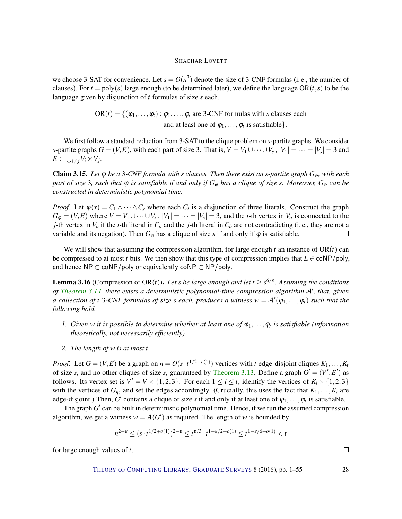we choose 3-SAT for convenience. Let  $s = O(n^3)$  denote the size of 3-CNF formulas (i. e., the number of clauses). For  $t = poly(s)$  large enough (to be determined later), we define the language OR( $t, s$ ) to be the language given by disjunction of *t* formulas of size *s* each.

> $OR(t) = \{(\varphi_1, \ldots, \varphi_t) : \varphi_1, \ldots, \varphi_t \text{ are 3-CNF formulas with } s \text{ clauses each }$ and at least one of  $\varphi_1, \ldots, \varphi_t$  is satisfiable  $\}$ .

We first follow a standard reduction from 3-SAT to the clique problem on *s*-partite graphs. We consider *s*-partite graphs  $G = (V, E)$ , with each part of size 3. That is,  $V = V_1 \cup \cdots \cup V_s$ ,  $|V_1| = \cdots = |V_s| = 3$  and  $E \subset \bigcup_{i \neq j} V_i \times V_j$ .

**Claim 3.15.** Let  $\varphi$  be a 3-CNF formula with *s* clauses. Then there exist an *s*-partite graph  $G_{\varphi}$ , with each *part of size* 3*, such that* ϕ *is satisfiable if and only if G*<sup>ϕ</sup> *has a clique of size s. Moreover, G*<sup>ϕ</sup> *can be constructed in deterministic polynomial time.*

*Proof.* Let  $\varphi(x) = C_1 \wedge \cdots \wedge C_s$  where each  $C_i$  is a disjunction of three literals. Construct the graph  $G_{\varphi} = (V, E)$  where  $V = V_1 \cup \cdots \cup V_s$ ,  $|V_1| = \cdots = |V_s| = 3$ , and the *i*-th vertex in  $V_a$  is connected to the *j*-th vertex in  $V_b$  if the *i*-th literal in  $C_a$  and the *j*-th literal in  $C_b$  are not contradicting (i.e., they are not a variable and its negation). Then  $G_{\varphi}$  has a clique of size *s* if and only if  $\varphi$  is satisfiable.  $\Box$ 

We will show that assuming the compression algorithm, for large enough  $t$  an instance of  $OR(t)$  can be compressed to at most *t* bits. We then show that this type of compression implies that  $L \in \text{coNP/poly}$ , and hence  $NP \subset \text{coNP/poly}$  or equivalently  $\text{coNP} \subset NP/\text{poly}$ .

<span id="page-27-0"></span>**Lemma 3.16** (Compression of OR(*t*)). Let *s* be large enough and let  $t \geq s^{6/\epsilon}$ . Assuming the conditions of [Theorem](#page-26-0) [3.14,](#page-26-0) there exists a deterministic polynomial-time compression algorithm A', that, given *a collection of t* 3-CNF formulas of size *s* each, produces a witness  $w = A'(\varphi_1, \ldots, \varphi_t)$  such that the *following hold.*

- *1. Given w it is possible to determine whether at least one of* ϕ1,...,ϕ*<sup>t</sup> is satisfiable (information theoretically, not necessarily efficiently).*
- *2. The length of w is at most t.*

*Proof.* Let  $G = (V, E)$  be a graph on  $n = O(s \cdot t^{1/2 + o(1)})$  vertices with *t* edge-disjoint cliques  $K_1, \ldots, K_t$ of size *s*, and no other cliques of size *s*, guaranteed by [Theorem](#page-25-0) [3.13.](#page-25-0) Define a graph  $G' = (V', E')$  as follows. Its vertex set is  $V' = V \times \{1,2,3\}$ . For each  $1 \le i \le t$ , identify the vertices of  $K_i \times \{1,2,3\}$ with the vertices of  $G_{\varphi_i}$  and set the edges accordingly. (Crucially, this uses the fact that  $K_1, \ldots, K_t$  are edge-disjoint.) Then,  $G'$  contains a clique of size *s* if and only if at least one of  $\varphi_1, \ldots, \varphi_t$  is satisfiable.

The graph  $G'$  can be built in deterministic polynomial time. Hence, if we run the assumed compression algorithm, we get a witness  $w = A(G')$  as required. The length of *w* is bounded by

$$
n^{2-\varepsilon} \le (s \cdot t^{1/2 + o(1)})^{2-\varepsilon} \le t^{\varepsilon/3} \cdot t^{1-\varepsilon/2 + o(1)} \le t^{1-\varepsilon/6 + o(1)} < t
$$

for large enough values of *t*.

THEORY OF C[OMPUTING](http://dx.doi.org/10.4086/toc) LIBRARY, G[RADUATE](http://dx.doi.org/10.4086/toc.gs) SURVEYS 8 (2016), pp. 1–55 28

 $\Box$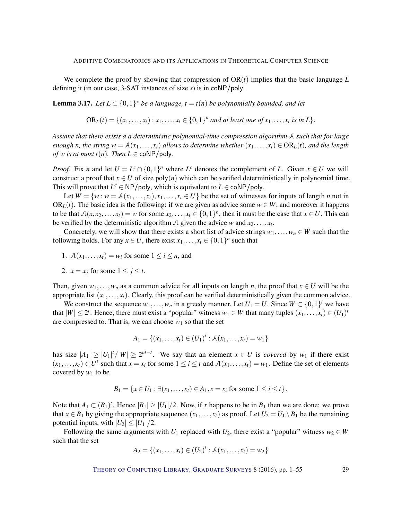We complete the proof by showing that compression of  $OR(t)$  implies that the basic language  $L$ defining it (in our case, 3-SAT instances of size *s*) is in coNP/poly.

<span id="page-28-0"></span>**Lemma 3.17.** Let  $L \subset \{0,1\}^*$  be a language,  $t = t(n)$  be polynomially bounded, and let

 $OR_L(t) = \{(x_1, ..., x_t) : x_1, ..., x_t \in \{0, 1\}^n \text{ and at least one of } x_1, ..., x_t \text{ is in } L\}.$ 

*Assume that there exists a a deterministic polynomial-time compression algorithm* A *such that for large enough n, the string*  $w = A(x_1, \ldots, x_t)$  *allows to determine whether*  $(x_1, \ldots, x_t) \in OR$ <sub>*L*</sub>(*t*)*, and the length of w is at most t(n). Then*  $L \in \text{coNP/poly}$ .

*Proof.* Fix *n* and let  $U = L^c \cap \{0,1\}^n$  where  $L^c$  denotes the complement of *L*. Given  $x \in U$  we will construct a proof that  $x \in U$  of size poly(*n*) which can be verified deterministically in polynomial time. This will prove that  $L^c \in \mathsf{NP/poly}$ , which is equivalent to  $L \in \mathsf{coNP/poly}$ .

Let  $W = \{w : w = A(x_1, \ldots, x_t), x_1, \ldots, x_t \in U\}$  be the set of witnesses for inputs of length *n* not in OR<sub>L</sub>(*t*). The basic idea is the following: if we are given as advice some  $w \in W$ , and moreover it happens to be that  $A(x, x_2,...,x_t) = w$  for some  $x_2,...,x_t \in \{0,1\}^n$ , then it must be the case that  $x \in U$ . This can be verified by the deterministic algorithm A given the advice *w* and  $x_2, \ldots, x_t$ .

Concretely, we will show that there exists a short list of advice strings  $w_1, \ldots, w_n \in W$  such that the following holds. For any  $x \in U$ , there exist  $x_1, \ldots, x_t \in \{0,1\}^n$  such that

- 1.  $A(x_1,...,x_t) = w_i$  for some  $1 \le i \le n$ , and
- 2.  $x = x_j$  for some  $1 \le j \le t$ .

Then, given  $w_1, \ldots, w_n$  as a common advice for all inputs on length *n*, the proof that  $x \in U$  will be the appropriate list  $(x_1, \ldots, x_t)$ . Clearly, this proof can be verified deterministically given the common advice.

We construct the sequence  $w_1, \ldots, w_n$  in a greedy manner. Let  $U_1 = U$ . Since  $W \subset \{0, 1\}^t$  we have that  $|W| \leq 2^t$ . Hence, there must exist a "popular" witness  $w_1 \in W$  that many tuples  $(x_1, \ldots, x_t) \in (U_1)^t$ are compressed to. That is, we can choose  $w_1$  so that the set

$$
A_1 = \{(x_1, \ldots, x_t) \in (U_1)^t : \mathcal{A}(x_1, \ldots, x_t) = w_1\}
$$

has size  $|A_1| \geq |U_1|^t/|W| \geq 2^{nt-t}$ . We say that an element  $x \in U$  is *covered* by  $w_1$  if there exist  $(x_1,...,x_t) \in U^t$  such that  $x = x_i$  for some  $1 \le i \le t$  and  $\mathcal{A}(x_1,...,x_t) = w_1$ . Define the set of elements covered by  $w_1$  to be

$$
B_1 = \{x \in U_1 : \exists (x_1, \ldots, x_t) \in A_1, x = x_i \text{ for some } 1 \le i \le t\}.
$$

Note that  $A_1 \subset (B_1)^t$ . Hence  $|B_1| \geq |U_1|/2$ . Now, if *x* happens to be in  $B_1$  then we are done: we prove that  $x \in B_1$  by giving the appropriate sequence  $(x_1, \ldots, x_t)$  as proof. Let  $U_2 = U_1 \setminus B_1$  be the remaining potential inputs, with  $|U_2| \leq |U_1|/2$ .

Following the same arguments with  $U_1$  replaced with  $U_2$ , there exist a "popular" witness  $w_2 \in W$ such that the set

$$
A_2 = \{(x_1, \ldots, x_t) \in (U_2)^t : \mathcal{A}(x_1, \ldots, x_t) = w_2\}
$$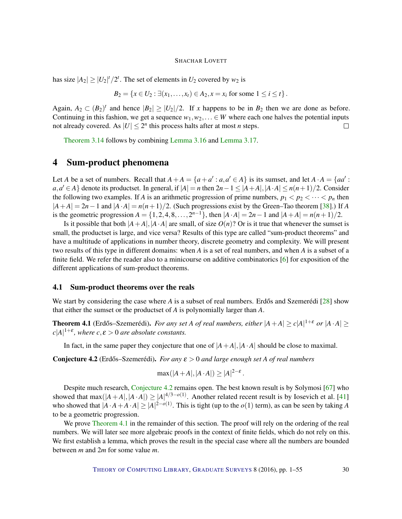<span id="page-29-2"></span>has size  $|A_2| \ge |U_2|^t / 2^t$ . The set of elements in  $U_2$  covered by  $w_2$  is

$$
B_2 = \{x \in U_2 : \exists (x_1, \ldots, x_t) \in A_2, x = x_i \text{ for some } 1 \le i \le t\}.
$$

Again,  $A_2 \subset (B_2)^t$  and hence  $|B_2| \geq |U_2|/2$ . If *x* happens to be in  $B_2$  then we are done as before. Continuing in this fashion, we get a sequence  $w_1, w_2, \ldots \in W$  where each one halves the potential inputs not already covered. As  $|U| \leq 2^n$  this process halts after at most *n* steps.  $\Box$ 

[Theorem](#page-26-0) [3.14](#page-26-0) follows by combining [Lemma](#page-27-0) [3.16](#page-27-0) and [Lemma](#page-28-0) [3.17.](#page-28-0)

# 4 Sum-product phenomena

Let *A* be a set of numbers. Recall that  $A + A = \{a + a' : a, a' \in A\}$  is its sumset, and let  $A \cdot A = \{aa' : a' \in A\}$ *a*,*a'* ∈ *A*} denote its productset. In general, if  $|A| = n$  then  $2n - 1 \le |A + A|$ ,  $|A \cdot A| \le n(n+1)/2$ . Consider the following two examples. If *A* is an arithmetic progression of prime numbers,  $p_1 < p_2 < \cdots < p_n$  then  $|A+A| = 2n-1$  and  $|A \cdot A| = n(n+1)/2$ . (Such progressions exist by the Green–Tao theorem [\[38\]](#page-51-7).) If *A* is the geometric progression  $A = \{1, 2, 4, 8, \ldots, 2^{n-1}\}$ , then  $|A \cdot A| = 2n - 1$  and  $|A + A| = n(n+1)/2$ .

Is it possible that both  $|A+A|$ ,  $|A \cdot A|$  are small, of size  $O(n)$ ? Or is it true that whenever the sumset is small, the productset is large, and vice versa? Results of this type are called "sum-product theorems" and have a multitude of applications in number theory, discrete geometry and complexity. We will present two results of this type in different domains: when *A* is a set of real numbers, and when *A* is a subset of a finite field. We refer the reader also to a minicourse on additive combinatorics [\[6\]](#page-48-0) for exposition of the different applications of sum-product theorems.

# 4.1 Sum-product theorems over the reals

We start by considering the case where  $A$  is a subset of real numbers. Erdős and Szemerédi [ $28$ ] show that either the sumset or the productset of *A* is polynomially larger than *A*.

<span id="page-29-1"></span>**Theorem 4.1** (Erdős–Szemerédi). For any set *A of real numbers, either*  $|A+A| \ge c|A|^{1+\epsilon}$  or  $|A \cdot A| \ge c$  $c|A|^{1+\varepsilon}$ , where  $c, \varepsilon > 0$  are absolute constants.

In fact, in the same paper they conjecture that one of  $|A + A|$ ,  $|A \cdot A|$  should be close to maximal.

<span id="page-29-0"></span>**Conjecture 4.2** (Erdős–Szemerédi). *For any*  $\epsilon > 0$  *and large enough set A of real numbers* 

$$
\max(|A+A|, |A \cdot A|) \ge |A|^{2-\varepsilon}.
$$

Despite much research, [Conjecture](#page-29-0) [4.2](#page-29-0) remains open. The best known result is by Solymosi [\[67\]](#page-53-9) who showed that max $(|A+A|, |A \cdot A|) \geq |A|^{4/3-o(1)}$ . Another related recent result is by Iosevich et al. [\[41\]](#page-51-12) who showed that  $|A \cdot A + A \cdot A| \ge |A|^{2-o(1)}$ . This is tight (up to the *o*(1) term), as can be seen by taking *A* to be a geometric progression.

We prove [Theorem](#page-29-1) [4.1](#page-29-1) in the remainder of this section. The proof will rely on the ordering of the real numbers. We will later see more algebraic proofs in the context of finite fields, which do not rely on this. We first establish a lemma, which proves the result in the special case where all the numbers are bounded between *m* and 2*m* for some value *m*.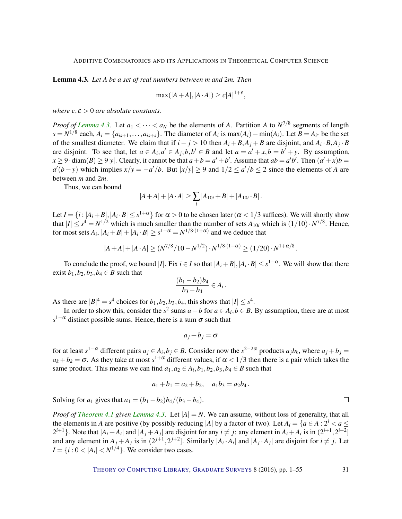<span id="page-30-0"></span>Lemma 4.3. *Let A be a set of real numbers between m and* 2*m. Then*

$$
\max(|A + A|, |A \cdot A|) \ge c|A|^{1+\varepsilon},
$$

*where*  $c, \varepsilon > 0$  *are absolute constants.* 

*Proof of [Lemma](#page-30-0) [4.3.](#page-30-0)* Let  $a_1 < \cdots < a_N$  be the elements of *A*. Partition *A* to  $N^{7/8}$  segments of length  $s = N^{1/8}$  each,  $A_i = \{a_{is+1}, \ldots, a_{is+s}\}\.$  The diameter of  $A_i$  is  $\max(A_i) - \min(A_i)$ . Let  $B = A_{i^*}$  be the set of the smallest diameter. We claim that if  $i - j > 10$  then  $A_i + B_iA_j + B$  are disjoint, and  $A_i \cdot B_iA_j \cdot B_j$ are disjoint. To see that, let  $a \in A_i$ ,  $a' \in A_j$ ,  $b, b' \in B$  and let  $a = a' + x$ ,  $b = b' + y$ . By assumption,  $x \ge 9$  · diam(*B*)  $\ge 9$ |y|. Clearly, it cannot be that  $a + b = a' + b'$ . Assume that  $ab = a'b'$ . Then  $(a' + x)b = b'$  $a'(b-y)$  which implies  $x/y = -a'/b$ . But  $|x/y| \ge 9$  and  $1/2 \le a'/b \le 2$  since the elements of *A* are between *m* and 2*m*.

Thus, we can bound

$$
|A+A|+|A\cdot A|\geq \sum_i |A_{10i}+B|+|A_{10i}\cdot B|.
$$

Let  $I = \{i : |A_i + B|, |A_i \cdot B| \le s^{1+\alpha}\}$  for  $\alpha > 0$  to be chosen later ( $\alpha < 1/3$  suffices). We will shortly show that  $|I| \leq s^4 = N^{1/2}$  which is much smaller than the number of sets  $A_{10i}$  which is  $(1/10) \cdot N^{7/8}$ . Hence, for most sets  $A_i$ ,  $|A_i + B| + |A_i \cdot B| \geq s^{1+\alpha} = N^{1/8 \cdot (1+\alpha)}$  and we deduce that

$$
|A+A|+|A\cdot A| \geq (N^{7/8}/10-N^{1/2})\cdot N^{1/8\cdot(1+\alpha)} \geq (1/20)\cdot N^{1+\alpha/8}.
$$

To conclude the proof, we bound |*I*|. Fix  $i \in I$  so that  $|A_i + B|, |A_i \cdot B| \leq s^{1+\alpha}$ . We will show that there exist  $b_1$ ,  $b_2$ ,  $b_3$ ,  $b_4 \in B$  such that

$$
\frac{(b_1-b_2)b_4}{b_3-b_4} \in A_i.
$$

As there are  $|B|^4 = s^4$  choices for  $b_1, b_2, b_3, b_4$ , this shows that  $|I| \leq s^4$ .

In order to show this, consider the  $s^2$  sums  $a + b$  for  $a \in A_i$ ,  $b \in B$ . By assumption, there are at most  $s^{1+\alpha}$  distinct possible sums. Hence, there is a sum  $\sigma$  such that

$$
a_j+b_j=\sigma
$$

for at least  $s^{1-\alpha}$  different pairs  $a_j \in A_i$ ,  $b_j \in B$ . Consider now the  $s^{2-2\alpha}$  products  $a_jb_k$ , where  $a_j + b_j =$  $a_k + b_k = \sigma$ . As they take at most  $s^{1+\alpha}$  different values, if  $\alpha < 1/3$  then there is a pair which takes the same product. This means we can find  $a_1, a_2 \in A_i, b_1, b_2, b_3, b_4 \in B$  such that

$$
a_1 + b_1 = a_2 + b_2, \quad a_1b_3 = a_2b_4.
$$

Solving for *a*<sub>1</sub> gives that  $a_1 = (b_1 - b_2)b_4/(b_3 - b_4)$ .

*Proof of [Theorem](#page-29-1) [4.1](#page-29-1) given [Lemma](#page-30-0) [4.3.](#page-30-0)* Let  $|A| = N$ . We can assume, without loss of generality, that all the elements in *A* are positive (by possibly reducing |*A*| by a factor of two). Let  $A_i = \{a \in A : 2^i < a \leq a \}$  $2^{i+1}$ . Note that  $|A_i + A_i|$  and  $|A_j + A_j|$  are disjoint for any  $i \neq j$ : any element in  $A_i + A_i$  is in  $(2^{i+1}, 2^{i+2}]$ and any element in  $A_j + A_j$  is in  $(2^{j+1}, 2^{j+2}]$ . Similarly  $|A_i \cdot A_i|$  and  $|A_j \cdot A_j|$  are disjoint for  $i \neq j$ . Let  $I = \{i : 0 < |A_i| < N^{1/4}\}.$  We consider two cases.

THEORY OF C[OMPUTING](http://dx.doi.org/10.4086/toc) LIBRARY, G[RADUATE](http://dx.doi.org/10.4086/toc.gs) SURVEYS 8 (2016), pp. 1–55 31

 $\Box$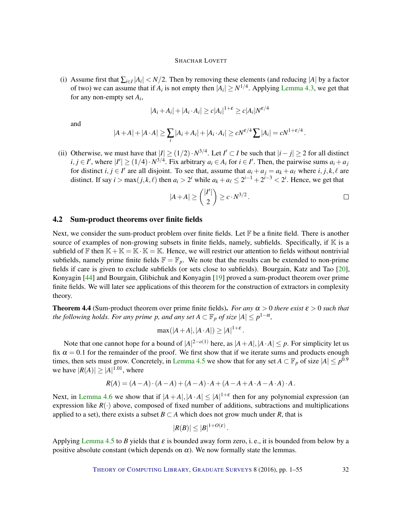<span id="page-31-1"></span>(i) Assume first that  $\sum_{i \in I} |A_i| < N/2$ . Then by removing these elements (and reducing |A| by a factor of two) we can assume that if  $A_i$  is not empty then  $|A_i| \ge N^{1/4}$ . Applying [Lemma](#page-30-0) [4.3,](#page-30-0) we get that for any non-empty set *A<sup>i</sup>* ,

$$
|A_i + A_i| + |A_i \cdot A_i| \ge c|A_i|^{1+\varepsilon} \ge c|A_i|N^{\varepsilon/4}
$$

and

$$
|A+A|+|A\cdot A|\geq \sum_i |A_i+A_i|+|A_i\cdot A_i|\geq cN^{\varepsilon/4}\sum |A_i|=cN^{1+\varepsilon/4}.
$$

(ii) Otherwise, we must have that  $|I| \ge (1/2) \cdot N^{3/4}$ . Let  $I' \subset I$  be such that  $|i-j| \ge 2$  for all distinct  $i, j \in I'$ , where  $|I'| \ge (1/4) \cdot N^{3/4}$ . Fix arbitrary  $a_i \in A_i$  for  $i \in I'$ . Then, the pairwise sums  $a_i + a_j$ for distinct  $i, j \in I'$  are all disjoint. To see that, assume that  $a_i + a_j = a_k + a_\ell$  where  $i, j, k, \ell$  are distinct. If say  $i > \max(j, k, \ell)$  then  $a_i > 2^i$  while  $a_k + a_\ell \leq 2^{i-1} + 2^{i-3} < 2^i$ . Hence, we get that

$$
|A+A| \geq {\binom{|I'|}{2}} \geq c \cdot N^{3/2} \, .
$$

## 4.2 Sum-product theorems over finite fields

Next, we consider the sum-product problem over finite fields. Let  $\mathbb F$  be a finite field. There is another source of examples of non-growing subsets in finite fields, namely, subfields. Specifically, if  $\mathbb K$  is a subfield of F then  $K + K = K \cdot K = K$ . Hence, we will restrict our attention to fields without nontrivial subfields, namely prime finite fields  $\mathbb{F} = \mathbb{F}_p$ . We note that the results can be extended to non-prime fields if care is given to exclude subfields (or sets close to subfields). Bourgain, Katz and Tao [\[20\]](#page-49-7), Konyagin [\[44\]](#page-51-13) and Bourgain, Glibichuk and Konyagin [\[19\]](#page-49-8) proved a sum-product theorem over prime finite fields. We will later see applications of this theorem for the construction of extractors in complexity theory.

<span id="page-31-0"></span>**Theorem 4.4** (Sum-product theorem over prime finite fields). *For any*  $\alpha > 0$  *there exist*  $\varepsilon > 0$  *such that the following holds. For any prime p, and any set*  $A \subset \mathbb{F}_p$  *of size*  $|A| \leq p^{1-\alpha}$ ,

$$
\max(|A+A|, |A \cdot A|) \ge |A|^{1+\varepsilon}.
$$

Note that one cannot hope for a bound of  $|A|^{2-o(1)}$  here, as  $|A+A|, |A \cdot A| \leq p$ . For simplicity let us fix  $\alpha = 0.1$  for the remainder of the proof. We first show that if we iterate sums and products enough times, then sets must grow. Concretely, in [Lemma](#page-32-0) [4.5](#page-32-0) we show that for any set  $A \subset \mathbb{F}_p$  of size  $|A| \le p^{0.9}$ we have  $|R(A)| \geq |A|^{1.01}$ , where

$$
R(A) = (A - A) \cdot (A - A) + (A - A) \cdot A + (A - A + A \cdot A - A \cdot A) \cdot A.
$$

Next, in [Lemma](#page-32-1) [4.6](#page-32-1) we show that if  $|A + A|, |A \cdot A| \leq |A|^{1+\epsilon}$  then for any polynomial expression (an expression like  $R(\cdot)$  above, composed of fixed number of additions, subtractions and multiplications applied to a set), there exists a subset  $B \subset A$  which does not grow much under *R*, that is

$$
|R(B)| \leq |B|^{1+O(\varepsilon)}.
$$

Applying [Lemma](#page-32-0) [4.5](#page-32-0) to *B* yields that  $\varepsilon$  is bounded away form zero, i.e., it is bounded from below by a positive absolute constant (which depends on  $\alpha$ ). We now formally state the lemmas.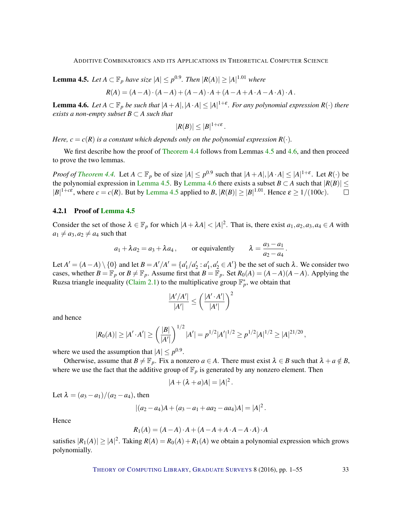<span id="page-32-0"></span>**Lemma 4.5.** Let  $A ⊂ \mathbb{F}_p$  have size  $|A| ≤ p^{0.9}$ . Then  $|R(A)| ≥ |A|^{1.01}$  where

$$
R(A) = (A - A) \cdot (A - A) + (A - A) \cdot A + (A - A + A \cdot A - A \cdot A) \cdot A.
$$

<span id="page-32-1"></span>**Lemma 4.6.** Let  $A \subset \mathbb{F}_p$  be such that  $|A+A|, |A \cdot A| \leq |A|^{1+\varepsilon}$ . For any polynomial expression  $R(\cdot)$  there *exists a non-empty subset*  $B \subset A$  *such that* 

$$
|R(B)| \leq |B|^{1+c\epsilon}.
$$

*Here,*  $c = c(R)$  *is a constant which depends only on the polynomial expression*  $R(.)$ *.* 

We first describe how the proof of [Theorem](#page-31-0) [4.4](#page-31-0) follows from Lemmas [4.5](#page-32-0) and [4.6,](#page-32-1) and then proceed to prove the two lemmas.

*Proof of [Theorem](#page-31-0) [4.4.](#page-31-0)* Let  $A \subset \mathbb{F}_p$  be of size  $|A| \leq p^{0.9}$  such that  $|A + A|, |A \cdot A| \leq |A|^{1+\epsilon}$ . Let  $R(\cdot)$  be the polynomial expression in [Lemma](#page-32-1) [4.5.](#page-32-0) By Lemma [4.6](#page-32-1) there exists a subset *B* ⊂ *A* such that  $|R(B)| \le$  $|B|^{1+c\epsilon}$ , where  $c = c(R)$ . But by [Lemma](#page-32-0) [4.5](#page-32-0) applied to *B*,  $|R(B)| \ge |B|^{1.01}$ . Hence  $\epsilon \ge 1/(100c)$ .  $\Box$ 

#### 4.2.1 Proof of [Lemma](#page-32-0) [4.5](#page-32-0)

Consider the set of those  $\lambda \in \mathbb{F}_p$  for which  $|A + \lambda A| < |A|^2$ . That is, there exist  $a_1, a_2, a_3, a_4 \in A$  with  $a_1 \neq a_3, a_2 \neq a_4$  such that

$$
a_1 + \lambda a_2 = a_3 + \lambda a_4
$$
, or equivalently  $\lambda = \frac{a_3 - a_1}{a_2 - a_4}$ .

Let  $A' = (A - A) \setminus \{0\}$  and let  $B = A'/A' = \{a'_1/a'_2 : a'_1, a'_2 \in A'\}$  be the set of such  $\lambda$ . We consider two cases, whether  $B = \mathbb{F}_p$  or  $B \neq \mathbb{F}_p$ . Assume first that  $B = \mathbb{F}_p$ . Set  $R_0(A) = (A - A)(A - A)$ . Applying the Ruzsa triangle inequality [\(Claim](#page-2-0) [2.1\)](#page-2-0) to the multiplicative group  $\mathbb{F}_p^*$ , we obtain that

$$
\frac{|A'/A'|}{|A'|} \le \left(\frac{|A' \cdot A'|}{|A'|}\right)^2
$$

and hence

$$
|R_0(A)| \geq |A' \cdot A'| \geq \left(\frac{|B|}{|A'|}\right)^{1/2} |A'| = p^{1/2} |A'|^{1/2} \geq p^{1/2} |A|^{1/2} \geq |A|^{21/20},
$$

where we used the assumption that  $|A| \leq p^{0.9}$ .

Otherwise, assume that  $B \neq \mathbb{F}_p$ . Fix a nonzero  $a \in A$ . There must exist  $\lambda \in B$  such that  $\lambda + a \notin B$ , where we use the fact that the additive group of  $\mathbb{F}_p$  is generated by any nonzero element. Then

$$
|A+(\lambda+a)A|=|A|^2.
$$

Let  $\lambda = (a_3 - a_1)/(a_2 - a_4)$ , then

$$
|(a_2-a_4)A + (a_3-a_1+aa_2-aa_4)A| = |A|^2.
$$

Hence

$$
R_1(A) = (A - A) \cdot A + (A - A + A \cdot A - A \cdot A) \cdot A
$$

satisfies  $|R_1(A)| \geq |A|^2$ . Taking  $R(A) = R_0(A) + R_1(A)$  we obtain a polynomial expression which grows polynomially.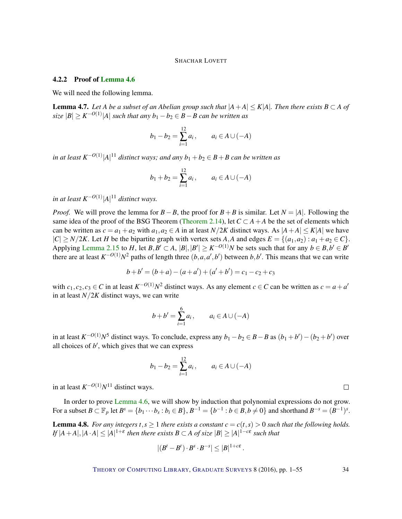#### 4.2.2 Proof of [Lemma](#page-32-1) [4.6](#page-32-1)

We will need the following lemma.

<span id="page-33-1"></span>**Lemma 4.7.** Let A be a subset of an Abelian group such that  $|A+A| \leq K|A|$ . Then there exists  $B \subset A$  of  $\mathit{size}~|B| \geq K^{-O(1)}|A|$  such that any  $b_1 - b_2 \in B - B$  can be written as

$$
b_1 - b_2 = \sum_{i=1}^{12} a_i
$$
,  $a_i \in A \cup (-A)$ 

*in at least K*−*O*(1) |*A*| <sup>11</sup> *distinct ways; and any b*<sup>1</sup> +*b*<sup>2</sup> ∈ *B*+*B can be written as*

$$
b_1 + b_2 = \sum_{i=1}^{12} a_i
$$
,  $a_i \in A \cup (-A)$ 

*in at least K*−*O*(1) |*A*| <sup>11</sup> *distinct ways.*

*Proof.* We will prove the lemma for *B*−*B*, the proof for *B*+*B* is similar. Let *N* = |*A*|. Following the same idea of the proof of the BSG Theorem [\(Theorem](#page-8-0) [2.14\)](#page-8-0), let  $C \subset A + A$  be the set of elements which can be written as  $c = a_1 + a_2$  with  $a_1, a_2 \in A$  in at least  $N/2K$  distinct ways. As  $|A + A| \leq K|A|$  we have  $|C| \geq N/2K$ . Let *H* be the bipartite graph with vertex sets *A*, *A* and edges  $E = \{(a_1, a_2) : a_1 + a_2 \in C\}$ . Applying [Lemma](#page-8-1) [2.15](#page-8-1) to *H*, let *B*,*B'*  $\subset$  *A*,  $|B|$ ,  $|B'| \ge K^{-O(1)}N$  be sets such that for any  $b \in B$ ,  $b' \in B'$ there are at least  $K^{-O(1)}N^2$  paths of length three  $(b, a, a', b')$  between  $b, b'$ . This means that we can write

$$
b+b' = (b+a) - (a+a') + (a'+b') = c_1 - c_2 + c_3
$$

with  $c_1, c_2, c_3 \in C$  in at least  $K^{-O(1)}N^2$  distinct ways. As any element  $c \in C$  can be written as  $c = a + a'$ in at least  $N/2K$  distinct ways, we can write

$$
b + b' = \sum_{i=1}^{6} a_i
$$
,  $a_i \in A \cup (-A)$ 

in at least  $K^{-O(1)}N^5$  distinct ways. To conclude, express any  $b_1 - b_2 \in B - B$  as  $(b_1 + b') - (b_2 + b')$  over all choices of  $b'$ , which gives that we can express

$$
b_1 - b_2 = \sum_{i=1}^{12} a_i
$$
,  $a_i \in A \cup (-A)$ 

in at least  $K^{-O(1)}N^{11}$  distinct ways.

In order to prove [Lemma](#page-32-1) [4.6,](#page-32-1) we will show by induction that polynomial expressions do not grow. For a subset  $B \subset \mathbb{F}_p$  let  $B^s = \{b_1 \cdots b_s : b_i \in B\}$ ,  $B^{-1} = \{b^{-1} : b \in B, b \neq 0\}$  and shorthand  $B^{-s} = (B^{-1})^s$ .

<span id="page-33-0"></span>**Lemma 4.8.** *For any integers*  $t, s \ge 1$  *there exists a constant*  $c = c(t, s) > 0$  *such that the following holds.*  $I$ *f*  $|A + A|, |A \cdot A| \leq |A|^{1+\varepsilon}$  then there exists  $B \subset A$  of size  $|B| \geq |A|^{1-c\varepsilon}$  such that

$$
|(B^t - B^t) \cdot B^s \cdot B^{-s}| \leq |B|^{1+c\epsilon}.
$$

THEORY OF C[OMPUTING](http://dx.doi.org/10.4086/toc) LIBRARY, G[RADUATE](http://dx.doi.org/10.4086/toc.gs) SURVEYS 8 (2016), pp. 1–55 34

 $\Box$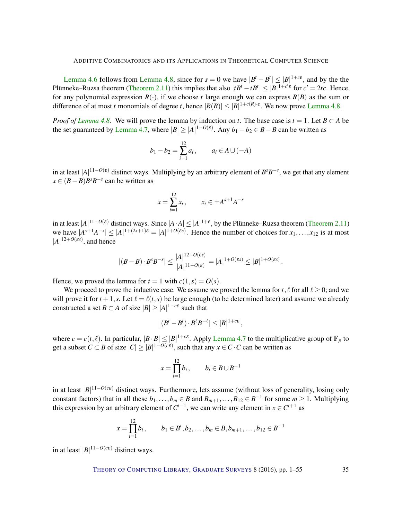[Lemma](#page-33-0) [4.6](#page-32-1) follows from Lemma [4.8,](#page-33-0) since for  $s = 0$  we have  $|B^t - B^t| \leq |B|^{1+c\epsilon}$ , and by the the Plünneke–Ruzsa theorem [\(Theorem](#page-6-1) [2.11\)](#page-6-1) this implies that also  $|tB^t - tB^t| \leq |B|^{1+c'\varepsilon}$  for  $c' = 2tc$ . Hence, for any polynomial expression  $R(.)$ , if we choose *t* large enough we can express  $R(B)$  as the sum or difference of at most *t* monomials of degree *t*, hence  $|R(B)| \le |B|^{1+c(R)\cdot\epsilon}$ . We now prove [Lemma](#page-33-0) [4.8.](#page-33-0)

*Proof of [Lemma](#page-33-0) [4.8.](#page-33-0)* We will prove the lemma by induction on *t*. The base case is  $t = 1$ . Let  $B \subset A$  be the set guaranteed by [Lemma](#page-33-1) [4.7,](#page-33-1) where  $|B| \ge |A|^{1-O(\varepsilon)}$ . Any  $b_1 - b_2 \in B - B$  can be written as

$$
b_1 - b_2 = \sum_{i=1}^{12} a_i
$$
,  $a_i \in A \cup (-A)$ 

in at least  $|A|^{11-O(\varepsilon)}$  distinct ways. Multiplying by an arbitrary element of  $B^sB^{-s}$ , we get that any element  $x \in (B - B)B<sup>s</sup>B<sup>-s</sup>$  can be written as

$$
x = \sum_{i=1}^{12} x_i
$$
,  $x_i \in \pm A^{s+1}A^{-s}$ 

in at least  $|A|^{11-O(\epsilon)}$  distinct ways. Since  $|A \cdot A| \leq |A|^{1+\epsilon}$ , by the Plünneke–Ruzsa theorem [\(Theorem](#page-6-1) [2.11\)](#page-6-1) we have  $|A^{s+1}A^{-s}| \leq |A|^{1+(2s+1)\epsilon} = |A|^{1+O(\epsilon s)}$ . Hence the number of choices for  $x_1, \ldots, x_{12}$  is at most  $|A|^{12+O(\varepsilon s)}$ , and hence

$$
|(B-B)\cdot B^s B^{-s}| \leq \frac{|A|^{12+O(\varepsilon s)}}{|A|^{11-O(\varepsilon)}} = |A|^{1+O(\varepsilon s)} \leq |B|^{1+O(\varepsilon s)}.
$$

Hence, we proved the lemma for  $t = 1$  with  $c(1, s) = O(s)$ .

We proceed to prove the inductive case. We assume we proved the lemma for  $t, \ell$  for all  $\ell > 0$ ; and we will prove it for  $t + 1$ , s. Let  $\ell = \ell(t, s)$  be large enough (to be determined later) and assume we already constructed a set *B*  $\subset$  *A* of size  $|B| \ge |A|^{1-c\epsilon}$  such that

$$
|(B^t - B^t) \cdot B^\ell B^{-\ell}| \leq |B|^{1+c\epsilon} \,,
$$

where  $c = c(t, \ell)$ . In particular,  $|B \cdot B| \leq |B|^{1+c\epsilon}$ . Apply [Lemma](#page-33-1) [4.7](#page-33-1) to the multiplicative group of  $\mathbb{F}_p$  to get a subset  $C \subset B$  of size  $|C| \ge |B|^{1 - O(c\epsilon)}$ , such that any  $x \in C \cdot C$  can be written as

$$
x = \prod_{i=1}^{12} b_i, \qquad b_i \in B \cup B^{-1}
$$

in at least |*B*| <sup>11</sup>−*O*(*c*ε) distinct ways. Furthermore, lets assume (without loss of generality, losing only constant factors) that in all these  $b_1, \ldots, b_m \in B$  and  $B_{m+1}, \ldots, B_{12} \in B^{-1}$  for some  $m \ge 1$ . Multiplying this expression by an arbitrary element of  $C^{t-1}$ , we can write any element in  $x \in C^{t+1}$  as

$$
x = \prod_{i=1}^{12} b_i, \qquad b_1 \in B^t, b_2, \ldots, b_m \in B, b_{m+1}, \ldots, b_{12} \in B^{-1}
$$

in at least  $|B|^{11-O(c\epsilon)}$  distinct ways.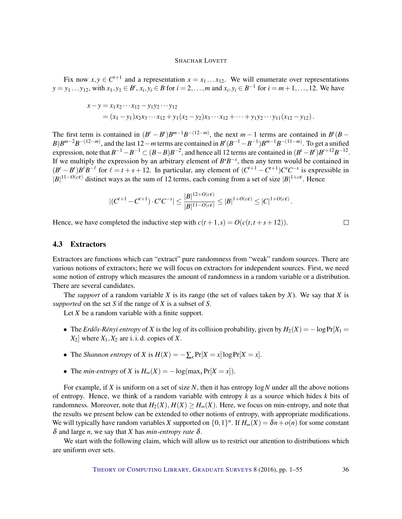Fix now  $x, y \in C^{t+1}$  and a representation  $x = x_1 \dots x_{12}$ . We will enumerate over representations  $y = y_1 ... y_{12}$ , with  $x_1, y_1 \in B^t$ ,  $x_i, y_i \in B$  for  $i = 2,...,m$  and  $x_i, y_i \in B^{-1}$  for  $i = m + 1,..., 12$ . We have

$$
x-y = x_1x_2 \cdots x_{12} - y_1y_2 \cdots y_{12}
$$
  
=  $(x_1 - y_1)x_2x_3 \cdots x_{12} + y_1(x_2 - y_2)x_3 \cdots x_{12} + \cdots + y_1y_2 \cdots y_{11}(x_{12} - y_{12}).$ 

The first term is contained in  $(B^t - B^t)B^{m-1}B^{-(12-m)}$ , the next *m* − 1 terms are contained in  $B^t(B - B^t)$ *B*)*B*<sup>*m*−2</sup>*B*<sup>−(12−*m*)</sup>, and the last 12−*m* terms are contained in *B*<sup>*t*</sup>(*B*<sup>−1</sup>−*B*<sup>−1</sup>)*B*<sup>*m*−1</sup>*B*<sup>−(11−*m*)</sub>. To get a unified</sup> expression, note that  $B^{-1} - B^{-1} \subset (B - B)B^{-2}$ , and hence all 12 terms are contained in  $(B^t - B^t)B^{t+12}B^{-12}$ . If we multiply the expression by an arbitrary element of  $B^sB^{-s}$ , then any term would be contained in  $(B^t - B^t)B^{\ell}B^{-\ell}$  for  $\ell = t + s + 12$ . In particular, any element of  $(C^{t+1} - C^{t+1})C^sC^{-s}$  is expressible in  $|B|^{11-O(c\epsilon)}$  distinct ways as the sum of 12 terms, each coming from a set of size  $|B|^{1+c\epsilon}$ . Hence

$$
|(C^{t+1}-C^{t+1})\cdot C^s C^{-s}| \leq \frac{|B|^{12+O(c\epsilon)}}{|B|^{11-O(c\epsilon)}} \leq |B|^{1+O(c\epsilon)} \leq |C|^{1+O(c\epsilon)}.
$$

Hence, we have completed the inductive step with  $c(t+1,s) = O(c(t,t+s+12)).$ 

#### 4.3 Extractors

Extractors are functions which can "extract" pure randomness from "weak" random sources. There are various notions of extractors; here we will focus on extractors for independent sources. First, we need some notion of entropy which measures the amount of randomness in a random variable or a distribution. There are several candidates.

The *support* of a random variable *X* is its range (the set of values taken by *X*). We say that *X* is *supported* on the set *S* if the range of *X* is a subset of *S*.

Let *X* be a random variable with a finite support.

- The *Erdős-Rényi entropy* of *X* is the log of its collision probability, given by  $H_2(X) = -\log \Pr[X_1 =$  $X_2$  where  $X_1, X_2$  are i. i. d. copies of X.
- The *Shannon entropy* of *X* is  $H(X) = -\sum_{x} Pr[X = x] \log Pr[X = x]$ .
- The *min-entropy* of *X* is  $H_{\infty}(X) = -\log(\max_{x} \Pr[X = x]).$

For example, if *X* is uniform on a set of size *N*, then it has entropy log*N* under all the above notions of entropy. Hence, we think of a random variable with entropy *k* as a source which hides *k* bits of randomness. Moreover, note that  $H_2(X)$ ,  $H(X) \ge H_\infty(X)$ . Here, we focus on min-entropy, and note that the results we present below can be extended to other notions of entropy, with appropriate modifications. We will typically have random variables *X* supported on  $\{0,1\}^n$ . If  $H_\infty(X) = \delta n + o(n)$  for some constant δ and large *n*, we say that *X* has *min-entropy rate* δ.

We start with the following claim, which will allow us to restrict our attention to distributions which are uniform over sets.

 $\Box$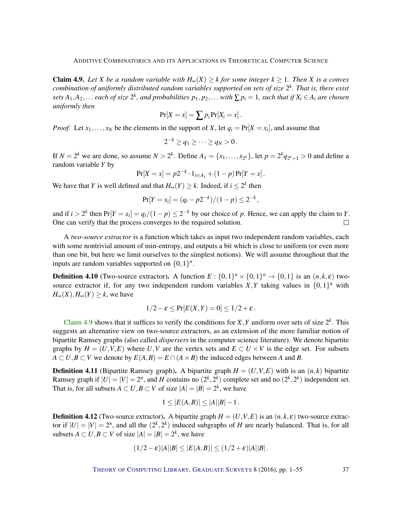<span id="page-36-0"></span>**Claim 4.9.** Let *X* be a random variable with  $H_{\infty}(X) \geq k$  for some integer  $k \geq 1$ . Then *X* is a convex *combination of uniformly distributed random variables supported on sets of size* 2 *k . That is, there exist* sets  $A_1,A_2,\ldots$  each of size  $2^k$ , and probabilities  $p_1,p_2,\ldots$  with  $\sum p_i=1$ , such that if  $X_i\in A_i$  are chosen *uniformly then*

$$
Pr[X = x] = \sum p_i Pr[X_i = x].
$$

*Proof.* Let  $x_1, \ldots, x_N$  be the elements in the support of *X*, let  $q_i = Pr[X = x_i]$ , and assume that

$$
2^{-k}\geq q_1\geq \cdots \geq q_N>0.
$$

If  $N = 2^k$  we are done, so assume  $N > 2^k$ . Define  $A_1 = \{x_1, ..., x_{2^k}\}$ , let  $p = 2^k q_{2^k+1} > 0$  and define a random variable *Y* by

$$
Pr[X = x] = p2^{-k} \cdot 1_{x \in A_1} + (1 - p) Pr[Y = x].
$$

We have that *Y* is well defined and that  $H_{\infty}(Y) \geq k$ . Indeed, if  $i \leq 2^k$  then

$$
Pr[Y = x_i] = (q_i - p2^{-k})/(1-p) \le 2^{-k},
$$

and if  $i > 2^k$  then  $Pr[Y = x_i] = \frac{q_i}{1-p} \leq 2^{-k}$  by our choice of p. Hence, we can apply the claim to Y. One can verify that the process converges to the required solution.  $\Box$ 

A *two-source extractor* is a function which takes as input two independent random variables, each with some nontrivial amount of min-entropy, and outputs a bit which is close to uniform (or even more than one bit, but here we limit ourselves to the simplest notions). We will assume throughout that the inputs are random variables supported on  $\{0,1\}^n$ .

**Definition 4.10** (Two-source extractor). A function  $E: \{0,1\}^n \times \{0,1\}^n \rightarrow \{0,1\}$  is an  $(n, k, \varepsilon)$  twosource extractor if, for any two independent random variables  $X, Y$  taking values in  $\{0,1\}^n$  with  $H_{\infty}(X)$ ,  $H_{\infty}(Y) \geq k$ , we have

$$
1/2 - \varepsilon \leq \Pr[E(X, Y) = 0] \leq 1/2 + \varepsilon.
$$

[Claim](#page-36-0) [4.9](#page-36-0) shows that it suffices to verify the conditions for  $X, Y$  uniform over sets of size  $2^k$ . This suggests an alternative view on two-source extractors, as an extension of the more familiar notion of bipartite Ramsey graphs (also called *dispersers* in the computer science literature). We denote bipartite graphs by  $H = (U, V, E)$  where  $U, V$  are the vertex sets and  $E \subset U \times V$  is the edge set. For subsets  $A \subset U, B \subset V$  we denote by  $E(A, B) = E \cap (A \times B)$  the induced edges between *A* and *B*.

**Definition 4.11** (Bipartite Ramsey graph). A bipartite graph  $H = (U, V, E)$  with is an  $(n, k)$  bipartite Ramsey graph if  $|U| = |V| = 2^n$ , and *H* contains no  $(2^k, 2^k)$  complete set and no  $(2^k, 2^k)$  independent set. That is, for all subsets  $A \subset U, B \subset V$  of size  $|A| = |B| = 2^k$ , we have

$$
1 \le |E(A,B)| \le |A||B| - 1.
$$

**Definition 4.12** (Two-source extractor). A bipartite graph  $H = (U, V, E)$  is an  $(n, k, \varepsilon)$  two-source extractor if  $|U| = |V| = 2^n$ , and all the  $(2^k, 2^k)$  induced subgraphs of *H* are nearly balanced. That is, for all subsets  $A \subset U, B \subset V$  of size  $|A| = |B| = 2^k$ , we have

$$
(1/2-\varepsilon)|A||B| \leq |E(A,B)| \leq (1/2+\varepsilon)|A||B|.
$$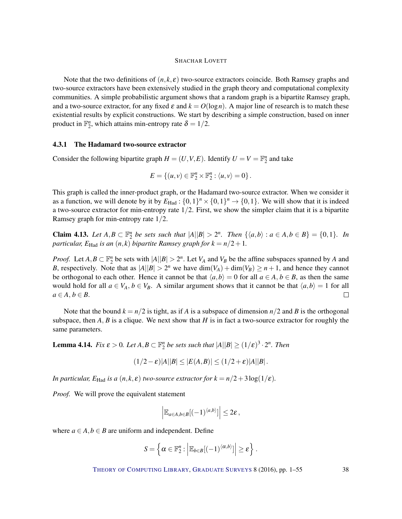Note that the two definitions of  $(n, k, \varepsilon)$  two-source extractors coincide. Both Ramsey graphs and two-source extractors have been extensively studied in the graph theory and computational complexity communities. A simple probabilistic argument shows that a random graph is a bipartite Ramsey graph, and a two-source extractor, for any fixed  $\varepsilon$  and  $k = O(\log n)$ . A major line of research is to match these existential results by explicit constructions. We start by describing a simple construction, based on inner product in  $\mathbb{F}_2^n$ , which attains min-entropy rate  $\delta = 1/2$ .

# 4.3.1 The Hadamard two-source extractor

Consider the following bipartite graph  $H = (U, V, E)$ . Identify  $U = V = \mathbb{F}_2^n$  and take

$$
E = \{(u, v) \in \mathbb{F}_2^n \times \mathbb{F}_2^n : \langle u, v \rangle = 0\}.
$$

This graph is called the inner-product graph, or the Hadamard two-source extractor. When we consider it as a function, we will denote by it by  $E_{\text{Had}}: \{0,1\}^n \times \{0,1\}^n \rightarrow \{0,1\}$ . We will show that it is indeed a two-source extractor for min-entropy rate  $1/2$ . First, we show the simpler claim that it is a bipartite Ramsey graph for min-entropy rate 1/2.

**Claim 4.13.** Let  $A, B \subset \mathbb{F}_2^n$  be sets such that  $|A||B| > 2^n$ . Then  $\{\langle a,b \rangle : a \in A, b \in B\} = \{0,1\}$ . In *particular,*  $E_{\text{Had}}$  *is an*  $(n, k)$  *bipartite Ramsey graph for*  $k = n/2 + 1$ *.* 

*Proof.* Let  $A, B \subset \mathbb{F}_2^n$  be sets with  $|A||B| > 2^n$ . Let  $V_A$  and  $V_B$  be the affine subspaces spanned by *A* and *B*, respectively. Note that as  $|A||B| > 2^n$  we have  $dim(V_A) + dim(V_B) \ge n + 1$ , and hence they cannot be orthogonal to each other. Hence it cannot be that  $\langle a,b \rangle = 0$  for all  $a \in A, b \in B$ , as then the same would hold for all  $a \in V_A$ ,  $b \in V_B$ . A similar argument shows that it cannot be that  $\langle a,b \rangle = 1$  for all  $a \in A, b \in B$ .  $\Box$ 

Note that the bound  $k = n/2$  is tight, as if *A* is a subspace of dimension  $n/2$  and *B* is the orthogonal subspace, then  $A, B$  is a clique. We next show that  $H$  is in fact a two-source extractor for roughly the same parameters.

**Lemma 4.14.** *Fix*  $\varepsilon > 0$ *. Let*  $A, B \subset \mathbb{F}_2^n$  *be sets such that*  $|A||B| \ge (1/\varepsilon)^3 \cdot 2^n$ *. Then* 

 $(1/2 - \varepsilon)|A||B| \leq |E(A,B)| \leq (1/2 + \varepsilon)|A||B|.$ 

*In particular,*  $E_{\text{Had}}$  *is a*  $(n, k, \varepsilon)$  *two-source extractor for*  $k = n/2 + 3\log(1/\varepsilon)$ *.* 

*Proof.* We will prove the equivalent statement

$$
\left|\mathbb{E}_{a\in A,b\in B}[(-1)^{\langle a,b\rangle}]\right|\leq 2\varepsilon,
$$

where  $a \in A$ ,  $b \in B$  are uniform and independent. Define

$$
S = \left\{ \alpha \in \mathbb{F}_2^n : \left| \mathbb{E}_{b \in B} [(-1)^{\langle \alpha, b \rangle}] \right| \geq \varepsilon \right\}.
$$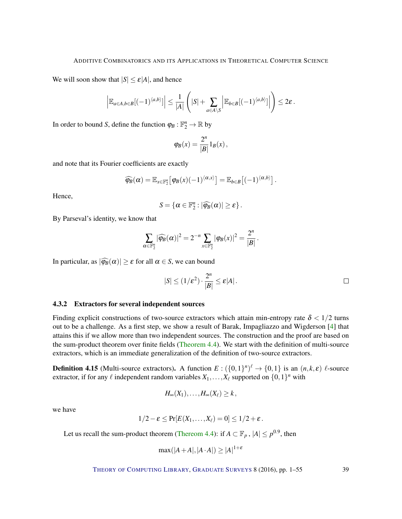<span id="page-38-0"></span>We will soon show that  $|S| \le \varepsilon |A|$ , and hence

$$
\left|\mathbb{E}_{a\in A,b\in B}[(-1)^{\langle a,b\rangle}]\right|\leq \frac{1}{|A|}\left(|S|+\sum_{a\in A\setminus S}\left|\mathbb{E}_{b\in B}[(-1)^{\langle a,b\rangle}]\right|\right)\leq 2\varepsilon.
$$

In order to bound *S*, define the function  $\varphi_B : \mathbb{F}_2^n \to \mathbb{R}$  by

$$
\varphi_B(x) = \frac{2^n}{|B|} 1_B(x),
$$

and note that its Fourier coefficients are exactly

$$
\widehat{\varphi_B}(\alpha) = \mathbb{E}_{x \in \mathbb{F}_2^n} \big[ \varphi_B(x) (-1)^{\langle \alpha, x \rangle} \big] = \mathbb{E}_{b \in B} \big[ (-1)^{\langle \alpha, b \rangle} \big].
$$

Hence,

$$
S = \{ \alpha \in \mathbb{F}_2^n : |\widehat{\varphi_B}(\alpha)| \geq \varepsilon \}.
$$

By Parseval's identity, we know that

$$
\sum_{\alpha \in \mathbb{F}_2^n} |\widehat{\varphi_B}(\alpha)|^2 = 2^{-n} \sum_{x \in \mathbb{F}_2^n} |\varphi_B(x)|^2 = \frac{2^n}{|B|}.
$$

In particular, as  $|\widehat{\varphi_B}(\alpha)| \geq \varepsilon$  for all  $\alpha \in S$ , we can bound

$$
|S| \le (1/\varepsilon^2) \cdot \frac{2^n}{|B|} \le \varepsilon |A| \, .
$$

#### 4.3.2 Extractors for several independent sources

Finding explicit constructions of two-source extractors which attain min-entropy rate  $\delta < 1/2$  turns out to be a challenge. As a first step, we show a result of Barak, Impagliazzo and Wigderson [\[4\]](#page-48-5) that attains this if we allow more than two independent sources. The construction and the proof are based on the sum-product theorem over finite fields [\(Theorem](#page-31-0) [4.4\)](#page-31-0). We start with the definition of multi-source extractors, which is an immediate generalization of the definition of two-source extractors.

**Definition 4.15** (Multi-source extractors). A function  $E: (\{0,1\}^n)^{\ell} \to \{0,1\}$  is an  $(n,k,\varepsilon)$   $\ell$ -source extractor, if for any  $\ell$  independent random variables  $X_1, \ldots, X_\ell$  supported on  $\{0,1\}^n$  with

$$
H_{\infty}(X_1),\ldots,H_{\infty}(X_{\ell})\geq k,
$$

we have

$$
1/2-\varepsilon \leq \Pr[E(X_1,\ldots,X_\ell)=0] \leq 1/2+\varepsilon.
$$

Let us recall the sum-product theorem [\(Thereom](#page-31-0) [4.4\)](#page-31-0): if  $A \subset \mathbb{F}_p$  ,  $|A| \leq p^{0.9}$ , then

$$
\max(|A + A|, |A \cdot A|) \ge |A|^{1 + \varepsilon}
$$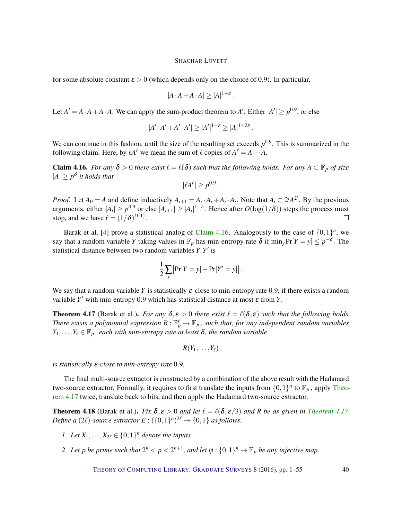<span id="page-39-2"></span>for some absolute constant  $\epsilon > 0$  (which depends only on the choice of 0.9). In particular,

$$
|A \cdot A + A \cdot A| \ge |A|^{1+\varepsilon}.
$$

Let  $A' = A \cdot A + A \cdot A$ . We can apply the sum-product theorem to A'. Either  $|A'| \ge p^{0.9}$ , or else

$$
|A' \cdot A' + A' \cdot A'| \ge |A'|^{1+\varepsilon} \ge |A|^{1+2\varepsilon}.
$$

We can continue in this fashion, until the size of the resulting set exceeds  $p<sup>0.9</sup>$ . This is summarized in the following claim. Here, by  $\ell A^{\ell}$  we mean the sum of  $\ell$  copies of  $A^{\ell} = A \cdots A$ .

<span id="page-39-0"></span>**Claim 4.16.** *For any*  $\delta > 0$  *there exist*  $\ell = \ell(\delta)$  *such that the following holds. For any*  $A \subset \mathbb{F}_p$  *of size*  $|A| \geq p^{\delta}$  *it holds that* 

$$
|\ell A^{\ell}| \ge p^{0.9}.
$$

*Proof.* Let  $A_0 = A$  and define inductively  $A_{i+1} = A_i \cdot A_i + A_i \cdot A_i$ . Note that  $A_i \subset 2^i A^{2^i}$ . By the previous arguments, either  $|A_i| \ge p^{0.9}$  or else  $|A_{i+1}| \ge |A_i|^{1+\varepsilon}$ . Hence after  $O(\log(1/\delta))$  steps the process must stop, and we have  $\ell = (1/\delta)^{O(1)}$ .

Barak et al. [\[4\]](#page-48-5) prove a statistical analog of [Claim](#page-39-0) [4.16.](#page-39-0) Analogously to the case of  $\{0,1\}^n$ , we say that a random variable *Y* taking values in  $\mathbb{F}_p$  has min-entropy rate  $\delta$  if min<sub>*y*</sub> Pr[*Y* = *y*]  $\leq p^{-\delta}$ . The statistical distance between two random variables  $Y, Y'$  is

$$
\frac{1}{2}\sum_{y} \left| \Pr[Y=y] - \Pr[Y'=y] \right|.
$$

We say that a random variable *Y* is statistically  $\varepsilon$ -close to min-entropy rate 0.9, if there exists a random variable  $Y'$  with min-entropy 0.9 which has statistical distance at most  $\varepsilon$  from  $Y$ .

<span id="page-39-1"></span>**Theorem 4.17** (Barak et al.). *For any*  $\delta, \varepsilon > 0$  *there exist*  $\ell = \ell(\delta, \varepsilon)$  *such that the following holds. There exists a polynomial expression*  $R: \mathbb{F}_p^{\ell} \to \mathbb{F}_p$ , such that, for any independent random variables  $Y_1,\ldots,Y_\ell\in\mathbb{F}_p$ , each with min-entropy rate at least  $\delta$ , the random variable

$$
R(Y_1,\ldots,Y_\ell)
$$

*is statistically* ε*-close to min-entropy rate* 0.9*.*

The final multi-source extractor is constructed by a combination of the above result with the Hadamard two-source extractor. Formally, it requires to first translate the inputs from  $\{0,1\}^n$  to  $\mathbb{F}_p$ , apply [Theo](#page-39-1)rem [4.17](#page-39-1) twice, translate back to bits, and then apply the Hadamard two-source extractor.

**[Theorem](#page-39-1) 4.18** (Barak et al.). *Fix*  $\delta$ ,  $\varepsilon > 0$  *and let*  $\ell = \ell(\delta, \varepsilon/3)$  *and R be as given in Theorem [4.17.](#page-39-1) Define a* (2 $\ell$ )-source extractor  $E: ({0,1})^n)^{2\ell} \rightarrow {0,1}$  *as follows.* 

- *1. Let*  $X_1, ..., X_{2\ell} \in \{0, 1\}^n$  *denote the inputs.*
- 2. Let p be prime such that  $2^n < p < 2^{n+1}$ , and let  $\varphi : \{0,1\}^n \to \mathbb{F}_p$  be any injective map.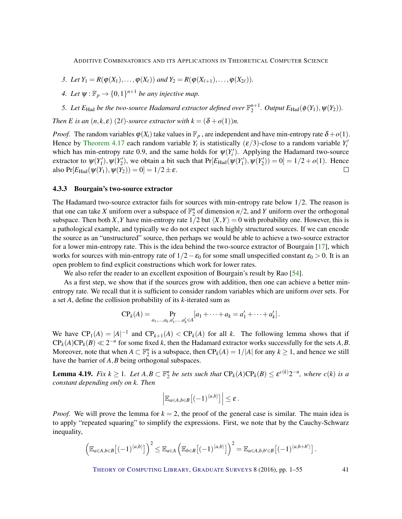- <span id="page-40-1"></span>*3. Let*  $Y_1 = R(\varphi(X_1), \ldots, \varphi(X_\ell))$  *and*  $Y_2 = R(\varphi(X_{\ell+1}), \ldots, \varphi(X_{2\ell}))$ .
- *4. Let*  $\psi$  :  $\mathbb{F}_p \to \{0,1\}^{n+1}$  *be any injective map.*

*5.* Let  $E_{\text{Had}}$  be the two-source Hadamard extractor defined over  $\mathbb{F}_2^{n+1}$ . Output  $E_{\text{Had}}(\phi(Y_1), \psi(Y_2))$ .

*Then E is an*  $(n, k, \varepsilon)$  (2 $\ell$ )-source extractor with  $k = (\delta + o(1))n$ .

*Proof.* The random variables  $\varphi(X_i)$  take values in  $\mathbb{F}_p$ , are independent and have min-entropy rate  $\delta + o(1)$ . Hence by [Theorem](#page-39-1) [4.17](#page-39-1) each random variable  $Y_i$  is statistically  $(\varepsilon/3)$ -close to a random variable  $Y_i'$ which has min-entropy rate 0.9, and the same holds for  $\psi(Y_i')$ . Applying the Hadamard two-source extractor to  $\psi(Y_1'), \psi(Y_2'),$  we obtain a bit such that  $Pr[E_{Had}(\psi(Y_1'), \psi(Y_2')) = 0] = 1/2 + o(1)$ . Hence also  $Pr[E_{\text{Had}}(\psi(Y_1), \psi(Y_2)) = 0] = 1/2 \pm \varepsilon.$  $\Box$ 

#### 4.3.3 Bourgain's two-source extractor

The Hadamard two-source extractor fails for sources with min-entropy rate below  $1/2$ . The reason is that one can take *X* uniform over a subspace of  $\mathbb{F}_2^n$  of dimension  $n/2$ , and *Y* uniform over the orthogonal subspace. Then both *X*, *Y* have min-entropy rate  $1/2$  but  $\langle X, Y \rangle = 0$  with probability one. However, this is a pathological example, and typically we do not expect such highly structured sources. If we can encode the source as an "unstructured" source, then perhaps we would be able to achieve a two-source extractor for a lower min-entropy rate. This is the idea behind the two-source extractor of Bourgain [\[17\]](#page-49-9), which works for sources with min-entropy rate of  $1/2 - \varepsilon_0$  for some small unspecified constant  $\varepsilon_0 > 0$ . It is an open problem to find explicit constructions which work for lower rates.

We also refer the reader to an excellent exposition of Bourgain's result by Rao [\[54\]](#page-52-14).

As a first step, we show that if the sources grow with addition, then one can achieve a better minentropy rate. We recall that it is sufficient to consider random variables which are uniform over sets. For a set *A*, define the collision probability of its *k*-iterated sum as

$$
\mathrm{CP}_k(A) = \Pr_{a_1,...,a_k,a'_1,...,a'_k \in A} [a_1 + \cdots + a_k = a'_1 + \cdots + a'_k].
$$

We have  $\mathbb{CP}_1(A) = |A|^{-1}$  and  $\mathbb{CP}_{k+1}(A) < \mathbb{CP}_k(A)$  for all k. The following lemma shows that if  $\text{CP}_k(A)\text{CP}_k(B) \ll 2^{-n}$  for some fixed *k*, then the Hadamard extractor works successfully for the sets *A*, *B*. Moreover, note that when  $A \subset \mathbb{F}_2^n$  is a subspace, then  $\mathbb{CP}_k(A) = 1/|A|$  for any  $k \ge 1$ , and hence we still have the barrier of *A*, *B* being orthogonal subspaces.

<span id="page-40-0"></span>**Lemma 4.19.** Fix  $k \ge 1$ . Let  $A, B \subset \mathbb{F}_2^n$  be sets such that  $CP_k(A)CP_k(B) \le \varepsilon^{c(k)}2^{-n}$ , where  $c(k)$  is a *constant depending only on k. Then*

$$
\left|\mathbb{E}_{a\in A,b\in B}\big[(-1)^{\langle a,b\rangle}\big]\right|\leq \varepsilon.
$$

*Proof.* We will prove the lemma for  $k = 2$ , the proof of the general case is similar. The main idea is to apply "repeated squaring" to simplify the expressions. First, we note that by the Cauchy-Schwarz inequality,

$$
\left(\mathbb{E}_{a\in A,b\in B}\left[(-1)^{\langle a,b\rangle}\right]\right)^2 \leq \mathbb{E}_{a\in A}\left(\mathbb{E}_{b\in B}\left[(-1)^{\langle a,b\rangle}\right]\right)^2 = \mathbb{E}_{a\in A,b,b'\in B}\left[(-1)^{\langle a,b+b'\rangle}\right].
$$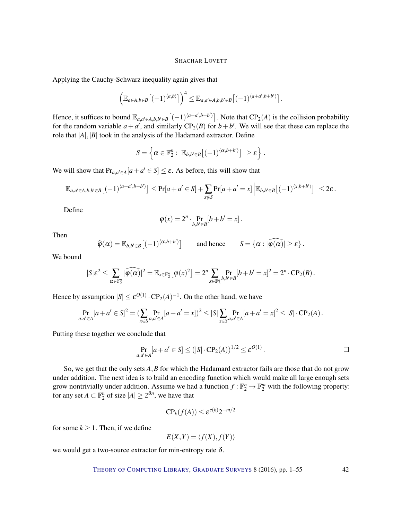Applying the Cauchy-Schwarz inequality again gives that

$$
\left(\mathbb{E}_{a\in A,b\in B}\left[(-1)^{\langle a,b\rangle}\right]\right)^4 \leq \mathbb{E}_{a,a'\in A,b,b'\in B}\left[(-1)^{\langle a+a',b+b'\rangle}\right].
$$

Hence, it suffices to bound  $\mathbb{E}_{a,a'\in A,b,b'\in B}\left[(-1)^{\langle a+a',b+b'\rangle}\right]$ . Note that  $\mathbb{CP}_2(A)$  is the collision probability for the random variable  $a + a'$ , and similarly  $CP_2(B)$  for  $b + b'$ . We will see that these can replace the role that  $|A|, |B|$  took in the analysis of the Hadamard extractor. Define

$$
S = \left\{ \alpha \in \mathbb{F}_2^n : \left| \mathbb{E}_{b,b' \in B} \left[ (-1)^{\langle \alpha, b+b' \rangle} \right] \right| \geq \varepsilon \right\}.
$$

We will show that  $Pr_{a,a' \in A}[a+a' \in S] \leq \varepsilon$ . As before, this will show that

$$
\mathbb{E}_{a,a'\in A,b,b'\in B}\big[(-1)^{\langle a+a',b+b'\rangle}\big]\leq \Pr[a+a'\in S]+\sum_{x\notin S}\Pr[a+a'=x]\left|\mathbb{E}_{b,b'\in B}\big[(-1)^{\langle x,b+b'\rangle}\big]\right|\leq 2\varepsilon.
$$

Define

$$
\varphi(x) = 2^n \cdot \Pr_{b,b' \in B}[b+b' = x].
$$

Then

$$
\widehat{\varphi}(\alpha) = \mathbb{E}_{b,b' \in B}\big[(-1)^{\langle \alpha,b+b' \rangle}\big] \quad \text{and hence} \quad S = \{\alpha : |\widehat{\varphi(\alpha)}| \ge \varepsilon\}.
$$

We bound

$$
|S|\varepsilon^2\leq \sum_{\alpha\in\mathbb{F}_2^n}|\widehat{\varphi(\alpha)}|^2=\mathbb{E}_{x\in\mathbb{F}_2^n}\big[\varphi(x)^2\big]=2^n\sum_{x\in\mathbb{F}_2^n} \Pr_{b,b'\in B}[b+b'=x]^2=2^n\cdot CP_2(B)\,.
$$

Hence by assumption  $|S| \le \varepsilon^{O(1)} \cdot CP_2(A)^{-1}$ . On the other hand, we have

$$
\Pr_{a,a'\in A}[a+a'\in S]^2 = (\sum_{x\in S} \Pr_{a,a'\in A}[a+a'=x])^2 \leq |S| \sum_{x\in S} \Pr_{a,a'\in A}[a+a'=x]^2 \leq |S|\cdot CP_2(A).
$$

Putting these together we conclude that

$$
\Pr_{a,a' \in A} [a + a' \in S] \le (|S| \cdot \text{CP}_2(A))^{1/2} \le \varepsilon^{O(1)}.
$$

So, we get that the only sets *A*,*B* for which the Hadamard extractor fails are those that do not grow under addition. The next idea is to build an encoding function which would make all large enough sets grow nontrivially under addition. Assume we had a function  $f : \mathbb{F}_2^n \to \mathbb{F}_2^m$  with the following property: for any set  $A \subset \mathbb{F}_2^n$  of size  $|A| \geq 2^{\delta n}$ , we have that

$$
\mathbf{CP}_k(f(A)) \le \varepsilon^{c(k)} 2^{-m/2}
$$

for some  $k \geq 1$ . Then, if we define

$$
E(X,Y) = \langle f(X), f(Y) \rangle
$$

we would get a two-source extractor for min-entropy rate  $\delta$ .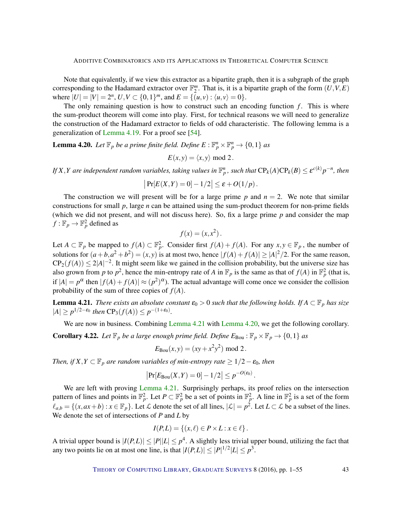<span id="page-42-2"></span>Note that equivalently, if we view this extractor as a bipartite graph, then it is a subgraph of the graph corresponding to the Hadamard extractor over  $\mathbb{F}_2^m$ . That is, it is a bipartite graph of the form  $(U, V, E)$ where  $|U| = |V| = 2^n$ ,  $U, V \subset \{0, 1\}^m$ , and  $E = \{(u, v) : \langle u, v \rangle = 0\}.$ 

The only remaining question is how to construct such an encoding function  $f$ . This is where the sum-product theorem will come into play. First, for technical reasons we will need to generalize the construction of the Hadamard extractor to fields of odd characteristic. The following lemma is a generalization of [Lemma](#page-40-0) [4.19.](#page-40-0) For a proof see [\[54\]](#page-52-14).

<span id="page-42-1"></span>**Lemma 4.20.** Let  $\mathbb{F}_p$  be a prime finite field. Define  $E: \mathbb{F}_p^n \times \mathbb{F}_p^n \to \{0,1\}$  as

$$
E(x, y) = \langle x, y \rangle \text{ mod } 2.
$$

*If*  $X, Y$  are independent random variables, taking values in  $\mathbb{F}_p^n$ , such that  $CP_k(A)CP_k(B) \leq \varepsilon^{c(k)} p^{-n}$ , then

$$
|\Pr[E(X,Y)=0]-1/2|\leq \varepsilon+O(1/p).
$$

The construction we will present will be for a large prime p and  $n = 2$ . We note that similar constructions for small *p*, large *n* can be attained using the sum-product theorem for non-prime fields (which we did not present, and will not discuss here). So, fix a large prime *p* and consider the map  $f: \mathbb{F}_p \to \mathbb{F}_p^2$  defined as

$$
f(x) = (x, x^2).
$$

Let  $A \subset \mathbb{F}_p$  be mapped to  $f(A) \subset \mathbb{F}_p^2$ . Consider first  $f(A) + f(A)$ . For any  $x, y \in \mathbb{F}_p$ , the number of solutions for  $(a+b,a^2+b^2)=(x,y)$  is at most two, hence  $|f(A)+f(A)| \geq |A|^2/2$ . For the same reason,  $\text{CP}_2(f(A)) \leq 2|A|^{-2}$ . It might seem like we gained in the collision probability, but the universe size has also grown from *p* to  $p^2$ , hence the min-entropy rate of *A* in  $\mathbb{F}_p$  is the same as that of  $f(A)$  in  $\mathbb{F}_p^2$  (that is, if  $|A| = p^{\alpha}$  then  $|f(A) + f(A)| \approx (p^2)^{\alpha}$ . The actual advantage will come once we consider the collision probability of the sum of three copies of *f*(*A*).

<span id="page-42-0"></span>**Lemma 4.21.** *There exists an absolute constant*  $\varepsilon_0 > 0$  *such that the following holds. If*  $A \subset \mathbb{F}_p$  *has size*  $|A|$  ≥  $p^{1/2-\epsilon_0}$  then  $\text{CP}_3(f(A))$  ≤  $p^{-(1+\epsilon_0)}$ .

We are now in business. Combining [Lemma](#page-42-1) [4.21](#page-42-0) with Lemma [4.20,](#page-42-1) we get the following corollary.

**Corollary 4.22.** Let  $\mathbb{F}_p$  be a large enough prime field. Define  $E_{\text{Bou}}$ :  $\mathbb{F}_p \times \mathbb{F}_p \to \{0,1\}$  as

$$
E_{\text{Bou}}(x, y) = (xy + x^2y^2) \text{ mod } 2.
$$

*Then, if*  $X, Y \subset \mathbb{F}_p$  *are random variables of min-entropy rate*  $\geq 1/2 - \varepsilon_0$ *, then* 

$$
Pr[E_{\text{Bou}}(X, Y) = 0] - 1/2| \leq p^{-O(\varepsilon_0)}.
$$

We are left with proving [Lemma](#page-42-0) [4.21.](#page-42-0) Surprisingly perhaps, its proof relies on the intersection pattern of lines and points in  $\mathbb{F}_p^2$ . Let  $P \subset \mathbb{F}_p^2$  be a set of points in  $\mathbb{F}_p^2$ . A line in  $\mathbb{F}_p^2$  is a set of the form  $\ell_{a,b} = \{(x, ax + b) : x \in \mathbb{F}_p\}$ . Let  $\mathcal L$  denote the set of all lines,  $|\mathcal L| = p^2$ . Let  $L \subset \mathcal L$  be a subset of the lines. We denote the set of intersections of *P* and *L* by

$$
I(P,L) = \{(x,\ell) \in P \times L : x \in \ell\}.
$$

A trivial upper bound is  $|I(P,L)| \leq |P||L| \leq p^4$ . A slightly less trivial upper bound, utilizing the fact that any two points lie on at most one line, is that  $|I(P,L)| \leq |P|^{1/2} |L| \leq p^3$ .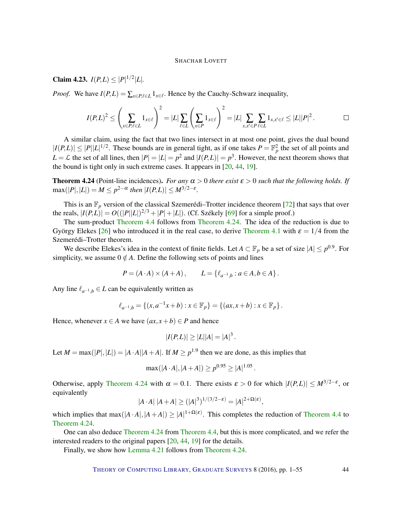# <span id="page-43-1"></span>**Claim 4.23.**  $I(P,L) \leq |P|^{1/2} |L|$ .

*Proof.* We have  $I(P, L) = \sum_{x \in P, \ell \in L} 1_{x \in \ell}$ . Hence by the Cauchy-Schwarz inequality,

$$
I(P,L)^2 \leq \left(\sum_{x \in P, \ell \in L} 1_{x \in \ell}\right)^2 = |L| \sum_{\ell \in L} \left(\sum_{x \in P} 1_{x \in \ell}\right)^2 = |L| \sum_{x,x' \in P} \sum_{\ell \in L} 1_{x,x' \in \ell} \leq |L||P|^2.
$$

A similar claim, using the fact that two lines intersect in at most one point, gives the dual bound  $|I(P,L)| \leq |P||L|^{1/2}$ . These bounds are in general tight, as if one takes  $P = \mathbb{F}_p^2$  the set of all points and  $L = \mathcal{L}$  the set of all lines, then  $|P| = |L| = p^2$  and  $|I(P, L)| = p^3$ . However, the next theorem shows that the bound is tight only in such extreme cases. It appears in [\[20,](#page-49-7) [44,](#page-51-13) [19\]](#page-49-8).

<span id="page-43-0"></span>**Theorem 4.24** (Point-line incidences). *For any*  $\alpha > 0$  *there exist*  $\varepsilon > 0$  *such that the following holds. If*  $\max(|P|,|L|) = M \leq p^{2-\alpha}$  then  $|I(P,L)| \leq M^{3/2-\varepsilon}$ .

This is an  $\mathbb{F}_p$  version of the classical Szemerédi–Trotter incidence theorem [\[72\]](#page-53-10) that says that over the reals,  $|I(P, L)| = O((|P||L|)^{2/3} + |P| + |L|)$ . (Cf. Székely [\[69\]](#page-53-11) for a simple proof.)

The sum-product [Theorem](#page-31-0) [4.4](#page-31-0) follows from [Theorem](#page-43-0) [4.24.](#page-43-0) The idea of the reduction is due to György Elekes [\[26\]](#page-50-15) who introduced it in the real case, to derive [Theorem](#page-29-1) [4.1](#page-29-1) with  $\varepsilon = 1/4$  from the Szemerédi–Trotter theorem.

We describe Elekes's idea in the context of finite fields. Let  $A \subset \mathbb{F}_p$  be a set of size  $|A| \leq p^{0.9}$ . For simplicity, we assume  $0 \notin A$ . Define the following sets of points and lines

$$
P = (A \cdot A) \times (A + A), \qquad L = \{ \ell_{a^{-1},b} : a \in A, b \in A \}.
$$

Any line  $\ell_{a^{-1},b} \in L$  can be equivalently written as

$$
\ell_{a^{-1},b} = \{(x, a^{-1}x + b) : x \in \mathbb{F}_p\} = \{(ax, x + b) : x \in \mathbb{F}_p\}.
$$

Hence, whenever  $x \in A$  we have  $(ax, x+b) \in P$  and hence

$$
|I(P,L)| \ge |L||A| = |A|^3.
$$

Let  $M = \max(|P|, |L|) = |A \cdot A||A + A|$ . If  $M \ge p^{1.9}$  then we are done, as this implies that

$$
\max(|A \cdot A|, |A + A|) \ge p^{0.95} \ge |A|^{1.05}.
$$

Otherwise, apply [Theorem](#page-43-0) [4.24](#page-43-0) with  $\alpha = 0.1$ . There exists  $\varepsilon > 0$  for which  $|I(P,L)| \leq M^{3/2-\varepsilon}$ , or equivalently

$$
|A \cdot A| |A + A| \ge (|A|^3)^{1/(3/2 - \varepsilon)} = |A|^{2 + \Omega(\varepsilon)},
$$

which implies that max( $|A \cdot A|, |A + A| \ge |A|^{1 + \Omega(\varepsilon)}$ . This completes the reduction of [Theorem](#page-31-0) [4.4](#page-31-0) to [Theorem](#page-43-0) [4.24.](#page-43-0)

One can also deduce [Theorem](#page-43-0) [4.24](#page-43-0) from [Theorem](#page-31-0) [4.4,](#page-31-0) but this is more complicated, and we refer the interested readers to the original papers [\[20,](#page-49-7) [44,](#page-51-13) [19\]](#page-49-8) for the details.

Finally, we show how [Lemma](#page-42-0) [4.21](#page-42-0) follows from [Theorem](#page-43-0) [4.24.](#page-43-0)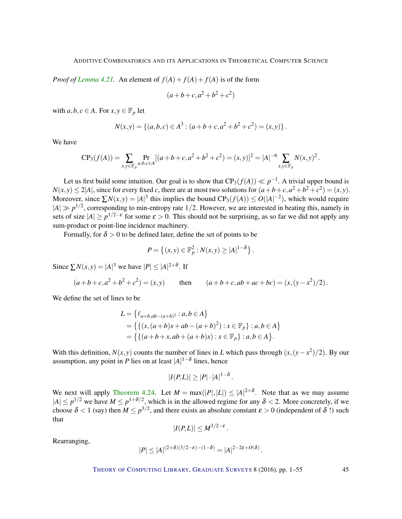*Proof of [Lemma](#page-42-0) [4.21.](#page-42-0)* An element of  $f(A) + f(A) + f(A)$  is of the form

$$
(a+b+c,a^2+b^2+c^2)
$$

with  $a, b, c \in A$ . For  $x, y \in \mathbb{F}_p$  let

$$
N(x,y) = \{(a,b,c) \in A^3 : (a+b+c, a^2+b^2+c^2) = (x,y)\}.
$$

We have

$$
CP_3(f(A)) = \sum_{x,y \in \mathbb{F}_p} \Pr_{a,b,c \in A} [(a+b+c,a^2+b^2+c^2) = (x,y)]^2 = |A|^{-6} \sum_{x,y \in \mathbb{F}_p} N(x,y)^2.
$$

Let us first build some intuition. Our goal is to show that  $CP_3(f(A)) \ll p^{-1}$ . A trivial upper bound is  $N(x, y) \le 2|A|$ , since for every fixed *c*, there are at most two solutions for  $(a+b+c, a^2+b^2+c^2) = (x, y)$ . Moreover, since  $\sum N(x, y) = |A|^3$  this implies the bound  $CP_3(f(A)) \le O(|A|^{-2})$ , which would require  $|A| \gg p^{1/2}$ , corresponding to min-entropy rate 1/2. However, we are interested in beating this, namely in sets of size  $|A| \ge p^{1/2 - \varepsilon}$  for some  $\varepsilon > 0$ . This should not be surprising, as so far we did not apply any sum-product or point-line incidence machinery.

Formally, for  $\delta > 0$  to be defined later, define the set of points to be

$$
P = \{(x, y) \in \mathbb{F}_p^2 : N(x, y) \ge |A|^{1-\delta}\}.
$$

Since  $\sum N(x, y) = |A|^3$  we have  $|P| \le |A|^{2+\delta}$ . If

$$
(a+b+c, a^2+b^2+c^2) = (x,y)
$$
 then  $(a+b+c, ab+ac+bc) = (x, (y-x^2)/2)$ .

We define the set of lines to be

$$
L = \{ \ell_{a+b,ab-(a+b)^2} : a, b \in A \}
$$
  
=  $\{ \{ (x,(a+b)x+ab-(a+b)^2) : x \in \mathbb{F}_p \} : a, b \in A \}$   
=  $\{ \{ (a+b+x,ab+(a+b)x) : x \in \mathbb{F}_p \} : a, b \in A \}.$ 

With this definition,  $N(x, y)$  counts the number of lines in *L* which pass through  $(x, (y - x^2)/2)$ . By our assumption, any point in *P* lies on at least  $|A|^{1-\delta}$  lines, hence

$$
|I(P,L)| \geq |P| \cdot |A|^{1-\delta}.
$$

We next will apply [Theorem](#page-43-0) [4.24.](#page-43-0) Let  $M = \max(|P|, |L|) \leq |A|^{2+\delta}$ . Note that as we may assume  $|A| \le p^{1/2}$  we have  $M \le p^{1+\delta/2}$ , which is in the allowed regime for any  $\delta < 2$ . More concretely, if we choose  $\delta$  < 1 (say) then  $M \le p^{3/2}$ , and there exists an absolute constant  $\varepsilon > 0$  (independent of  $\delta$  !) such that

$$
|I(P,L)| \leq M^{3/2-\varepsilon}.
$$

Rearranging,

$$
|P| \le |A|^{(2+\delta)(3/2-\varepsilon)-(1-\delta)} = |A|^{2-2\varepsilon+O(\delta)}.
$$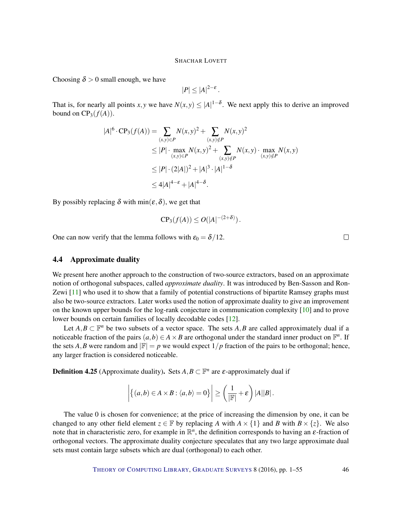<span id="page-45-0"></span>Choosing  $\delta > 0$  small enough, we have

 $|P| \leq |A|^{2-\varepsilon}$ .

That is, for nearly all points *x*, *y* we have  $N(x, y) \leq |A|^{1-\delta}$ . We next apply this to derive an improved bound on  $CP_3(f(A))$ .

$$
|A|^6 \cdot \text{CP}_3(f(A)) = \sum_{(x,y)\in P} N(x,y)^2 + \sum_{(x,y)\notin P} N(x,y)^2
$$
  
\n
$$
\leq |P| \cdot \max_{(x,y)\in P} N(x,y)^2 + \sum_{(x,y)\notin P} N(x,y) \cdot \max_{(x,y)\notin P} N(x,y)
$$
  
\n
$$
\leq |P| \cdot (2|A|)^2 + |A|^3 \cdot |A|^{1-\delta}
$$
  
\n
$$
\leq 4|A|^{4-\epsilon} + |A|^{4-\delta}.
$$

By possibly replacing  $\delta$  with min( $\varepsilon, \delta$ ), we get that

$$
CP_3(f(A)) \le O(|A|^{-(2+\delta)}).
$$

One can now verify that the lemma follows with  $\varepsilon_0 = \delta/12$ .

# 4.4 Approximate duality

We present here another approach to the construction of two-source extractors, based on an approximate notion of orthogonal subspaces, called *approximate duality*. It was introduced by Ben-Sasson and Ron-Zewi [\[11\]](#page-49-10) who used it to show that a family of potential constructions of bipartite Ramsey graphs must also be two-source extractors. Later works used the notion of approximate duality to give an improvement on the known upper bounds for the log-rank conjecture in communication complexity [\[10\]](#page-49-11) and to prove lower bounds on certain families of locally decodable codes [\[12\]](#page-49-12).

Let  $A, B \subset \mathbb{F}^n$  be two subsets of a vector space. The sets  $A, B$  are called approximately dual if a noticeable fraction of the pairs  $(a,b) \in A \times B$  are orthogonal under the standard inner product on  $\mathbb{F}^n$ . If the sets *A*, *B* were random and  $|\mathbb{F}| = p$  we would expect  $1/p$  fraction of the pairs to be orthogonal; hence, any larger fraction is considered noticeable.

**Definition 4.25** (Approximate duality). Sets  $A, B \subset \mathbb{F}^n$  are  $\varepsilon$ -approximately dual if

$$
\left| \left\{ (a,b) \in A \times B : \langle a,b \rangle = 0 \right\} \right| \geq \left( \frac{1}{|\mathbb{F}|} + \varepsilon \right) |A||B|.
$$

The value 0 is chosen for convenience; at the price of increasing the dimension by one, it can be changed to any other field element  $z \in \mathbb{F}$  by replacing *A* with  $A \times \{1\}$  and *B* with  $B \times \{z\}$ . We also note that in characteristic zero, for example in  $\mathbb{R}^n$ , the definition corresponds to having an  $\varepsilon$ -fraction of orthogonal vectors. The approximate duality conjecture speculates that any two large approximate dual sets must contain large subsets which are dual (orthogonal) to each other.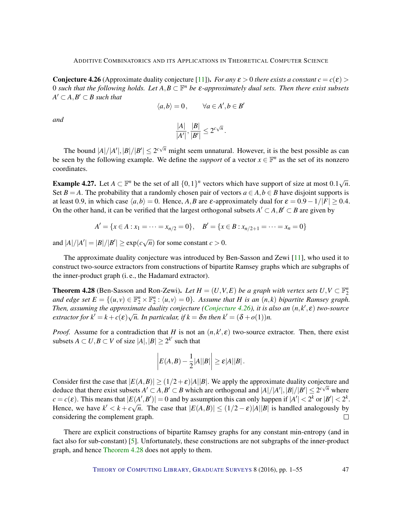<span id="page-46-2"></span><span id="page-46-0"></span>**Conjecture 4.26** (Approximate duality conjecture [\[11\]](#page-49-10)). *For any*  $\varepsilon > 0$  *there exists a constant*  $c = c(\varepsilon)$ 0 such that the following holds. Let  $A, B \subset \mathbb{F}^n$  be  $\varepsilon$ -approximately dual sets. Then there exist subsets  $A' \subset A$ ,  $B' \subset B$  such that

$$
\langle a, b \rangle = 0, \qquad \forall a \in A', b \in B'
$$

*and*

$$
\frac{|A|}{|A'|},\frac{|B|}{|B'|}\leq 2^{c\sqrt{n}}.
$$

The bound  $|A|/|A'|, |B|/|B'| \leq 2^{c\sqrt{n}}$  might seem unnatural. However, it is the best possible as can be seen by the following example. We define the *support* of a vector  $x \in \mathbb{F}^n$  as the set of its nonzero coordinates.

**Example 4.27.** Let  $A \subset \mathbb{F}^n$  be the set of all  $\{0,1\}^n$  vectors which have support of size at most  $0.1\sqrt{ }$ *n*. Set  $B = A$ . The probability that a randomly chosen pair of vectors  $a \in A, b \in B$  have disjoint supports is at least 0.9, in which case  $\langle a,b \rangle = 0$ . Hence, *A*,*B* are *ε*-approximately dual for  $\varepsilon = 0.9 - 1/|F| \ge 0.4$ . On the other hand, it can be verified that the largest orthogonal subsets  $A' \subset A, B' \subset B$  are given by

$$
A' = \{x \in A : x_1 = \dots = x_{n/2} = 0\}, \quad B' = \{x \in B : x_{n/2+1} = \dots = x_n = 0\}
$$

and  $|A|/|A'| = |B|/|B'| \ge \exp(c\sqrt{n})$  for some constant  $c > 0$ .

The approximate duality conjecture was introduced by Ben-Sasson and Zewi [\[11\]](#page-49-10), who used it to construct two-source extractors from constructions of bipartite Ramsey graphs which are subgraphs of the inner-product graph (i. e., the Hadamard extractor).

<span id="page-46-1"></span>**Theorem 4.28** (Ben-Sasson and Ron-Zewi). Let  $H = (U, V, E)$  be a graph with vertex sets  $U, V \subset \mathbb{F}_2^n$ and edge set  $E = \{(u, v) \in \mathbb{F}_2^n \times \mathbb{F}_2^n : \langle u, v \rangle = 0\}$ . Assume that *H* is an  $(n, k)$  bipartite Ramsey graph. *Then, assuming the approximate duality conjecture [\(Conjecture](#page-46-0) [4.26\)](#page-46-0), it is also an*  $(n, k', \varepsilon)$  *two-source extractor for*  $k' = k + c(\varepsilon)\sqrt{n}$ . In particular, if  $k = \delta n$  then  $k' = (\delta + o(1))n$ .

*Proof.* Assume for a contradiction that *H* is not an  $(n, k', \varepsilon)$  two-source extractor. Then, there exist subsets  $A \subset U, B \subset V$  of size  $|A|, |B| \geq 2^{k'}$  such that

$$
\left|E(A,B)-\frac{1}{2}|A||B|\right|\geq \varepsilon|A||B|.
$$

Consider first the case that  $|E(A, B)| \ge (1/2 + \varepsilon)|A||B|$ . We apply the approximate duality conjecture and deduce that there exist subsets  $A' \subset A$ ,  $B' \subset B$  which are orthogonal and  $|A|/|A'|, |B|/|B'| \leq 2^{c\sqrt{n}}$  where  $c = c(\varepsilon)$ . This means that  $|E(A', B')| = 0$  and by assumption this can only happen if  $|A'| < 2^k$  or  $|B'| < 2^k$ .  $k = c(\varepsilon)$ . This means that  $|E(A, B)| = 0$  and by assumption this can only happen if  $|A| < 2$  or  $|B| < 2$ .<br>Hence, we have  $k' < k + c\sqrt{n}$ . The case that  $|E(A, B)| \le (1/2 - \varepsilon)|A||B|$  is handled analogously by considering the complement graph.  $\Box$ 

There are explicit constructions of bipartite Ramsey graphs for any constant min-entropy (and in fact also for sub-constant) [\[5\]](#page-48-6). Unfortunately, these constructions are not subgraphs of the inner-product graph, and hence [Theorem](#page-46-1) [4.28](#page-46-1) does not apply to them.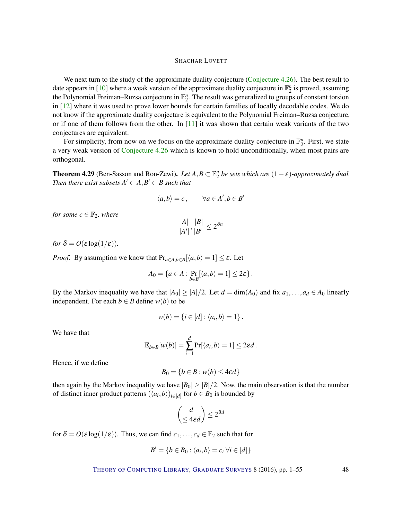<span id="page-47-1"></span>We next turn to the study of the approximate duality conjecture [\(Conjecture](#page-46-0) [4.26\)](#page-46-0). The best result to date appears in [\[10\]](#page-49-11) where a weak version of the approximate duality conjecture in  $\mathbb{F}_2^n$  is proved, assuming the Polynomial Freiman–Ruzsa conjecture in  $\mathbb{F}_2^n$ . The result was generalized to groups of constant torsion in [\[12\]](#page-49-12) where it was used to prove lower bounds for certain families of locally decodable codes. We do not know if the approximate duality conjecture is equivalent to the Polynomial Freiman–Ruzsa conjecture, or if one of them follows from the other. In [\[11\]](#page-49-10) it was shown that certain weak variants of the two conjectures are equivalent.

For simplicity, from now on we focus on the approximate duality conjecture in  $\mathbb{F}_2^n$ . First, we state a very weak version of [Conjecture](#page-46-0) [4.26](#page-46-0) which is known to hold unconditionally, when most pairs are orthogonal.

<span id="page-47-0"></span>**Theorem 4.29** (Ben-Sasson and Ron-Zewi). *Let*  $A, B \subset \mathbb{F}_2^n$  *be sets which are*  $(1 - \varepsilon)$ -*approximately dual. Then there exist subsets*  $A' \subset A$ ,  $B' \subset B$  such that

$$
\langle a,b\rangle=c\,,\qquad \forall a\in A',b\in B'
$$

*for some*  $c \in \mathbb{F}_2$ *, where* 

$$
\frac{|A|}{|A'|}, \frac{|B|}{|B'|} \le 2^{\delta n}
$$

*for*  $\delta = O(\varepsilon \log(1/\varepsilon))$ .

*Proof.* By assumption we know that  $Pr_{a \in A, b \in B}[\langle a, b \rangle = 1] \le \varepsilon$ . Let

$$
A_0 = \{a \in A : \Pr_{b \in B} [\langle a, b \rangle = 1] \leq 2\varepsilon\}.
$$

By the Markov inequality we have that  $|A_0| \ge |A|/2$ . Let  $d = \dim(A_0)$  and fix  $a_1, \ldots, a_d \in A_0$  linearly independent. For each  $b \in B$  define  $w(b)$  to be

$$
w(b) = \{i \in [d] : \langle a_i, b \rangle = 1\}.
$$

We have that

$$
\mathbb{E}_{b \in B}[w(b)] = \sum_{i=1}^d \Pr[\langle a_i, b \rangle = 1] \leq 2\epsilon d.
$$

Hence, if we define

$$
B_0 = \{b \in B : w(b) \le 4\epsilon d\}
$$

then again by the Markov inequality we have  $|B_0| \geq |B|/2$ . Now, the main observation is that the number of distinct inner product patterns  $(\langle a_i, b \rangle)_{i \in [d]}$  for  $b \in B_0$  is bounded by

$$
\binom{d}{\leq 4\epsilon d} \leq 2^{\delta d}
$$

for  $\delta = O(\epsilon \log(1/\epsilon))$ . Thus, we can find  $c_1, \ldots, c_d \in \mathbb{F}_2$  such that for

$$
B' = \{b \in B_0 : \langle a_i, b \rangle = c_i \,\forall i \in [d]\}
$$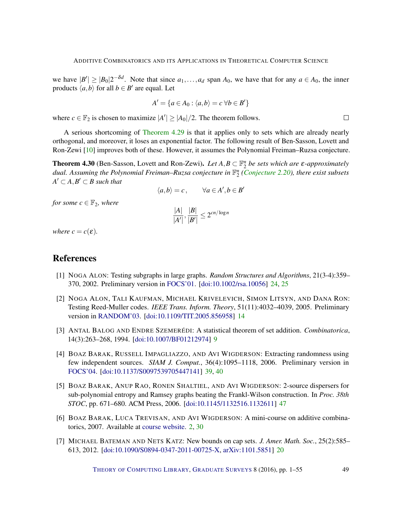<span id="page-48-7"></span>we have  $|B'| \ge |B_0| 2^{-\delta d}$ . Note that since  $a_1, \ldots, a_d$  span  $A_0$ , we have that for any  $a \in A_0$ , the inner products  $\langle a,b \rangle$  for all  $b \in B'$  are equal. Let

$$
A' = \{a \in A_0 : \langle a, b \rangle = c \,\,\forall b \in B'\}
$$

where  $c \in \mathbb{F}_2$  is chosen to maximize  $|A'| \geq |A_0|/2$ . The theorem follows.

A serious shortcoming of [Theorem](#page-47-0) [4.29](#page-47-0) is that it applies only to sets which are already nearly orthogonal, and moreover, it loses an exponential factor. The following result of Ben-Sasson, Lovett and Ron-Zewi [\[10\]](#page-49-11) improves both of these. However, it assumes the Polynomial Freiman–Ruzsa conjecture.

**Theorem 4.30** (Ben-Sasson, Lovett and Ron-Zewi). Let  $A, B \subset \mathbb{F}_2^n$  be sets which are  $\varepsilon$ -approximately *dual. Assuming the Polynomial Freiman–Ruzsa conjecture in* F *n* 2 *[\(Conjecture](#page-15-0) [2.20\)](#page-15-0), there exist subsets*  $A' \subset A, B' \subset B$  such that

$$
\langle a, b \rangle = c, \qquad \forall a \in A', b \in B'
$$

*for some*  $c \in \mathbb{F}_2$ *, where* 

$$
\frac{|A|}{|A'|}, \frac{|B|}{|B'|} \le 2^{cn/\log n}
$$

*where*  $c = c(\varepsilon)$ *.* 

# References

- <span id="page-48-4"></span>[1] NOGA ALON: Testing subgraphs in large graphs. *Random Structures and Algorithms*, 21(3-4):359– 370, 2002. Preliminary version in [FOCS'01.](http://dx.doi.org/10.1109/SFCS.2001.959918) [\[doi:10.1002/rsa.10056\]](http://dx.doi.org/10.1002/rsa.10056) [24,](#page-23-1) [25](#page-24-2)
- <span id="page-48-2"></span>[2] NOGA ALON, TALI KAUFMAN, MICHAEL KRIVELEVICH, SIMON LITSYN, AND DANA RON: Testing Reed-Muller codes. *IEEE Trans. Inform. Theory*, 51(11):4032–4039, 2005. Preliminary version in [RANDOM'03.](http://dx.doi.org/10.1007/978-3-540-45198-3_17) [\[doi:10.1109/TIT.2005.856958\]](http://dx.doi.org/10.1109/TIT.2005.856958) [14](#page-13-0)
- <span id="page-48-1"></span>[3] ANTAL BALOG AND ENDRE SZEMERÉDI: A statistical theorem of set addition. *Combinatorica*, 14(3):263–268, 1994. [\[doi:10.1007/BF01212974\]](http://dx.doi.org/10.1007/BF01212974) [9](#page-8-2)
- <span id="page-48-5"></span>[4] BOAZ BARAK, RUSSELL IMPAGLIAZZO, AND AVI WIGDERSON: Extracting randomness using few independent sources. *SIAM J. Comput.*, 36(4):1095–1118, 2006. Preliminary version in [FOCS'04.](http://dx.doi.org/10.1109/FOCS.2004.29) [\[doi:10.1137/S0097539705447141\]](http://dx.doi.org/10.1137/S0097539705447141) [39,](#page-38-0) [40](#page-39-2)
- <span id="page-48-6"></span>[5] BOAZ BARAK, ANUP RAO, RONEN SHALTIEL, AND AVI WIGDERSON: 2-source dispersers for sub-polynomial entropy and Ramsey graphs beating the Frankl-Wilson construction. In *Proc. 38th STOC*, pp. 671–680. ACM Press, 2006. [\[doi:10.1145/1132516.1132611\]](http://dx.doi.org/10.1145/1132516.1132611) [47](#page-46-2)
- <span id="page-48-0"></span>[6] BOAZ BARAK, LUCA TREVISAN, AND AVI WIGDERSON: A mini-course on additive combinatorics, 2007. Available at [course website.](http://www.cs.princeton.edu/theory/index.php/Main/AdditiveCombinatoricsMinicourse) [2,](#page-1-0) [30](#page-29-2)
- <span id="page-48-3"></span>[7] MICHAEL BATEMAN AND NETS KATZ: New bounds on cap sets. *J. Amer. Math. Soc.*, 25(2):585– 613, 2012. [\[doi:10.1090/S0894-0347-2011-00725-X,](http://dx.doi.org/10.1090/S0894-0347-2011-00725-X) [arXiv:1101.5851\]](http://arxiv.org/abs/1101.5851) [20](#page-19-2)

THEORY OF C[OMPUTING](http://dx.doi.org/10.4086/toc) LIBRARY, G[RADUATE](http://dx.doi.org/10.4086/toc.gs) SURVEYS 8 (2016), pp. 1–55 49

 $\Box$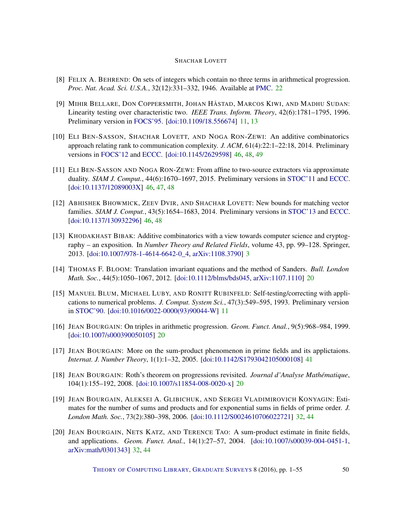- <span id="page-49-6"></span>[8] FELIX A. BEHREND: On sets of integers which contain no three terms in arithmetical progression. *Proc. Nat. Acad. Sci. U.S.A.*, 32(12):331–332, 1946. Available at [PMC.](http://www.ncbi.nlm.nih.gov/pmc/articles/PMC1078964/) [22](#page-21-1)
- <span id="page-49-2"></span>[9] MIHIR BELLARE, DON COPPERSMITH, JOHAN HÅSTAD, MARCOS KIWI, AND MADHU SUDAN: Linearity testing over characteristic two. *IEEE Trans. Inform. Theory*, 42(6):1781–1795, 1996. Preliminary version in [FOCS'95.](http://dx.doi.org/10.1109/SFCS.1995.492574) [\[doi:10.1109/18.556674\]](http://dx.doi.org/10.1109/18.556674) [11,](#page-10-0) [13](#page-12-1)
- <span id="page-49-11"></span>[10] ELI BEN-SASSON, SHACHAR LOVETT, AND NOGA RON-ZEWI: An additive combinatorics approach relating rank to communication complexity. *J. ACM*, 61(4):22:1–22:18, 2014. Preliminary versions in [FOCS'12](http://dx.doi.org/10.1109/FOCS.2012.39) and [ECCC.](http://eccc.hpi-web.de/report/2011/157/) [\[doi:10.1145/2629598\]](http://dx.doi.org/10.1145/2629598) [46,](#page-45-0) [48,](#page-47-1) [49](#page-48-7)
- <span id="page-49-10"></span>[11] ELI BEN-SASSON AND NOGA RON-ZEWI: From affine to two-source extractors via approximate duality. *SIAM J. Comput.*, 44(6):1670–1697, 2015. Preliminary versions in [STOC'11](http://dx.doi.org/10.1145/1993636.1993661) and [ECCC.](http://eccc.hpi-web.de/report/2010/144/) [\[doi:10.1137/12089003X\]](http://dx.doi.org/10.1137/12089003X) [46,](#page-45-0) [47,](#page-46-2) [48](#page-47-1)
- <span id="page-49-12"></span>[12] ABHISHEK BHOWMICK, ZEEV DVIR, AND SHACHAR LOVETT: New bounds for matching vector families. *SIAM J. Comput.*, 43(5):1654–1683, 2014. Preliminary versions in [STOC'13](http://dx.doi.org/10.1145/2488608.2488713) and [ECCC.](http://eccc.hpi-web.de/report/2012/034/) [\[doi:10.1137/130932296\]](http://dx.doi.org/10.1137/130932296) [46,](#page-45-0) [48](#page-47-1)
- <span id="page-49-0"></span>[13] KHODAKHAST BIBAK: Additive combinatorics with a view towards computer science and cryptography – an exposition. In *Number Theory and Related Fields*, volume 43, pp. 99–128. Springer, 2013. [\[doi:10.1007/978-1-4614-6642-0\\_4,](http://dx.doi.org/10.1007/978-1-4614-6642-0_4) [arXiv:1108.3790\]](http://arxiv.org/abs/1108.3790) [3](#page-2-1)
- <span id="page-49-5"></span>[14] THOMAS F. BLOOM: Translation invariant equations and the method of Sanders. *Bull. London Math. Soc.*, 44(5):1050–1067, 2012. [\[doi:10.1112/blms/bds045,](http://dx.doi.org/10.1112/blms/bds045) [arXiv:1107.1110\]](http://arxiv.org/abs/1107.1110) [20](#page-19-2)
- <span id="page-49-1"></span>[15] MANUEL BLUM, MICHAEL LUBY, AND RONITT RUBINFELD: Self-testing/correcting with applications to numerical problems. *J. Comput. System Sci.*, 47(3):549–595, 1993. Preliminary version in [STOC'90.](http://dx.doi.org/10.1145/100216.100225) [\[doi:10.1016/0022-0000\(93\)90044-W\]](http://dx.doi.org/10.1016/0022-0000(93)90044-W) [11](#page-10-0)
- <span id="page-49-3"></span>[16] JEAN BOURGAIN: On triples in arithmetic progression. *Geom. Funct. Anal.*, 9(5):968–984, 1999. [\[doi:10.1007/s000390050105\]](http://dx.doi.org/10.1007/s000390050105) [20](#page-19-2)
- <span id="page-49-9"></span>[17] JEAN BOURGAIN: More on the sum-product phenomenon in prime fields and its applictaions. *Internat. J. Number Theory*, 1(1):1–32, 2005. [\[doi:10.1142/S1793042105000108\]](http://dx.doi.org/10.1142/S1793042105000108) [41](#page-40-1)
- <span id="page-49-4"></span>[18] JEAN BOURGAIN: Roth's theorem on progressions revisited. *Journal d'Analyse Mathématique*, 104(1):155–192, 2008. [\[doi:10.1007/s11854-008-0020-x\]](http://dx.doi.org/10.1007/s11854-008-0020-x) [20](#page-19-2)
- <span id="page-49-8"></span>[19] JEAN BOURGAIN, ALEKSEI A. GLIBICHUK, AND SERGEI VLADIMIROVICH KONYAGIN: Estimates for the number of sums and products and for exponential sums in fields of prime order. *J. London Math. Soc.*, 73(2):380–398, 2006. [\[doi:10.1112/S0024610706022721\]](http://dx.doi.org/10.1112/S0024610706022721) [32,](#page-31-1) [44](#page-43-1)
- <span id="page-49-7"></span>[20] JEAN BOURGAIN, NETS KATZ, AND TERENCE TAO: A sum-product estimate in finite fields, and applications. *Geom. Funct. Anal.*, 14(1):27–57, 2004. [\[doi:10.1007/s00039-004-0451-1,](http://dx.doi.org/10.1007/s00039-004-0451-1) [arXiv:math/0301343\]](http://arxiv.org/abs/math/0301343) [32,](#page-31-1) [44](#page-43-1)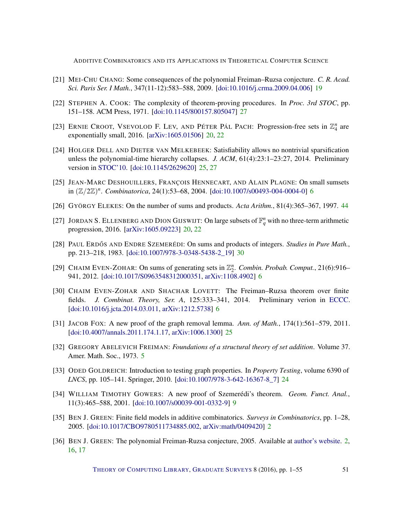- <span id="page-50-7"></span>[21] MEI-CHU CHANG: Some consequences of the polynomial Freiman–Ruzsa conjecture. *C. R. Acad. Sci. Paris Ser. I Math.*, 347(11-12):583–588, 2009. [\[doi:10.1016/j.crma.2009.04.006\]](http://dx.doi.org/10.1016/j.crma.2009.04.006) [19](#page-18-3)
- <span id="page-50-13"></span>[22] STEPHEN A. COOK: The complexity of theorem-proving procedures. In *Proc. 3rd STOC*, pp. 151–158. ACM Press, 1971. [\[doi:10.1145/800157.805047\]](http://dx.doi.org/10.1145/800157.805047) [27](#page-26-1)
- <span id="page-50-8"></span>[23] ERNIE CROOT, VSEVOLOD F. LEV, AND PÉTER PÁL PACH: Progression-free sets in  $\mathbb{Z}_4^n$  are exponentially small, 2016. [\[arXiv:1605.01506\]](http://arxiv.org/abs/1605.01506) [20,](#page-19-2) [22](#page-21-1)
- <span id="page-50-12"></span>[24] HOLGER DELL AND DIETER VAN MELKEBEEK: Satisfiability allows no nontrivial sparsification unless the polynomial-time hierarchy collapses. *J. ACM*, 61(4):23:1–23:27, 2014. Preliminary version in [STOC'10.](http://dx.doi.org/10.1145/1806689.1806725) [\[doi:10.1145/2629620\]](http://dx.doi.org/10.1145/2629620) [25,](#page-24-2) [27](#page-26-1)
- <span id="page-50-3"></span>[25] JEAN-MARC DESHOUILLERS, FRANÇOIS HENNECART, AND ALAIN PLAGNE: On small sumsets in (Z/2Z) *n* . *Combinatorica*, 24(1):53–68, 2004. [\[doi:10.1007/s00493-004-0004-0\]](http://dx.doi.org/10.1007/s00493-004-0004-0) [6](#page-5-2)
- <span id="page-50-15"></span>[26] GYÖRGY ELEKES: On the number of sums and products. *Acta Arithm.*, 81(4):365–367, 1997. [44](#page-43-1)
- <span id="page-50-9"></span>[27] JORDAN S. ELLENBERG AND DION GIJSWIJT: On large subsets of  $\mathbb{F}_q^n$  with no three-term arithmetic progression, 2016. [\[arXiv:1605.09223\]](http://arxiv.org/abs/1605.09223) [20,](#page-19-2) [22](#page-21-1)
- <span id="page-50-14"></span>[28] PAUL ERDŐS AND ENDRE SZEMERÉDI: On sums and products of integers. *Studies in Pure Math.*, pp. 213–218, 1983. [\[doi:10.1007/978-3-0348-5438-2\\_19\]](http://dx.doi.org/10.1007/978-3-0348-5438-2_19) [30](#page-29-2)
- <span id="page-50-4"></span>[29] CHAIM EVEN-ZOHAR: On sums of generating sets in  $\mathbb{Z}_2^n$ . *Combin. Probab. Comput.*, 21(6):916– 941, 2012. [\[doi:10.1017/S0963548312000351,](http://dx.doi.org/10.1017/S0963548312000351) [arXiv:1108.4902\]](http://arxiv.org/abs/1108.4902) [6](#page-5-2)
- <span id="page-50-5"></span>[30] CHAIM EVEN-ZOHAR AND SHACHAR LOVETT: The Freiman–Ruzsa theorem over finite fields. *J. Combinat. Theory, Ser. A*, 125:333–341, 2014. Preliminary verion in [ECCC.](http://eccc.hpi-web.de/report/2012/180/) [\[doi:10.1016/j.jcta.2014.03.011,](http://dx.doi.org/10.1016/j.jcta.2014.03.011) [arXiv:1212.5738\]](http://arxiv.org/abs/1212.5738) [6](#page-5-2)
- <span id="page-50-11"></span>[31] JACOB FOX: A new proof of the graph removal lemma. *Ann. of Math.*, 174(1):561–579, 2011. [\[doi:10.4007/annals.2011.174.1.17,](http://dx.doi.org/10.4007/annals.2011.174.1.17) [arXiv:1006.1300\]](http://arxiv.org/abs/1006.1300) [25](#page-24-2)
- <span id="page-50-2"></span>[32] GREGORY ABELEVICH FREIMAN: *Foundations of a structural theory of set addition*. Volume 37. Amer. Math. Soc., 1973. [5](#page-4-0)
- <span id="page-50-10"></span>[33] ODED GOLDREICH: Introduction to testing graph properties. In *Property Testing*, volume 6390 of *LNCS*, pp. 105–141. Springer, 2010. [\[doi:10.1007/978-3-642-16367-8\\_7\]](http://dx.doi.org/10.1007/978-3-642-16367-8_7) [24](#page-23-1)
- <span id="page-50-6"></span>[34] WILLIAM TIMOTHY GOWERS: A new proof of Szemerédi's theorem. *Geom. Funct. Anal.*, 11(3):465–588, 2001. [\[doi:10.1007/s00039-001-0332-9\]](http://dx.doi.org/10.1007/s00039-001-0332-9) [9](#page-8-2)
- <span id="page-50-0"></span>[35] BEN J. GREEN: Finite field models in additive combinatorics. *Surveys in Combinatorics*, pp. 1–28, 2005. [\[doi:10.1017/CBO9780511734885.002,](http://dx.doi.org/10.1017/CBO9780511734885.002) [arXiv:math/0409420\]](http://arxiv.org/abs/math/0409420) [2](#page-1-0)
- <span id="page-50-1"></span>[36] BEN J. GREEN: The polynomial Freiman-Ruzsa conjecture, 2005. Available at [author's website.](http://people.maths.ox.ac.uk/greenbj/papers/PFR.pdf) [2,](#page-1-0) [16,](#page-15-1) [17](#page-16-0)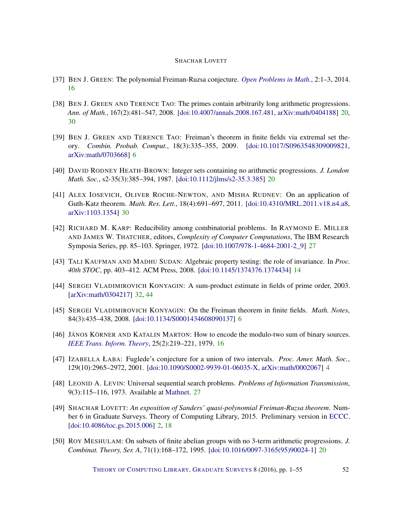- <span id="page-51-6"></span>[37] BEN J. GREEN: The polynomial Freiman-Ruzsa conjecture. *[Open Problems in Math.](http://www.opmath.org/index.php/opm/article/viewFile/6/4)*, 2:1–3, 2014. [16](#page-15-1)
- <span id="page-51-7"></span>[38] BEN J. GREEN AND TERENCE TAO: The primes contain arbitrarily long arithmetic progressions. *Ann. of Math.*, 167(2):481–547, 2008. [\[doi:10.4007/annals.2008.167.481,](http://dx.doi.org/10.4007/annals.2008.167.481) [arXiv:math/0404188\]](http://arxiv.org/abs/math/0404188) [20,](#page-19-2) [30](#page-29-2)
- <span id="page-51-2"></span>[39] BEN J. GREEN AND TERENCE TAO: Freiman's theorem in finite fields via extremal set theory. *Combin. Probab. Comput.*, 18(3):335–355, 2009. [\[doi:10.1017/S0963548309009821,](http://dx.doi.org/10.1017/S0963548309009821) [arXiv:math/0703668\]](http://arxiv.org/abs/math/0703668) [6](#page-5-2)
- <span id="page-51-8"></span>[40] DAVID RODNEY HEATH-BROWN: Integer sets containing no arithmetic progressions. *J. London Math. Soc.*, s2-35(3):385–394, 1987. [\[doi:10.1112/jlms/s2-35.3.385\]](http://dx.doi.org/10.1112/jlms/s2-35.3.385) [20](#page-19-2)
- <span id="page-51-12"></span>[41] ALEX IOSEVICH, OLIVER ROCHE-NEWTON, AND MISHA RUDNEV: On an application of Guth-Katz theorem. *Math. Res. Lett.*, 18(4):691–697, 2011. [\[doi:10.4310/MRL.2011.v18.n4.a8,](http://dx.doi.org/10.4310/MRL.2011.v18.n4.a8) [arXiv:1103.1354\]](http://arxiv.org/abs/1103.1354) [30](#page-29-2)
- <span id="page-51-11"></span>[42] RICHARD M. KARP: Reducibility among combinatorial problems. In RAYMOND E. MILLER AND JAMES W. THATCHER, editors, *Complexity of Computer Computations*, The IBM Research Symposia Series, pp. 85–103. Springer, 1972. [\[doi:10.1007/978-1-4684-2001-2\\_9\]](http://dx.doi.org/10.1007/978-1-4684-2001-2_9) [27](#page-26-1)
- <span id="page-51-4"></span>[43] TALI KAUFMAN AND MADHU SUDAN: Algebraic property testing: the role of invariance. In *Proc. 40th STOC*, pp. 403–412. ACM Press, 2008. [\[doi:10.1145/1374376.1374434\]](http://dx.doi.org/10.1145/1374376.1374434) [14](#page-13-0)
- <span id="page-51-13"></span>[44] SERGEI VLADIMIROVICH KONYAGIN: A sum-product estimate in fields of prime order, 2003. [\[arXiv:math/0304217\]](http://arxiv.org/abs/math/0304217) [32,](#page-31-1) [44](#page-43-1)
- <span id="page-51-3"></span>[45] SERGEI VLADIMIROVICH KONYAGIN: On the Freiman theorem in finite fields. *Math. Notes*, 84(3):435–438, 2008. [\[doi:10.1134/S0001434608090137\]](http://dx.doi.org/10.1134/S0001434608090137) [6](#page-5-2)
- <span id="page-51-5"></span>[46] JÁNOS KÖRNER AND KATALIN MARTON: How to encode the modulo-two sum of binary sources. *[IEEE Trans. Inform. Theory](http://ieeexplore.ieee.org/stamp/stamp.jsp?tp=&arnumber=1056022)*, 25(2):219–221, 1979. [16](#page-15-1)
- <span id="page-51-1"></span>[47] IZABELLA ŁABA: Fuglede's conjecture for a union of two intervals. *Proc. Amer. Math. Soc.*, 129(10):2965–2972, 2001. [\[doi:10.1090/S0002-9939-01-06035-X,](http://dx.doi.org/10.1090/S0002-9939-01-06035-X) [arXiv:math/0002067\]](http://arxiv.org/abs/math/0002067) [4](#page-3-1)
- <span id="page-51-10"></span>[48] LEONID A. LEVIN: Universal sequential search problems. *Problems of Information Transmission*, 9(3):115–116, 1973. Available at [Mathnet.](http://mi.mathnet.ru/ppi914) [27](#page-26-1)
- <span id="page-51-0"></span>[49] SHACHAR LOVETT: *An exposition of Sanders' quasi-polynomial Freiman-Ruzsa theorem*. Number 6 in Graduate Surveys. Theory of Computing Library, 2015. Preliminary version in [ECCC.](http://eccc.hpi-web.de/report/2012/029) [\[doi:10.4086/toc.gs.2015.006\]](http://dx.doi.org/10.4086/toc.gs.2015.006) [2,](#page-1-0) [18](#page-17-1)
- <span id="page-51-9"></span>[50] ROY MESHULAM: On subsets of finite abelian groups with no 3-term arithmetic progressions. *J. Combinat. Theory, Ser. A*, 71(1):168–172, 1995. [\[doi:10.1016/0097-3165\(95\)90024-1\]](http://dx.doi.org/10.1016/0097-3165(95)90024-1) [20](#page-19-2)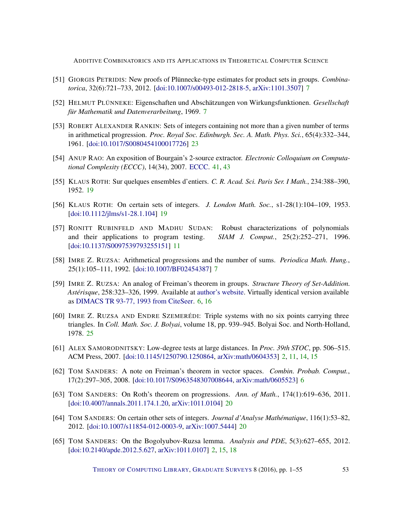- <span id="page-52-6"></span>[51] GIORGIS PETRIDIS: New proofs of Plünnecke-type estimates for product sets in groups. *Combinatorica*, 32(6):721–733, 2012. [\[doi:10.1007/s00493-012-2818-5,](http://dx.doi.org/10.1007/s00493-012-2818-5) [arXiv:1101.3507\]](http://arxiv.org/abs/1101.3507) [7](#page-6-2)
- <span id="page-52-4"></span>[52] HELMUT PLÜNNEKE: Eigenschaften und Abschätzungen von Wirkungsfunktionen. *Gesellschaft für Mathematik und Datenverarbeitung*, 1969. [7](#page-6-2)
- <span id="page-52-12"></span>[53] ROBERT ALEXANDER RANKIN: Sets of integers containing not more than a given number of terms in arithmetical progression. *Proc. Royal Soc. Edinburgh. Sec. A. Math. Phys. Sci.*, 65(4):332–344, 1961. [\[doi:10.1017/S0080454100017726\]](http://dx.doi.org/10.1017/S0080454100017726) [23](#page-22-0)
- <span id="page-52-14"></span>[54] ANUP RAO: An exposition of Bourgain's 2-source extractor. *Electronic Colloquium on Computational Complexity (ECCC)*, 14(34), 2007. [ECCC.](http://eccc.hpi-web.de/report/2007/034/) [41,](#page-40-1) [43](#page-42-2)
- <span id="page-52-8"></span>[55] KLAUS ROTH: Sur quelques ensembles d'entiers. *C. R. Acad. Sci. Paris Ser. I Math.*, 234:388–390, 1952. [19](#page-18-3)
- <span id="page-52-9"></span>[56] KLAUS ROTH: On certain sets of integers. *J. London Math. Soc.*, s1-28(1):104–109, 1953. [\[doi:10.1112/jlms/s1-28.1.104\]](http://dx.doi.org/10.1112/jlms/s1-28.1.104) [19](#page-18-3)
- <span id="page-52-7"></span>[57] RONITT RUBINFELD AND MADHU SUDAN: Robust characterizations of polynomials and their applications to program testing. *SIAM J. Comput.*, 25(2):252–271, 1996. [\[doi:10.1137/S0097539793255151\]](http://dx.doi.org/10.1137/S0097539793255151) [11](#page-10-0)
- <span id="page-52-5"></span>[58] IMRE Z. RUZSA: Arithmetical progressions and the number of sums. *Periodica Math. Hung.*, 25(1):105–111, 1992. [\[doi:10.1007/BF02454387\]](http://dx.doi.org/10.1007/BF02454387) [7](#page-6-2)
- <span id="page-52-2"></span>[59] IMRE Z. RUZSA: An analog of Freiman's theorem in groups. *Structure Theory of Set-Addition. Astérisque*, 258:323–326, 1999. Available at [author's website.](http://www.math-inst.hu/~ruzsa/cikkek/freigrou.dvi) Virtually identical version available as [DIMACS TR 93-77, 1993 from CiteSeer.](http://citeseerx.ist.psu.edu/viewdoc/download?doi=10.1.1.30.4306&rep=rep1&type=pdf) [6,](#page-5-2) [16](#page-15-1)
- <span id="page-52-13"></span>[60] IMRE Z. RUZSA AND ENDRE SZEMERÉDI: Triple systems with no six points carrying three triangles. In *Coll. Math. Soc. J. Bolyai*, volume 18, pp. 939–945. Bolyai Soc. and North-Holland, 1978. [25](#page-24-2)
- <span id="page-52-0"></span>[61] ALEX SAMORODNITSKY: Low-degree tests at large distances. In *Proc. 39th STOC*, pp. 506–515. ACM Press, 2007. [\[doi:10.1145/1250790.1250864,](http://dx.doi.org/10.1145/1250790.1250864) [arXiv:math/0604353\]](http://arxiv.org/abs/math/0604353) [2,](#page-1-0) [11,](#page-10-0) [14,](#page-13-0) [15](#page-14-1)
- <span id="page-52-3"></span>[62] TOM SANDERS: A note on Freiman's theorem in vector spaces. *Combin. Probab. Comput.*, 17(2):297–305, 2008. [\[doi:10.1017/S0963548307008644,](http://dx.doi.org/10.1017/S0963548307008644) [arXiv:math/0605523\]](http://arxiv.org/abs/math/0605523) [6](#page-5-2)
- <span id="page-52-11"></span>[63] TOM SANDERS: On Roth's theorem on progressions. *Ann. of Math.*, 174(1):619–636, 2011. [\[doi:10.4007/annals.2011.174.1.20,](http://dx.doi.org/10.4007/annals.2011.174.1.20) [arXiv:1011.0104\]](http://arxiv.org/abs/1011.0104) [20](#page-19-2)
- <span id="page-52-10"></span>[64] TOM SANDERS: On certain other sets of integers. *Journal d'Analyse Mathématique*, 116(1):53–82, 2012. [\[doi:10.1007/s11854-012-0003-9,](http://dx.doi.org/10.1007/s11854-012-0003-9) [arXiv:1007.5444\]](http://arxiv.org/abs/1007.5444) [20](#page-19-2)
- <span id="page-52-1"></span>[65] TOM SANDERS: On the Bogolyubov-Ruzsa lemma. *Analysis and PDE*, 5(3):627–655, 2012. [\[doi:10.2140/apde.2012.5.627,](http://dx.doi.org/10.2140/apde.2012.5.627) [arXiv:1011.0107\]](http://arxiv.org/abs/1011.0107) [2,](#page-1-0) [15,](#page-14-1) [18](#page-17-1)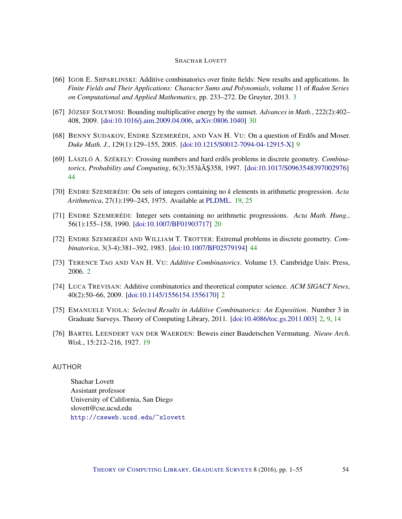- <span id="page-53-4"></span>[66] IGOR E. SHPARLINSKI: Additive combinatorics over finite fields: New results and applications. In *Finite Fields and Their Applications: Character Sums and Polynomials*, volume 11 of *Radon Series on Computational and Applied Mathematics*, pp. 233–272. De Gruyter, 2013. [3](#page-2-1)
- <span id="page-53-9"></span>[67] JÓZSEF SOLYMOSI: Bounding multiplicative energy by the sumset. *Advances in Math.*, 222(2):402– 408, 2009. [\[doi:10.1016/j.aim.2009.04.006,](http://dx.doi.org/10.1016/j.aim.2009.04.006) [arXiv:0806.1040\]](http://arxiv.org/abs/0806.1040) [30](#page-29-2)
- <span id="page-53-5"></span>[68] BENNY SUDAKOV, ENDRE SZEMERÉDI, AND VAN H. VU: On a question of Erdős and Moser. *Duke Math. J.*, 129(1):129–155, 2005. [\[doi:10.1215/S0012-7094-04-12915-X\]](http://dx.doi.org/10.1215/S0012-7094-04-12915-X) [9](#page-8-2)
- <span id="page-53-11"></span>[69] LÁSZLÓ A. SZÉKELY: Crossing numbers and hard erdős problems in discrete geometry. *Combinatorics, Probability and Computing*, 6(3):353âÅ §358, 1997. [[doi:10.1017/S0963548397002976\]](http://dx.doi.org/10.1017/S0963548397002976) [44](#page-43-1)
- <span id="page-53-7"></span>[70] ENDRE SZEMERÉDI: On sets of integers containing no *k* elements in arithmetic progression. *Acta Arithmetica*, 27(1):199–245, 1975. Available at [PLDML.](http://pldml.icm.edu.pl/pldml/element/bwmeta1.element.bwnjournal-article-aav27i1p199bwm) [19,](#page-18-3) [25](#page-24-2)
- <span id="page-53-8"></span>[71] ENDRE SZEMERÉDI: Integer sets containing no arithmetic progressions. *Acta Math. Hung.*, 56(1):155–158, 1990. [\[doi:10.1007/BF01903717\]](http://dx.doi.org/10.1007/BF01903717) [20](#page-19-2)
- <span id="page-53-10"></span>[72] ENDRE SZEMERÉDI AND WILLIAM T. TROTTER: Extremal problems in discrete geometry. *Combinatorica*, 3(3-4):381–392, 1983. [\[doi:10.1007/BF02579194\]](http://dx.doi.org/10.1007/BF02579194) [44](#page-43-1)
- <span id="page-53-1"></span>[73] TERENCE TAO AND VAN H. VU: *Additive Combinatorics*. Volume 13. Cambridge Univ. Press, 2006. [2](#page-1-0)
- <span id="page-53-3"></span>[74] LUCA TREVISAN: Additive combinatorics and theoretical computer science. *ACM SIGACT News*, 40(2):50–66, 2009. [\[doi:10.1145/1556154.1556170\]](http://dx.doi.org/10.1145/1556154.1556170) [2](#page-1-0)
- <span id="page-53-2"></span>[75] EMANUELE VIOLA: *Selected Results in Additive Combinatorics: An Exposition*. Number 3 in Graduate Surveys. Theory of Computing Library, 2011. [\[doi:10.4086/toc.gs.2011.003\]](http://dx.doi.org/10.4086/toc.gs.2011.003) [2,](#page-1-0) [9,](#page-8-2) [14](#page-13-0)
- <span id="page-53-6"></span>[76] BARTEL LEENDERT VAN DER WAERDEN: Beweis einer Baudetschen Vermutung. *Nieuw Arch. Wisk.*, 15:212–216, 1927. [19](#page-18-3)

# <span id="page-53-0"></span>AUTHOR

Shachar Lovett Assistant professor University of California, San Diego slovett@cse.ucsd.edu <http://cseweb.ucsd.edu/~slovett>